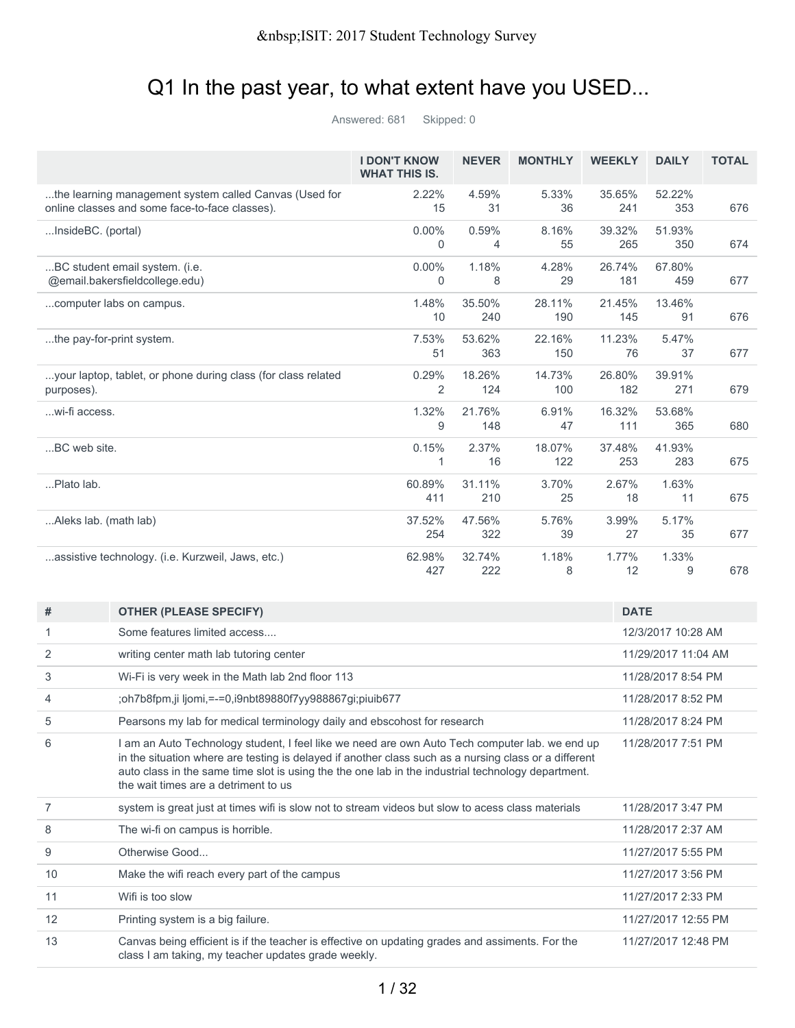## Q1 In the past year, to what extent have you USED...

Answered: 681 Skipped: 0

|                                                                                                          | <b>I DON'T KNOW</b><br><b>WHAT THIS IS.</b> | <b>NEVER</b>  | <b>MONTHLY</b> | <b>WEEKLY</b> | <b>DAILY</b>  | <b>TOTAL</b> |
|----------------------------------------------------------------------------------------------------------|---------------------------------------------|---------------|----------------|---------------|---------------|--------------|
| the learning management system called Canvas (Used for<br>online classes and some face-to-face classes). | 2.22%<br>15                                 | 4.59%<br>31   | 5.33%<br>36    | 35.65%<br>241 | 52.22%<br>353 | 676          |
| InsideBC. (portal)                                                                                       | $0.00\%$<br>0                               | 0.59%<br>4    | 8.16%<br>55    | 39.32%<br>265 | 51.93%<br>350 | 674          |
| BC student email system. (i.e.<br>@email.bakersfieldcollege.edu)                                         | $0.00\%$<br>$\Omega$                        | 1.18%<br>8    | 4.28%<br>29    | 26.74%<br>181 | 67.80%<br>459 | 677          |
| computer labs on campus.                                                                                 | 1.48%<br>10                                 | 35.50%<br>240 | 28.11%<br>190  | 21.45%<br>145 | 13.46%<br>91  | 676          |
| the pay-for-print system.                                                                                | 7.53%<br>51                                 | 53.62%<br>363 | 22.16%<br>150  | 11.23%<br>76  | 5.47%<br>37   | 677          |
| your laptop, tablet, or phone during class (for class related<br>purposes).                              | 0.29%<br>$\overline{2}$                     | 18.26%<br>124 | 14.73%<br>100  | 26.80%<br>182 | 39.91%<br>271 | 679          |
| wi-fi access.                                                                                            | 1.32%<br>9                                  | 21.76%<br>148 | 6.91%<br>47    | 16.32%<br>111 | 53.68%<br>365 | 680          |
| BC web site.                                                                                             | 0.15%<br>1                                  | 2.37%<br>16   | 18.07%<br>122  | 37.48%<br>253 | 41.93%<br>283 | 675          |
| Plato lab.                                                                                               | 60.89%<br>411                               | 31.11%<br>210 | 3.70%<br>25    | 2.67%<br>18   | 1.63%<br>11   | 675          |
| Aleks lab. (math lab)                                                                                    | 37.52%<br>254                               | 47.56%<br>322 | 5.76%<br>39    | 3.99%<br>27   | 5.17%<br>35   | 677          |
| assistive technology. (i.e. Kurzweil, Jaws, etc.)                                                        | 62.98%<br>427                               | 32.74%<br>222 | 1.18%<br>8     | 1.77%<br>12   | 1.33%<br>9    | 678          |

| #  | <b>OTHER (PLEASE SPECIFY)</b>                                                                                                                                                                                                                                                                                                                         | <b>DATE</b>         |
|----|-------------------------------------------------------------------------------------------------------------------------------------------------------------------------------------------------------------------------------------------------------------------------------------------------------------------------------------------------------|---------------------|
|    | Some features limited access                                                                                                                                                                                                                                                                                                                          | 12/3/2017 10:28 AM  |
| 2  | writing center math lab tutoring center                                                                                                                                                                                                                                                                                                               | 11/29/2017 11:04 AM |
| 3  | Wi-Fi is very week in the Math lab 2nd floor 113                                                                                                                                                                                                                                                                                                      | 11/28/2017 8:54 PM  |
| 4  | ;oh7b8fpm,ji ljomi, = -= 0,i9nbt89880f7yy988867gi;piuib677                                                                                                                                                                                                                                                                                            | 11/28/2017 8:52 PM  |
| 5  | Pearsons my lab for medical terminology daily and ebscohost for research                                                                                                                                                                                                                                                                              | 11/28/2017 8:24 PM  |
| 6  | I am an Auto Technology student, I feel like we need are own Auto Tech computer lab. we end up<br>in the situation where are testing is delayed if another class such as a nursing class or a different<br>auto class in the same time slot is using the the one lab in the industrial technology department.<br>the wait times are a detriment to us | 11/28/2017 7:51 PM  |
| 7  | system is great just at times wifi is slow not to stream videos but slow to acess class materials                                                                                                                                                                                                                                                     | 11/28/2017 3:47 PM  |
| 8  | The wi-fi on campus is horrible.                                                                                                                                                                                                                                                                                                                      | 11/28/2017 2:37 AM  |
| 9  | Otherwise Good                                                                                                                                                                                                                                                                                                                                        | 11/27/2017 5:55 PM  |
| 10 | Make the wifi reach every part of the campus                                                                                                                                                                                                                                                                                                          | 11/27/2017 3:56 PM  |
| 11 | Wifi is too slow                                                                                                                                                                                                                                                                                                                                      | 11/27/2017 2:33 PM  |
| 12 | Printing system is a big failure.                                                                                                                                                                                                                                                                                                                     | 11/27/2017 12:55 PM |
| 13 | Canvas being efficient is if the teacher is effective on updating grades and assiments. For the<br>class I am taking, my teacher updates grade weekly.                                                                                                                                                                                                | 11/27/2017 12:48 PM |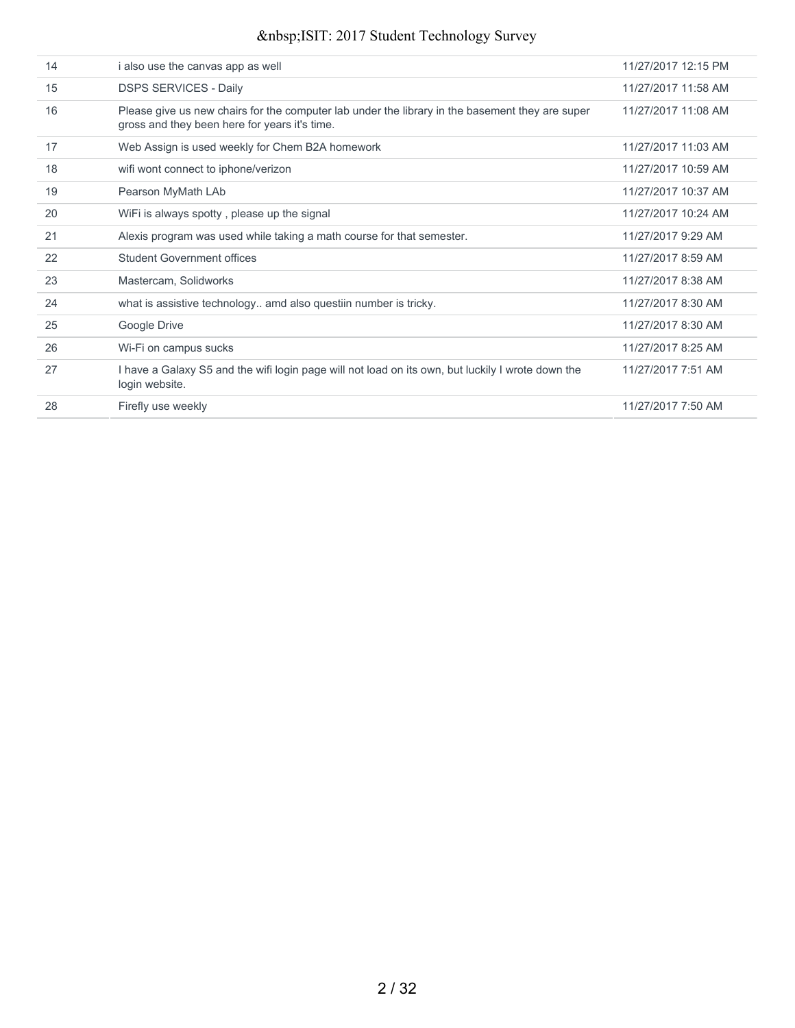| 14 | i also use the canvas app as well                                                                                                                | 11/27/2017 12:15 PM |
|----|--------------------------------------------------------------------------------------------------------------------------------------------------|---------------------|
| 15 | <b>DSPS SERVICES - Daily</b>                                                                                                                     | 11/27/2017 11:58 AM |
| 16 | Please give us new chairs for the computer lab under the library in the basement they are super<br>gross and they been here for years it's time. | 11/27/2017 11:08 AM |
| 17 | Web Assign is used weekly for Chem B2A homework                                                                                                  | 11/27/2017 11:03 AM |
| 18 | wifi wont connect to iphone/verizon                                                                                                              | 11/27/2017 10:59 AM |
| 19 | Pearson MyMath LAb                                                                                                                               | 11/27/2017 10:37 AM |
| 20 | WiFi is always spotty, please up the signal                                                                                                      | 11/27/2017 10:24 AM |
| 21 | Alexis program was used while taking a math course for that semester.                                                                            | 11/27/2017 9:29 AM  |
| 22 | <b>Student Government offices</b>                                                                                                                | 11/27/2017 8:59 AM  |
| 23 | Mastercam, Solidworks                                                                                                                            | 11/27/2017 8:38 AM  |
| 24 | what is assistive technology amd also questiin number is tricky.                                                                                 | 11/27/2017 8:30 AM  |
| 25 | Google Drive                                                                                                                                     | 11/27/2017 8:30 AM  |
| 26 | Wi-Fi on campus sucks                                                                                                                            | 11/27/2017 8:25 AM  |
| 27 | I have a Galaxy S5 and the wifi login page will not load on its own, but luckily I wrote down the<br>login website.                              | 11/27/2017 7:51 AM  |
| 28 | Firefly use weekly                                                                                                                               | 11/27/2017 7:50 AM  |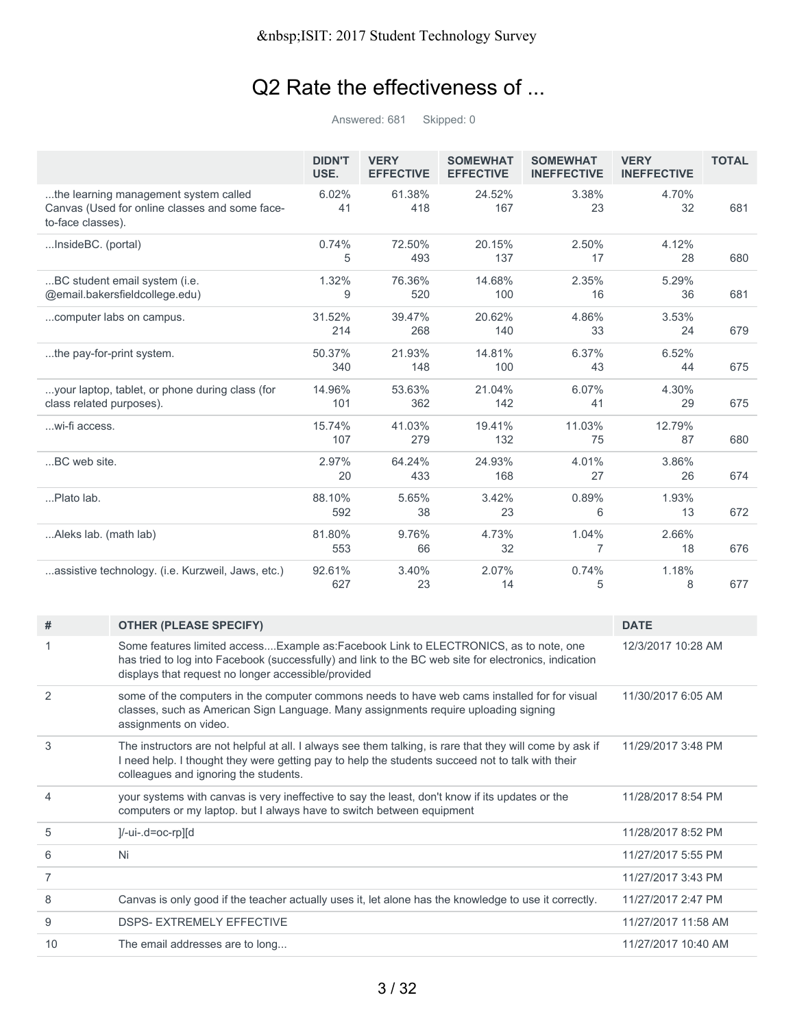# Q2 Rate the effectiveness of ...

Answered: 681 Skipped: 0

|                                                                                                              | <b>DIDN'T</b><br>USE. | <b>VERY</b><br><b>EFFECTIVE</b> | <b>SOMEWHAT</b><br><b>EFFECTIVE</b> | <b>SOMEWHAT</b><br><b>INEFFECTIVE</b> | <b>VERY</b><br><b>INEFFECTIVE</b> | <b>TOTAL</b> |
|--------------------------------------------------------------------------------------------------------------|-----------------------|---------------------------------|-------------------------------------|---------------------------------------|-----------------------------------|--------------|
| the learning management system called<br>Canvas (Used for online classes and some face-<br>to-face classes). | 6.02%<br>41           | 61.38%<br>418                   | 24.52%<br>167                       | 3.38%<br>23                           | 4.70%<br>32                       | 681          |
| InsideBC. (portal)                                                                                           | 0.74%<br>5            | 72.50%<br>493                   | 20.15%<br>137                       | 2.50%<br>17                           | 4.12%<br>28                       | 680          |
| BC student email system (i.e.<br>@email.bakersfieldcollege.edu)                                              | 1.32%<br>9            | 76.36%<br>520                   | 14.68%<br>100                       | 2.35%<br>16                           | 5.29%<br>36                       | 681          |
| computer labs on campus.                                                                                     | 31.52%<br>214         | 39.47%<br>268                   | 20.62%<br>140                       | 4.86%<br>33                           | 3.53%<br>24                       | 679          |
| the pay-for-print system.                                                                                    | 50.37%<br>340         | 21.93%<br>148                   | 14.81%<br>100                       | 6.37%<br>43                           | 6.52%<br>44                       | 675          |
| your laptop, tablet, or phone during class (for<br>class related purposes).                                  | 14.96%<br>101         | 53.63%<br>362                   | 21.04%<br>142                       | 6.07%<br>41                           | 4.30%<br>29                       | 675          |
| wi-fi access.                                                                                                | 15.74%<br>107         | 41.03%<br>279                   | 19.41%<br>132                       | 11.03%<br>75                          | 12.79%<br>87                      | 680          |
| BC web site.                                                                                                 | 2.97%<br>20           | 64.24%<br>433                   | 24.93%<br>168                       | 4.01%<br>27                           | 3.86%<br>26                       | 674          |
| Plato lab.                                                                                                   | 88.10%<br>592         | 5.65%<br>38                     | 3.42%<br>23                         | 0.89%<br>6                            | 1.93%<br>13                       | 672          |
| Aleks lab. (math lab)                                                                                        | 81.80%<br>553         | 9.76%<br>66                     | 4.73%<br>32                         | 1.04%<br>7                            | 2.66%<br>18                       | 676          |
| assistive technology. (i.e. Kurzweil, Jaws, etc.)                                                            | 92.61%<br>627         | 3.40%<br>23                     | 2.07%<br>14                         | 0.74%<br>5                            | 1.18%<br>8                        | 677          |

| #              | <b>OTHER (PLEASE SPECIFY)</b>                                                                                                                                                                                                                         | <b>DATE</b>         |
|----------------|-------------------------------------------------------------------------------------------------------------------------------------------------------------------------------------------------------------------------------------------------------|---------------------|
|                | Some features limited accessExample as:Facebook Link to ELECTRONICS, as to note, one<br>has tried to log into Facebook (successfully) and link to the BC web site for electronics, indication<br>displays that request no longer accessible/provided  | 12/3/2017 10:28 AM  |
| 2              | some of the computers in the computer commons needs to have web cams installed for for visual<br>classes, such as American Sign Language. Many assignments require uploading signing<br>assignments on video.                                         | 11/30/2017 6:05 AM  |
| 3              | The instructors are not helpful at all. I always see them talking, is rare that they will come by ask if<br>I need help. I thought they were getting pay to help the students succeed not to talk with their<br>colleagues and ignoring the students. | 11/29/2017 3:48 PM  |
| 4              | your systems with canvas is very ineffective to say the least, don't know if its updates or the<br>computers or my laptop. but I always have to switch between equipment                                                                              | 11/28/2017 8:54 PM  |
| 5              | $]/-ui-.d=oc-rp][d$                                                                                                                                                                                                                                   | 11/28/2017 8:52 PM  |
| 6              | Ni                                                                                                                                                                                                                                                    | 11/27/2017 5:55 PM  |
| $\overline{7}$ |                                                                                                                                                                                                                                                       | 11/27/2017 3:43 PM  |
| 8              | Canvas is only good if the teacher actually uses it, let alone has the knowledge to use it correctly.                                                                                                                                                 | 11/27/2017 2:47 PM  |
| 9              | <b>DSPS- EXTREMELY EFFECTIVE</b>                                                                                                                                                                                                                      | 11/27/2017 11:58 AM |
| 10             | The email addresses are to long                                                                                                                                                                                                                       | 11/27/2017 10:40 AM |
|                |                                                                                                                                                                                                                                                       |                     |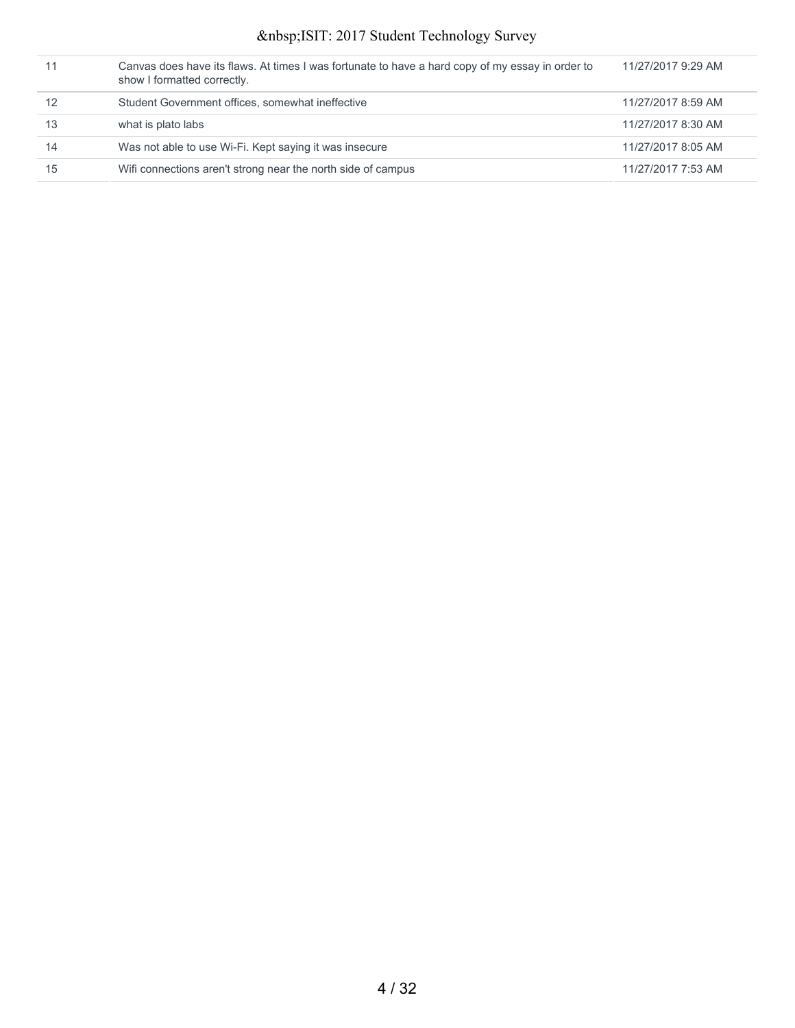|    | Canvas does have its flaws. At times I was fortunate to have a hard copy of my essay in order to<br>show I formatted correctly. | 11/27/2017 9:29 AM |
|----|---------------------------------------------------------------------------------------------------------------------------------|--------------------|
| 12 | Student Government offices, somewhat ineffective                                                                                | 11/27/2017 8:59 AM |
| 13 | what is plato labs                                                                                                              | 11/27/2017 8:30 AM |
| 14 | Was not able to use Wi-Fi. Kept saying it was insecure                                                                          | 11/27/2017 8:05 AM |
| 15 | Wifi connections aren't strong near the north side of campus                                                                    | 11/27/2017 7:53 AM |
|    |                                                                                                                                 |                    |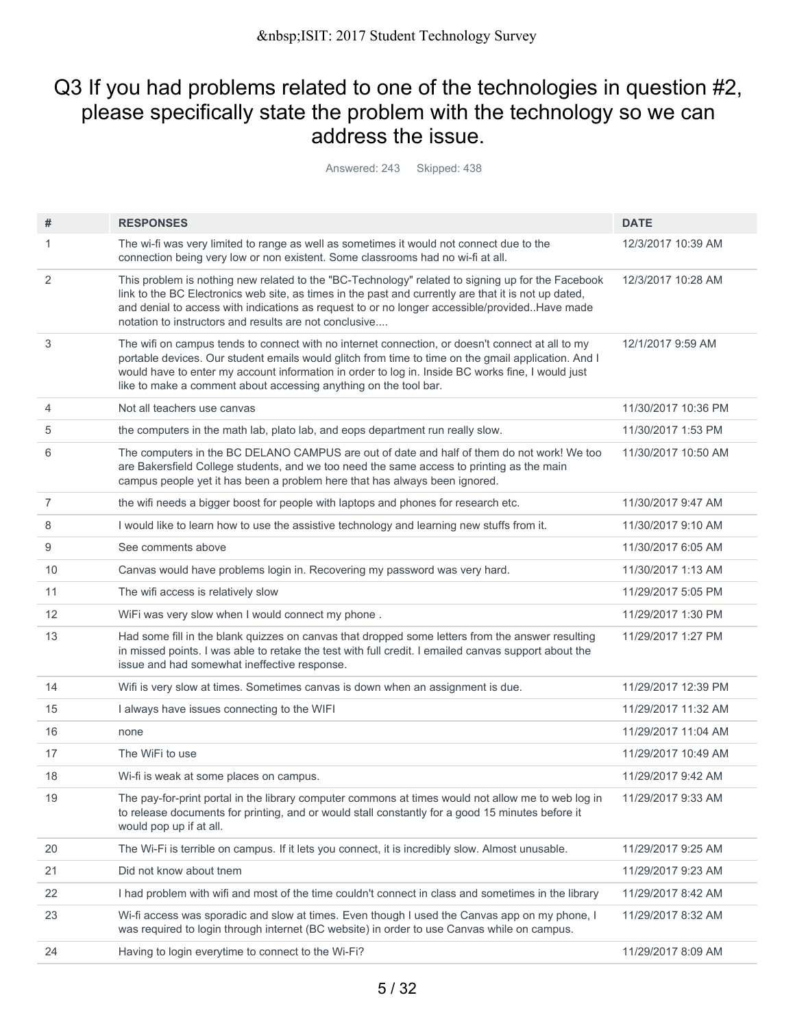## Q3 If you had problems related to one of the technologies in question #2, please specifically state the problem with the technology so we can address the issue.

Answered: 243 Skipped: 438

| #              | <b>RESPONSES</b>                                                                                                                                                                                                                                                                                                                                                                 | <b>DATE</b>         |
|----------------|----------------------------------------------------------------------------------------------------------------------------------------------------------------------------------------------------------------------------------------------------------------------------------------------------------------------------------------------------------------------------------|---------------------|
| 1              | The wi-fi was very limited to range as well as sometimes it would not connect due to the<br>connection being very low or non existent. Some classrooms had no wi-fi at all.                                                                                                                                                                                                      | 12/3/2017 10:39 AM  |
| 2              | This problem is nothing new related to the "BC-Technology" related to signing up for the Facebook<br>link to the BC Electronics web site, as times in the past and currently are that it is not up dated,<br>and denial to access with indications as request to or no longer accessible/provided. Have made<br>notation to instructors and results are not conclusive           | 12/3/2017 10:28 AM  |
| 3              | The wifi on campus tends to connect with no internet connection, or doesn't connect at all to my<br>portable devices. Our student emails would glitch from time to time on the gmail application. And I<br>would have to enter my account information in order to log in. Inside BC works fine, I would just<br>like to make a comment about accessing anything on the tool bar. | 12/1/2017 9:59 AM   |
| $\overline{4}$ | Not all teachers use canvas                                                                                                                                                                                                                                                                                                                                                      | 11/30/2017 10:36 PM |
| 5              | the computers in the math lab, plato lab, and eops department run really slow.                                                                                                                                                                                                                                                                                                   | 11/30/2017 1:53 PM  |
| 6              | The computers in the BC DELANO CAMPUS are out of date and half of them do not work! We too<br>are Bakersfield College students, and we too need the same access to printing as the main<br>campus people yet it has been a problem here that has always been ignored.                                                                                                            | 11/30/2017 10:50 AM |
| $\overline{7}$ | the wifi needs a bigger boost for people with laptops and phones for research etc.                                                                                                                                                                                                                                                                                               | 11/30/2017 9:47 AM  |
| 8              | I would like to learn how to use the assistive technology and learning new stuffs from it.                                                                                                                                                                                                                                                                                       | 11/30/2017 9:10 AM  |
| 9              | See comments above                                                                                                                                                                                                                                                                                                                                                               | 11/30/2017 6:05 AM  |
| 10             | Canvas would have problems login in. Recovering my password was very hard.                                                                                                                                                                                                                                                                                                       | 11/30/2017 1:13 AM  |
| 11             | The wifi access is relatively slow                                                                                                                                                                                                                                                                                                                                               | 11/29/2017 5:05 PM  |
| 12             | WiFi was very slow when I would connect my phone.                                                                                                                                                                                                                                                                                                                                | 11/29/2017 1:30 PM  |
| 13             | Had some fill in the blank quizzes on canvas that dropped some letters from the answer resulting<br>in missed points. I was able to retake the test with full credit. I emailed canvas support about the<br>issue and had somewhat ineffective response.                                                                                                                         | 11/29/2017 1:27 PM  |
| 14             | Wifi is very slow at times. Sometimes canvas is down when an assignment is due.                                                                                                                                                                                                                                                                                                  | 11/29/2017 12:39 PM |
| 15             | I always have issues connecting to the WIFI                                                                                                                                                                                                                                                                                                                                      | 11/29/2017 11:32 AM |
| 16             | none                                                                                                                                                                                                                                                                                                                                                                             | 11/29/2017 11:04 AM |
| 17             | The WiFi to use                                                                                                                                                                                                                                                                                                                                                                  | 11/29/2017 10:49 AM |
| 18             | Wi-fi is weak at some places on campus.                                                                                                                                                                                                                                                                                                                                          | 11/29/2017 9:42 AM  |
| 19             | The pay-for-print portal in the library computer commons at times would not allow me to web log in<br>to release documents for printing, and or would stall constantly for a good 15 minutes before it<br>would pop up if at all.                                                                                                                                                | 11/29/2017 9:33 AM  |
| 20             | The Wi-Fi is terrible on campus. If it lets you connect, it is incredibly slow. Almost unusable.                                                                                                                                                                                                                                                                                 | 11/29/2017 9:25 AM  |
| 21             | Did not know about tnem                                                                                                                                                                                                                                                                                                                                                          | 11/29/2017 9:23 AM  |
| 22             | I had problem with wifi and most of the time couldn't connect in class and sometimes in the library                                                                                                                                                                                                                                                                              | 11/29/2017 8:42 AM  |
| 23             | Wi-fi access was sporadic and slow at times. Even though I used the Canvas app on my phone, I<br>was required to login through internet (BC website) in order to use Canvas while on campus.                                                                                                                                                                                     | 11/29/2017 8:32 AM  |
| 24             | Having to login everytime to connect to the Wi-Fi?                                                                                                                                                                                                                                                                                                                               | 11/29/2017 8:09 AM  |
|                |                                                                                                                                                                                                                                                                                                                                                                                  |                     |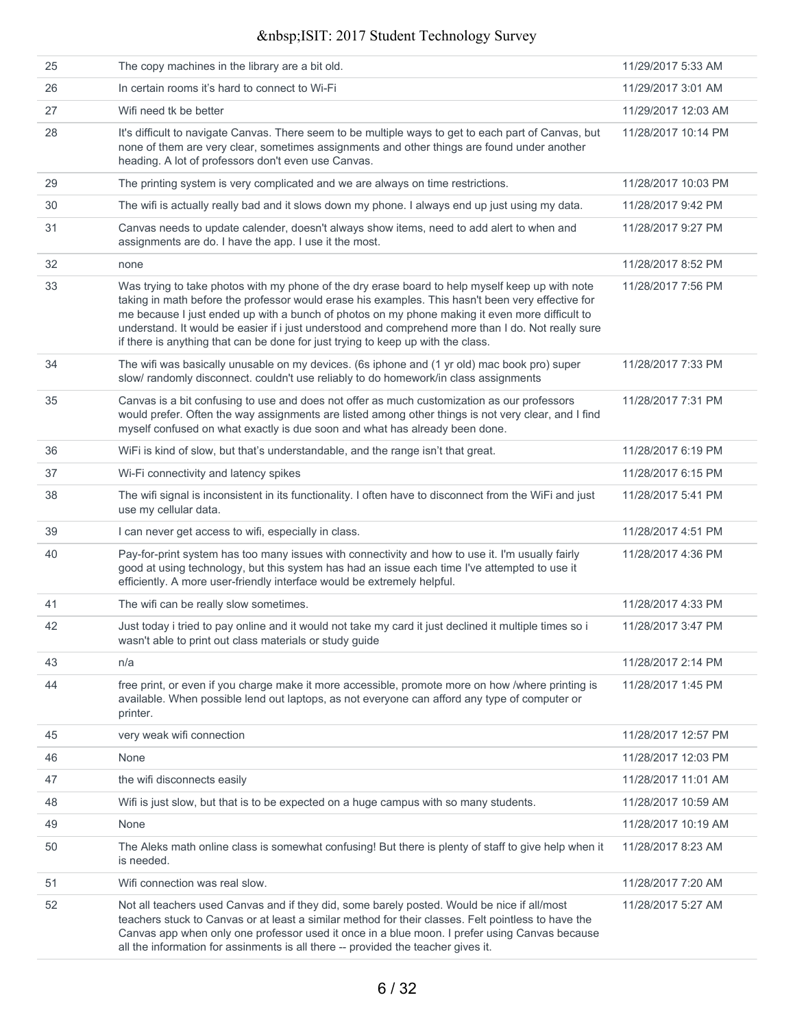| 25 | The copy machines in the library are a bit old.                                                                                                                                                                                                                                                                                                                                                                                                                                                  | 11/29/2017 5:33 AM  |
|----|--------------------------------------------------------------------------------------------------------------------------------------------------------------------------------------------------------------------------------------------------------------------------------------------------------------------------------------------------------------------------------------------------------------------------------------------------------------------------------------------------|---------------------|
| 26 | In certain rooms it's hard to connect to Wi-Fi                                                                                                                                                                                                                                                                                                                                                                                                                                                   | 11/29/2017 3:01 AM  |
| 27 | Wifi need tk be better                                                                                                                                                                                                                                                                                                                                                                                                                                                                           | 11/29/2017 12:03 AM |
| 28 | It's difficult to navigate Canvas. There seem to be multiple ways to get to each part of Canvas, but<br>none of them are very clear, sometimes assignments and other things are found under another<br>heading. A lot of professors don't even use Canvas.                                                                                                                                                                                                                                       | 11/28/2017 10:14 PM |
| 29 | The printing system is very complicated and we are always on time restrictions.                                                                                                                                                                                                                                                                                                                                                                                                                  | 11/28/2017 10:03 PM |
| 30 | The wifi is actually really bad and it slows down my phone. I always end up just using my data.                                                                                                                                                                                                                                                                                                                                                                                                  | 11/28/2017 9:42 PM  |
| 31 | Canvas needs to update calender, doesn't always show items, need to add alert to when and<br>assignments are do. I have the app. I use it the most.                                                                                                                                                                                                                                                                                                                                              | 11/28/2017 9:27 PM  |
| 32 | none                                                                                                                                                                                                                                                                                                                                                                                                                                                                                             | 11/28/2017 8:52 PM  |
| 33 | Was trying to take photos with my phone of the dry erase board to help myself keep up with note<br>taking in math before the professor would erase his examples. This hasn't been very effective for<br>me because I just ended up with a bunch of photos on my phone making it even more difficult to<br>understand. It would be easier if i just understood and comprehend more than I do. Not really sure<br>if there is anything that can be done for just trying to keep up with the class. | 11/28/2017 7:56 PM  |
| 34 | The wifi was basically unusable on my devices. (6s iphone and (1 yr old) mac book pro) super<br>slow/ randomly disconnect. couldn't use reliably to do homework/in class assignments                                                                                                                                                                                                                                                                                                             | 11/28/2017 7:33 PM  |
| 35 | Canvas is a bit confusing to use and does not offer as much customization as our professors<br>would prefer. Often the way assignments are listed among other things is not very clear, and I find<br>myself confused on what exactly is due soon and what has already been done.                                                                                                                                                                                                                | 11/28/2017 7:31 PM  |
| 36 | WiFi is kind of slow, but that's understandable, and the range isn't that great.                                                                                                                                                                                                                                                                                                                                                                                                                 | 11/28/2017 6:19 PM  |
| 37 | Wi-Fi connectivity and latency spikes                                                                                                                                                                                                                                                                                                                                                                                                                                                            | 11/28/2017 6:15 PM  |
| 38 | The wifi signal is inconsistent in its functionality. I often have to disconnect from the WiFi and just<br>use my cellular data.                                                                                                                                                                                                                                                                                                                                                                 | 11/28/2017 5:41 PM  |
| 39 | I can never get access to wifi, especially in class.                                                                                                                                                                                                                                                                                                                                                                                                                                             | 11/28/2017 4:51 PM  |
| 40 | Pay-for-print system has too many issues with connectivity and how to use it. I'm usually fairly<br>good at using technology, but this system has had an issue each time I've attempted to use it<br>efficiently. A more user-friendly interface would be extremely helpful.                                                                                                                                                                                                                     | 11/28/2017 4:36 PM  |
| 41 | The wifi can be really slow sometimes.                                                                                                                                                                                                                                                                                                                                                                                                                                                           | 11/28/2017 4:33 PM  |
| 42 | Just today i tried to pay online and it would not take my card it just declined it multiple times so i<br>wasn't able to print out class materials or study guide                                                                                                                                                                                                                                                                                                                                | 11/28/2017 3:47 PM  |
| 43 | n/a                                                                                                                                                                                                                                                                                                                                                                                                                                                                                              | 11/28/2017 2:14 PM  |
| 44 | free print, or even if you charge make it more accessible, promote more on how /where printing is<br>available. When possible lend out laptops, as not everyone can afford any type of computer or<br>printer.                                                                                                                                                                                                                                                                                   | 11/28/2017 1:45 PM  |
| 45 | very weak wifi connection                                                                                                                                                                                                                                                                                                                                                                                                                                                                        | 11/28/2017 12:57 PM |
| 46 | None                                                                                                                                                                                                                                                                                                                                                                                                                                                                                             | 11/28/2017 12:03 PM |
| 47 | the wifi disconnects easily                                                                                                                                                                                                                                                                                                                                                                                                                                                                      | 11/28/2017 11:01 AM |
| 48 | Wifi is just slow, but that is to be expected on a huge campus with so many students.                                                                                                                                                                                                                                                                                                                                                                                                            | 11/28/2017 10:59 AM |
| 49 | None                                                                                                                                                                                                                                                                                                                                                                                                                                                                                             | 11/28/2017 10:19 AM |
| 50 | The Aleks math online class is somewhat confusing! But there is plenty of staff to give help when it<br>is needed.                                                                                                                                                                                                                                                                                                                                                                               | 11/28/2017 8:23 AM  |
| 51 | Wifi connection was real slow.                                                                                                                                                                                                                                                                                                                                                                                                                                                                   | 11/28/2017 7:20 AM  |
| 52 | Not all teachers used Canvas and if they did, some barely posted. Would be nice if all/most<br>teachers stuck to Canvas or at least a similar method for their classes. Felt pointless to have the<br>Canvas app when only one professor used it once in a blue moon. I prefer using Canvas because<br>all the information for assinments is all there -- provided the teacher gives it.                                                                                                         | 11/28/2017 5:27 AM  |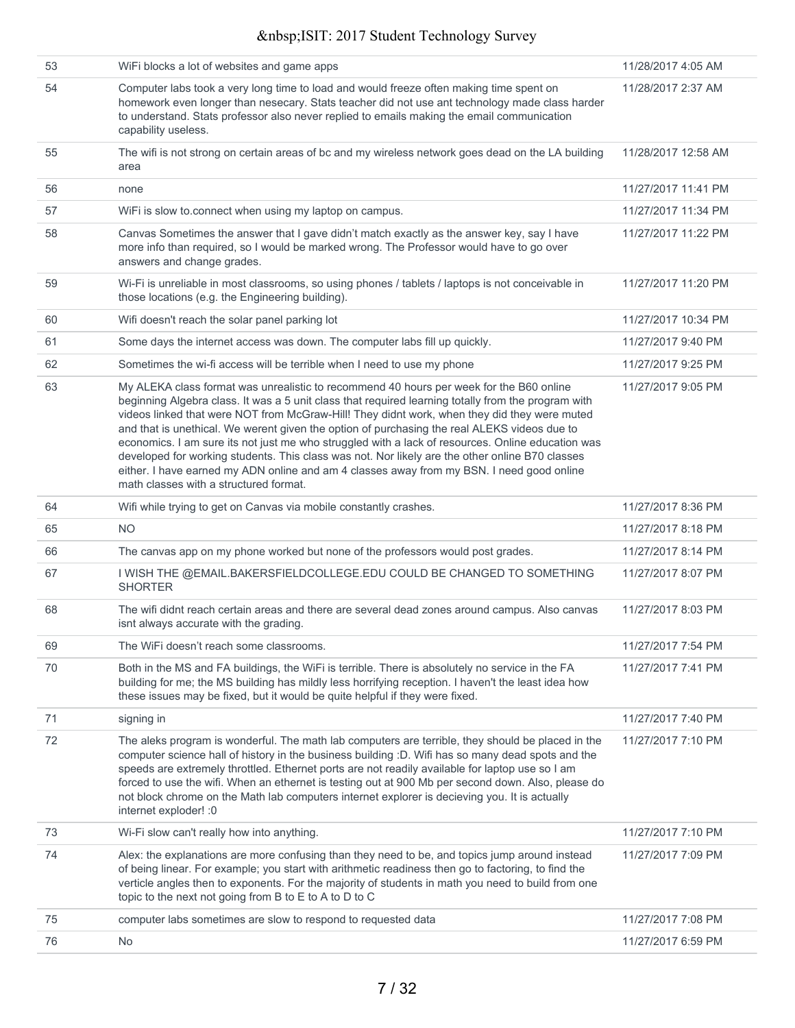| 53 | WiFi blocks a lot of websites and game apps                                                                                                                                                                                                                                                                                                                                                                                                                                                                                                                                                                                                                                                                                                   | 11/28/2017 4:05 AM  |
|----|-----------------------------------------------------------------------------------------------------------------------------------------------------------------------------------------------------------------------------------------------------------------------------------------------------------------------------------------------------------------------------------------------------------------------------------------------------------------------------------------------------------------------------------------------------------------------------------------------------------------------------------------------------------------------------------------------------------------------------------------------|---------------------|
| 54 | Computer labs took a very long time to load and would freeze often making time spent on<br>homework even longer than nesecary. Stats teacher did not use ant technology made class harder<br>to understand. Stats professor also never replied to emails making the email communication<br>capability useless.                                                                                                                                                                                                                                                                                                                                                                                                                                | 11/28/2017 2:37 AM  |
| 55 | The wifi is not strong on certain areas of bc and my wireless network goes dead on the LA building<br>area                                                                                                                                                                                                                                                                                                                                                                                                                                                                                                                                                                                                                                    | 11/28/2017 12:58 AM |
| 56 | none                                                                                                                                                                                                                                                                                                                                                                                                                                                                                                                                                                                                                                                                                                                                          | 11/27/2017 11:41 PM |
| 57 | WiFi is slow to connect when using my laptop on campus.                                                                                                                                                                                                                                                                                                                                                                                                                                                                                                                                                                                                                                                                                       | 11/27/2017 11:34 PM |
| 58 | Canvas Sometimes the answer that I gave didn't match exactly as the answer key, say I have<br>more info than required, so I would be marked wrong. The Professor would have to go over<br>answers and change grades.                                                                                                                                                                                                                                                                                                                                                                                                                                                                                                                          | 11/27/2017 11:22 PM |
| 59 | Wi-Fi is unreliable in most classrooms, so using phones / tablets / laptops is not conceivable in<br>those locations (e.g. the Engineering building).                                                                                                                                                                                                                                                                                                                                                                                                                                                                                                                                                                                         | 11/27/2017 11:20 PM |
| 60 | Wifi doesn't reach the solar panel parking lot                                                                                                                                                                                                                                                                                                                                                                                                                                                                                                                                                                                                                                                                                                | 11/27/2017 10:34 PM |
| 61 | Some days the internet access was down. The computer labs fill up quickly.                                                                                                                                                                                                                                                                                                                                                                                                                                                                                                                                                                                                                                                                    | 11/27/2017 9:40 PM  |
| 62 | Sometimes the wi-fi access will be terrible when I need to use my phone                                                                                                                                                                                                                                                                                                                                                                                                                                                                                                                                                                                                                                                                       | 11/27/2017 9:25 PM  |
| 63 | My ALEKA class format was unrealistic to recommend 40 hours per week for the B60 online<br>beginning Algebra class. It was a 5 unit class that required learning totally from the program with<br>videos linked that were NOT from McGraw-Hill! They didnt work, when they did they were muted<br>and that is unethical. We werent given the option of purchasing the real ALEKS videos due to<br>economics. I am sure its not just me who struggled with a lack of resources. Online education was<br>developed for working students. This class was not. Nor likely are the other online B70 classes<br>either. I have earned my ADN online and am 4 classes away from my BSN. I need good online<br>math classes with a structured format. | 11/27/2017 9:05 PM  |
| 64 | Wifi while trying to get on Canvas via mobile constantly crashes.                                                                                                                                                                                                                                                                                                                                                                                                                                                                                                                                                                                                                                                                             | 11/27/2017 8:36 PM  |
| 65 | <b>NO</b>                                                                                                                                                                                                                                                                                                                                                                                                                                                                                                                                                                                                                                                                                                                                     | 11/27/2017 8:18 PM  |
| 66 | The canvas app on my phone worked but none of the professors would post grades.                                                                                                                                                                                                                                                                                                                                                                                                                                                                                                                                                                                                                                                               | 11/27/2017 8:14 PM  |
| 67 | I WISH THE @EMAIL.BAKERSFIELDCOLLEGE.EDU COULD BE CHANGED TO SOMETHING<br><b>SHORTER</b>                                                                                                                                                                                                                                                                                                                                                                                                                                                                                                                                                                                                                                                      | 11/27/2017 8:07 PM  |
| 68 | The wifi didnt reach certain areas and there are several dead zones around campus. Also canvas<br>isnt always accurate with the grading.                                                                                                                                                                                                                                                                                                                                                                                                                                                                                                                                                                                                      | 11/27/2017 8:03 PM  |
| 69 | The WiFi doesn't reach some classrooms.                                                                                                                                                                                                                                                                                                                                                                                                                                                                                                                                                                                                                                                                                                       | 11/27/2017 7:54 PM  |
| 70 | Both in the MS and FA buildings, the WiFi is terrible. There is absolutely no service in the FA<br>building for me; the MS building has mildly less horrifying reception. I haven't the least idea how<br>these issues may be fixed, but it would be quite helpful if they were fixed.                                                                                                                                                                                                                                                                                                                                                                                                                                                        | 11/27/2017 7:41 PM  |
| 71 | signing in                                                                                                                                                                                                                                                                                                                                                                                                                                                                                                                                                                                                                                                                                                                                    | 11/27/2017 7:40 PM  |
| 72 | The aleks program is wonderful. The math lab computers are terrible, they should be placed in the<br>computer science hall of history in the business building :D. Wifi has so many dead spots and the<br>speeds are extremely throttled. Ethernet ports are not readily available for laptop use so I am<br>forced to use the wifi. When an ethernet is testing out at 900 Mb per second down. Also, please do<br>not block chrome on the Math lab computers internet explorer is decieving you. It is actually<br>internet exploder! :0                                                                                                                                                                                                     | 11/27/2017 7:10 PM  |
| 73 | Wi-Fi slow can't really how into anything.                                                                                                                                                                                                                                                                                                                                                                                                                                                                                                                                                                                                                                                                                                    | 11/27/2017 7:10 PM  |
| 74 | Alex: the explanations are more confusing than they need to be, and topics jump around instead<br>of being linear. For example; you start with arithmetic readiness then go to factoring, to find the<br>verticle angles then to exponents. For the majority of students in math you need to build from one<br>topic to the next not going from B to E to A to D to C                                                                                                                                                                                                                                                                                                                                                                         | 11/27/2017 7:09 PM  |
| 75 | computer labs sometimes are slow to respond to requested data                                                                                                                                                                                                                                                                                                                                                                                                                                                                                                                                                                                                                                                                                 | 11/27/2017 7:08 PM  |
| 76 | <b>No</b>                                                                                                                                                                                                                                                                                                                                                                                                                                                                                                                                                                                                                                                                                                                                     | 11/27/2017 6:59 PM  |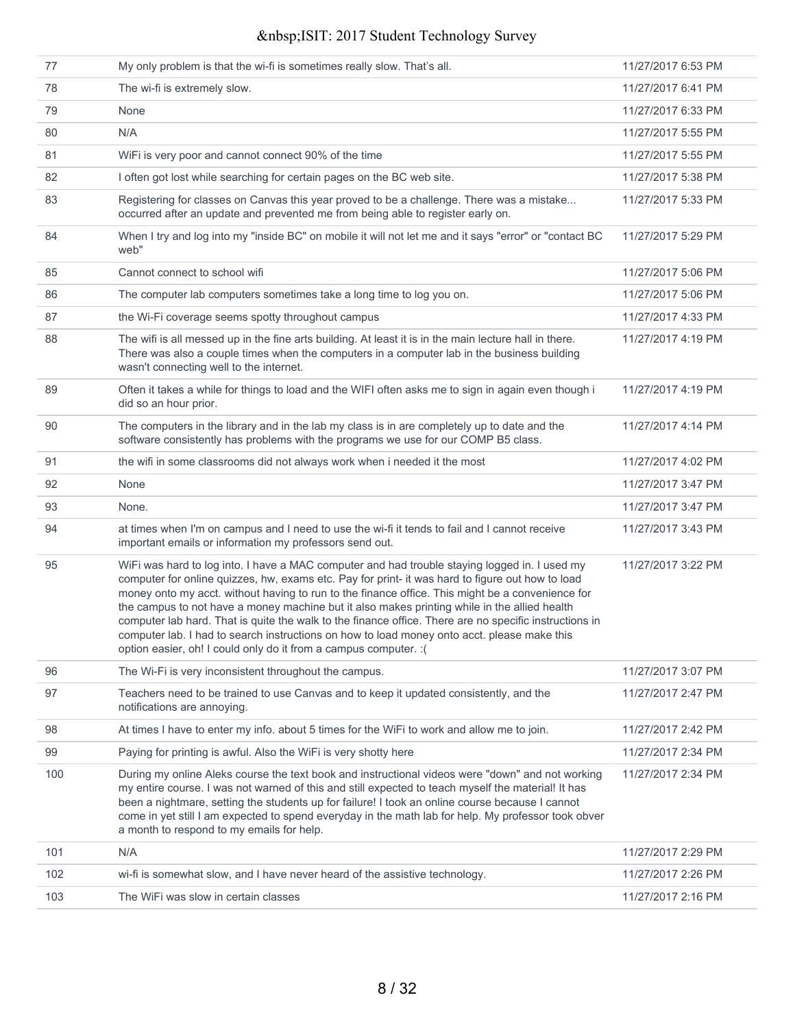| 77  | My only problem is that the wi-fi is sometimes really slow. That's all.                                                                                                                                                                                                                                                                                                                                                                                                                                                                                                                                                                                                             | 11/27/2017 6:53 PM |
|-----|-------------------------------------------------------------------------------------------------------------------------------------------------------------------------------------------------------------------------------------------------------------------------------------------------------------------------------------------------------------------------------------------------------------------------------------------------------------------------------------------------------------------------------------------------------------------------------------------------------------------------------------------------------------------------------------|--------------------|
| 78  | The wi-fi is extremely slow.                                                                                                                                                                                                                                                                                                                                                                                                                                                                                                                                                                                                                                                        | 11/27/2017 6:41 PM |
| 79  | None                                                                                                                                                                                                                                                                                                                                                                                                                                                                                                                                                                                                                                                                                | 11/27/2017 6:33 PM |
| 80  | N/A                                                                                                                                                                                                                                                                                                                                                                                                                                                                                                                                                                                                                                                                                 | 11/27/2017 5:55 PM |
| 81  | WiFi is very poor and cannot connect 90% of the time                                                                                                                                                                                                                                                                                                                                                                                                                                                                                                                                                                                                                                | 11/27/2017 5:55 PM |
| 82  | I often got lost while searching for certain pages on the BC web site.                                                                                                                                                                                                                                                                                                                                                                                                                                                                                                                                                                                                              | 11/27/2017 5:38 PM |
| 83  | Registering for classes on Canvas this year proved to be a challenge. There was a mistake<br>occurred after an update and prevented me from being able to register early on.                                                                                                                                                                                                                                                                                                                                                                                                                                                                                                        | 11/27/2017 5:33 PM |
| 84  | When I try and log into my "inside BC" on mobile it will not let me and it says "error" or "contact BC<br>web"                                                                                                                                                                                                                                                                                                                                                                                                                                                                                                                                                                      | 11/27/2017 5:29 PM |
| 85  | Cannot connect to school wifi                                                                                                                                                                                                                                                                                                                                                                                                                                                                                                                                                                                                                                                       | 11/27/2017 5:06 PM |
| 86  | The computer lab computers sometimes take a long time to log you on.                                                                                                                                                                                                                                                                                                                                                                                                                                                                                                                                                                                                                | 11/27/2017 5:06 PM |
| 87  | the Wi-Fi coverage seems spotty throughout campus                                                                                                                                                                                                                                                                                                                                                                                                                                                                                                                                                                                                                                   | 11/27/2017 4:33 PM |
| 88  | The wifi is all messed up in the fine arts building. At least it is in the main lecture hall in there.<br>There was also a couple times when the computers in a computer lab in the business building<br>wasn't connecting well to the internet.                                                                                                                                                                                                                                                                                                                                                                                                                                    | 11/27/2017 4:19 PM |
| 89  | Often it takes a while for things to load and the WIFI often asks me to sign in again even though i<br>did so an hour prior.                                                                                                                                                                                                                                                                                                                                                                                                                                                                                                                                                        | 11/27/2017 4:19 PM |
| 90  | The computers in the library and in the lab my class is in are completely up to date and the<br>software consistently has problems with the programs we use for our COMP B5 class.                                                                                                                                                                                                                                                                                                                                                                                                                                                                                                  | 11/27/2017 4:14 PM |
| 91  | the wifi in some classrooms did not always work when i needed it the most                                                                                                                                                                                                                                                                                                                                                                                                                                                                                                                                                                                                           | 11/27/2017 4:02 PM |
| 92  | None                                                                                                                                                                                                                                                                                                                                                                                                                                                                                                                                                                                                                                                                                | 11/27/2017 3:47 PM |
| 93  | None.                                                                                                                                                                                                                                                                                                                                                                                                                                                                                                                                                                                                                                                                               | 11/27/2017 3:47 PM |
| 94  | at times when I'm on campus and I need to use the wi-fi it tends to fail and I cannot receive<br>important emails or information my professors send out.                                                                                                                                                                                                                                                                                                                                                                                                                                                                                                                            | 11/27/2017 3:43 PM |
| 95  | WiFi was hard to log into. I have a MAC computer and had trouble staying logged in. I used my<br>computer for online quizzes, hw, exams etc. Pay for print- it was hard to figure out how to load<br>money onto my acct. without having to run to the finance office. This might be a convenience for<br>the campus to not have a money machine but it also makes printing while in the allied health<br>computer lab hard. That is quite the walk to the finance office. There are no specific instructions in<br>computer lab. I had to search instructions on how to load money onto acct. please make this<br>option easier, oh! I could only do it from a campus computer. : ( | 11/27/2017 3:22 PM |
| 96  | The Wi-Fi is very inconsistent throughout the campus.                                                                                                                                                                                                                                                                                                                                                                                                                                                                                                                                                                                                                               | 11/27/2017 3:07 PM |
| 97  | Teachers need to be trained to use Canvas and to keep it updated consistently, and the<br>notifications are annoying.                                                                                                                                                                                                                                                                                                                                                                                                                                                                                                                                                               | 11/27/2017 2:47 PM |
| 98  | At times I have to enter my info. about 5 times for the WiFi to work and allow me to join.                                                                                                                                                                                                                                                                                                                                                                                                                                                                                                                                                                                          | 11/27/2017 2:42 PM |
| 99  | Paying for printing is awful. Also the WiFi is very shotty here                                                                                                                                                                                                                                                                                                                                                                                                                                                                                                                                                                                                                     | 11/27/2017 2:34 PM |
| 100 | During my online Aleks course the text book and instructional videos were "down" and not working<br>my entire course. I was not warned of this and still expected to teach myself the material! It has<br>been a nightmare, setting the students up for failure! I took an online course because I cannot<br>come in yet still I am expected to spend everyday in the math lab for help. My professor took obver<br>a month to respond to my emails for help.                                                                                                                                                                                                                       | 11/27/2017 2:34 PM |
| 101 | N/A                                                                                                                                                                                                                                                                                                                                                                                                                                                                                                                                                                                                                                                                                 | 11/27/2017 2:29 PM |
| 102 | wi-fi is somewhat slow, and I have never heard of the assistive technology.                                                                                                                                                                                                                                                                                                                                                                                                                                                                                                                                                                                                         | 11/27/2017 2:26 PM |
| 103 | The WiFi was slow in certain classes                                                                                                                                                                                                                                                                                                                                                                                                                                                                                                                                                                                                                                                | 11/27/2017 2:16 PM |
|     |                                                                                                                                                                                                                                                                                                                                                                                                                                                                                                                                                                                                                                                                                     |                    |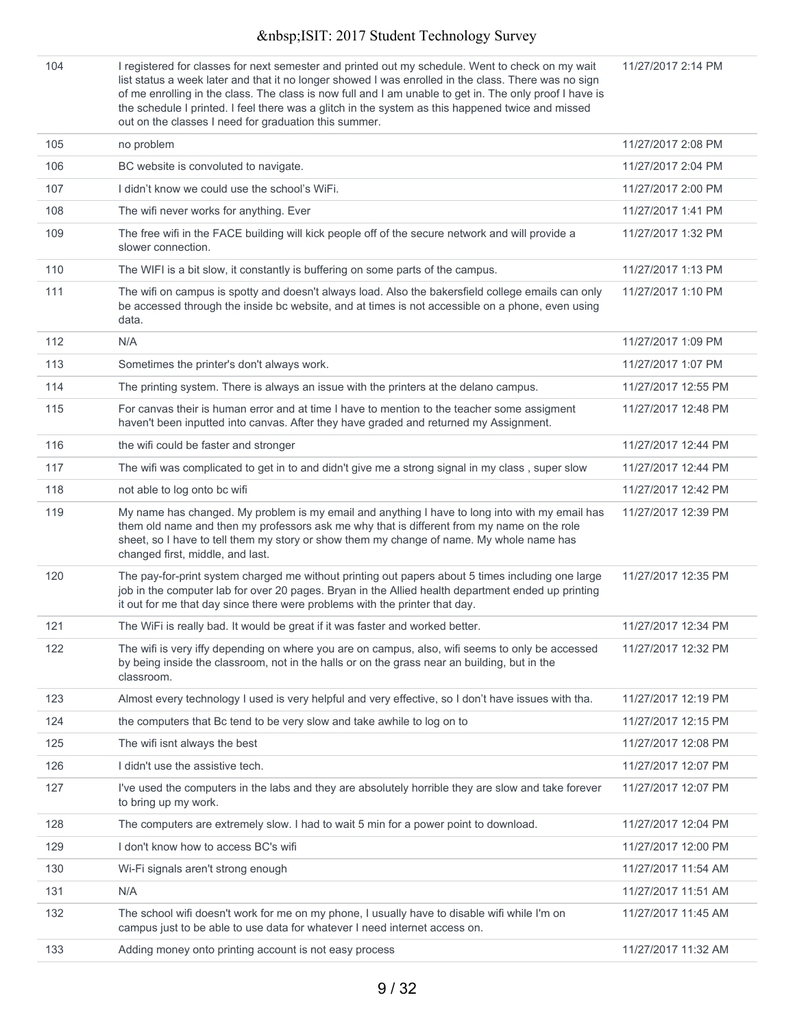11/27/2017 2:14 PM

104 I registered for classes for next semester and printed out my schedule. Went to check on my wait list status a week later and that it no longer showed I was enrolled in the class. There was no sign of me enrolling in the class. The class is now full and I am unable to get in. The only proof I have is the schedule I printed. I feel there was a glitch in the system as this happened twice and missed out on the classes I need for graduation this summer.

| 105 | no problem                                                                                                                                                                                                                                                                                                                   | 11/27/2017 2:08 PM  |
|-----|------------------------------------------------------------------------------------------------------------------------------------------------------------------------------------------------------------------------------------------------------------------------------------------------------------------------------|---------------------|
| 106 | BC website is convoluted to navigate.                                                                                                                                                                                                                                                                                        | 11/27/2017 2:04 PM  |
| 107 | I didn't know we could use the school's WiFi.                                                                                                                                                                                                                                                                                | 11/27/2017 2:00 PM  |
| 108 | The wifi never works for anything. Ever                                                                                                                                                                                                                                                                                      | 11/27/2017 1:41 PM  |
| 109 | The free wifi in the FACE building will kick people off of the secure network and will provide a<br>slower connection.                                                                                                                                                                                                       | 11/27/2017 1:32 PM  |
| 110 | The WIFI is a bit slow, it constantly is buffering on some parts of the campus.                                                                                                                                                                                                                                              | 11/27/2017 1:13 PM  |
| 111 | The wifi on campus is spotty and doesn't always load. Also the bakersfield college emails can only<br>be accessed through the inside bc website, and at times is not accessible on a phone, even using<br>data.                                                                                                              | 11/27/2017 1:10 PM  |
| 112 | N/A                                                                                                                                                                                                                                                                                                                          | 11/27/2017 1:09 PM  |
| 113 | Sometimes the printer's don't always work.                                                                                                                                                                                                                                                                                   | 11/27/2017 1:07 PM  |
| 114 | The printing system. There is always an issue with the printers at the delano campus.                                                                                                                                                                                                                                        | 11/27/2017 12:55 PM |
| 115 | For canvas their is human error and at time I have to mention to the teacher some assigment<br>haven't been inputted into canvas. After they have graded and returned my Assignment.                                                                                                                                         | 11/27/2017 12:48 PM |
| 116 | the wifi could be faster and stronger                                                                                                                                                                                                                                                                                        | 11/27/2017 12:44 PM |
| 117 | The wifi was complicated to get in to and didn't give me a strong signal in my class, super slow                                                                                                                                                                                                                             | 11/27/2017 12:44 PM |
| 118 | not able to log onto bc wifi                                                                                                                                                                                                                                                                                                 | 11/27/2017 12:42 PM |
| 119 | My name has changed. My problem is my email and anything I have to long into with my email has<br>them old name and then my professors ask me why that is different from my name on the role<br>sheet, so I have to tell them my story or show them my change of name. My whole name has<br>changed first, middle, and last. | 11/27/2017 12:39 PM |
| 120 | The pay-for-print system charged me without printing out papers about 5 times including one large<br>job in the computer lab for over 20 pages. Bryan in the Allied health department ended up printing<br>it out for me that day since there were problems with the printer that day.                                       | 11/27/2017 12:35 PM |
| 121 | The WiFi is really bad. It would be great if it was faster and worked better.                                                                                                                                                                                                                                                | 11/27/2017 12:34 PM |
| 122 | The wifi is very iffy depending on where you are on campus, also, wifi seems to only be accessed<br>by being inside the classroom, not in the halls or on the grass near an building, but in the<br>classroom.                                                                                                               | 11/27/2017 12:32 PM |
| 123 | Almost every technology I used is very helpful and very effective, so I don't have issues with tha.                                                                                                                                                                                                                          | 11/27/2017 12:19 PM |
| 124 | the computers that Bc tend to be very slow and take awhile to log on to                                                                                                                                                                                                                                                      | 11/27/2017 12:15 PM |
| 125 | The wifi isnt always the best                                                                                                                                                                                                                                                                                                | 11/27/2017 12:08 PM |
| 126 | I didn't use the assistive tech.                                                                                                                                                                                                                                                                                             | 11/27/2017 12:07 PM |
| 127 | I've used the computers in the labs and they are absolutely horrible they are slow and take forever<br>to bring up my work.                                                                                                                                                                                                  | 11/27/2017 12:07 PM |
| 128 | The computers are extremely slow. I had to wait 5 min for a power point to download.                                                                                                                                                                                                                                         | 11/27/2017 12:04 PM |
| 129 | I don't know how to access BC's wifi                                                                                                                                                                                                                                                                                         | 11/27/2017 12:00 PM |
| 130 | Wi-Fi signals aren't strong enough                                                                                                                                                                                                                                                                                           | 11/27/2017 11:54 AM |
| 131 | N/A                                                                                                                                                                                                                                                                                                                          | 11/27/2017 11:51 AM |
| 132 | The school wifi doesn't work for me on my phone, I usually have to disable wifi while I'm on<br>campus just to be able to use data for whatever I need internet access on.                                                                                                                                                   | 11/27/2017 11:45 AM |
| 133 | Adding money onto printing account is not easy process                                                                                                                                                                                                                                                                       | 11/27/2017 11:32 AM |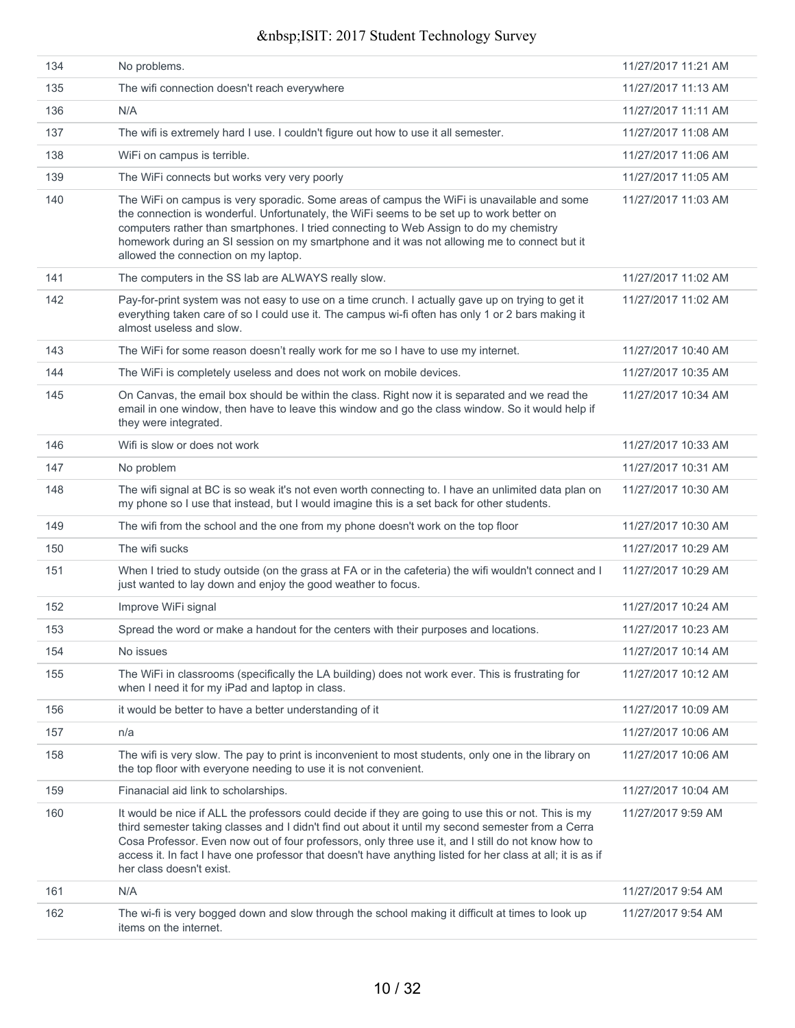|            | No problems.                                                                                                                                                                                                                                                                                                                                                                                                                    | 11/27/2017 11:21 AM |
|------------|---------------------------------------------------------------------------------------------------------------------------------------------------------------------------------------------------------------------------------------------------------------------------------------------------------------------------------------------------------------------------------------------------------------------------------|---------------------|
| 134<br>135 |                                                                                                                                                                                                                                                                                                                                                                                                                                 | 11/27/2017 11:13 AM |
|            | The wifi connection doesn't reach everywhere                                                                                                                                                                                                                                                                                                                                                                                    |                     |
| 136        | N/A                                                                                                                                                                                                                                                                                                                                                                                                                             | 11/27/2017 11:11 AM |
| 137        | The wifi is extremely hard I use. I couldn't figure out how to use it all semester.                                                                                                                                                                                                                                                                                                                                             | 11/27/2017 11:08 AM |
| 138        | WiFi on campus is terrible.                                                                                                                                                                                                                                                                                                                                                                                                     | 11/27/2017 11:06 AM |
| 139        | The WiFi connects but works very very poorly                                                                                                                                                                                                                                                                                                                                                                                    | 11/27/2017 11:05 AM |
| 140        | The WiFi on campus is very sporadic. Some areas of campus the WiFi is unavailable and some<br>the connection is wonderful. Unfortunately, the WiFi seems to be set up to work better on<br>computers rather than smartphones. I tried connecting to Web Assign to do my chemistry<br>homework during an SI session on my smartphone and it was not allowing me to connect but it<br>allowed the connection on my laptop.        | 11/27/2017 11:03 AM |
| 141        | The computers in the SS lab are ALWAYS really slow.                                                                                                                                                                                                                                                                                                                                                                             | 11/27/2017 11:02 AM |
| 142        | Pay-for-print system was not easy to use on a time crunch. I actually gave up on trying to get it<br>everything taken care of so I could use it. The campus wi-fi often has only 1 or 2 bars making it<br>almost useless and slow.                                                                                                                                                                                              | 11/27/2017 11:02 AM |
| 143        | The WiFi for some reason doesn't really work for me so I have to use my internet.                                                                                                                                                                                                                                                                                                                                               | 11/27/2017 10:40 AM |
| 144        | The WiFi is completely useless and does not work on mobile devices.                                                                                                                                                                                                                                                                                                                                                             | 11/27/2017 10:35 AM |
| 145        | On Canvas, the email box should be within the class. Right now it is separated and we read the<br>email in one window, then have to leave this window and go the class window. So it would help if<br>they were integrated.                                                                                                                                                                                                     | 11/27/2017 10:34 AM |
| 146        | Wifi is slow or does not work                                                                                                                                                                                                                                                                                                                                                                                                   | 11/27/2017 10:33 AM |
| 147        | No problem                                                                                                                                                                                                                                                                                                                                                                                                                      | 11/27/2017 10:31 AM |
| 148        | The wifi signal at BC is so weak it's not even worth connecting to. I have an unlimited data plan on<br>my phone so I use that instead, but I would imagine this is a set back for other students.                                                                                                                                                                                                                              | 11/27/2017 10:30 AM |
| 149        | The wifi from the school and the one from my phone doesn't work on the top floor                                                                                                                                                                                                                                                                                                                                                | 11/27/2017 10:30 AM |
| 150        | The wifi sucks                                                                                                                                                                                                                                                                                                                                                                                                                  | 11/27/2017 10:29 AM |
| 151        | When I tried to study outside (on the grass at FA or in the cafeteria) the wifi wouldn't connect and I<br>just wanted to lay down and enjoy the good weather to focus.                                                                                                                                                                                                                                                          | 11/27/2017 10:29 AM |
| 152        | Improve WiFi signal                                                                                                                                                                                                                                                                                                                                                                                                             | 11/27/2017 10:24 AM |
| 153        | Spread the word or make a handout for the centers with their purposes and locations.                                                                                                                                                                                                                                                                                                                                            | 11/27/2017 10:23 AM |
| 154        | No issues                                                                                                                                                                                                                                                                                                                                                                                                                       | 11/27/2017 10:14 AM |
| 155        | The WiFi in classrooms (specifically the LA building) does not work ever. This is frustrating for<br>when I need it for my iPad and laptop in class.                                                                                                                                                                                                                                                                            | 11/27/2017 10:12 AM |
| 156        | it would be better to have a better understanding of it                                                                                                                                                                                                                                                                                                                                                                         | 11/27/2017 10:09 AM |
| 157        | n/a                                                                                                                                                                                                                                                                                                                                                                                                                             | 11/27/2017 10:06 AM |
| 158        | The wifi is very slow. The pay to print is inconvenient to most students, only one in the library on<br>the top floor with everyone needing to use it is not convenient.                                                                                                                                                                                                                                                        | 11/27/2017 10:06 AM |
| 159        | Finanacial aid link to scholarships.                                                                                                                                                                                                                                                                                                                                                                                            | 11/27/2017 10:04 AM |
| 160        | It would be nice if ALL the professors could decide if they are going to use this or not. This is my<br>third semester taking classes and I didn't find out about it until my second semester from a Cerra<br>Cosa Professor. Even now out of four professors, only three use it, and I still do not know how to<br>access it. In fact I have one professor that doesn't have anything listed for her class at all; it is as if | 11/27/2017 9:59 AM  |
|            | her class doesn't exist.                                                                                                                                                                                                                                                                                                                                                                                                        |                     |
| 161        | N/A                                                                                                                                                                                                                                                                                                                                                                                                                             | 11/27/2017 9:54 AM  |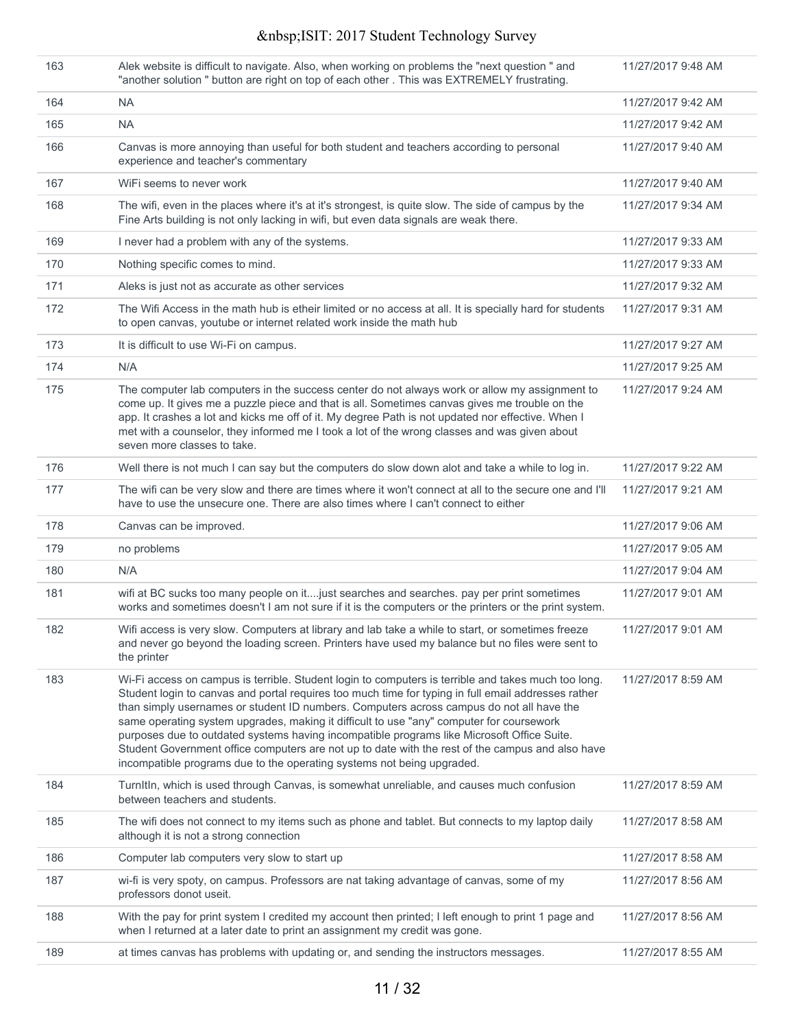| 163 | Alek website is difficult to navigate. Also, when working on problems the "next question " and<br>"another solution " button are right on top of each other . This was EXTREMELY frustrating.                                                                                                                                                                                                                                                                                                                                                                                                                                                                                  | 11/27/2017 9:48 AM |
|-----|--------------------------------------------------------------------------------------------------------------------------------------------------------------------------------------------------------------------------------------------------------------------------------------------------------------------------------------------------------------------------------------------------------------------------------------------------------------------------------------------------------------------------------------------------------------------------------------------------------------------------------------------------------------------------------|--------------------|
| 164 | <b>NA</b>                                                                                                                                                                                                                                                                                                                                                                                                                                                                                                                                                                                                                                                                      | 11/27/2017 9:42 AM |
| 165 | <b>NA</b>                                                                                                                                                                                                                                                                                                                                                                                                                                                                                                                                                                                                                                                                      | 11/27/2017 9:42 AM |
| 166 | Canvas is more annoying than useful for both student and teachers according to personal<br>experience and teacher's commentary                                                                                                                                                                                                                                                                                                                                                                                                                                                                                                                                                 | 11/27/2017 9:40 AM |
| 167 | WiFi seems to never work                                                                                                                                                                                                                                                                                                                                                                                                                                                                                                                                                                                                                                                       | 11/27/2017 9:40 AM |
| 168 | The wifi, even in the places where it's at it's strongest, is quite slow. The side of campus by the<br>Fine Arts building is not only lacking in wifi, but even data signals are weak there.                                                                                                                                                                                                                                                                                                                                                                                                                                                                                   | 11/27/2017 9:34 AM |
| 169 | I never had a problem with any of the systems.                                                                                                                                                                                                                                                                                                                                                                                                                                                                                                                                                                                                                                 | 11/27/2017 9:33 AM |
| 170 | Nothing specific comes to mind.                                                                                                                                                                                                                                                                                                                                                                                                                                                                                                                                                                                                                                                | 11/27/2017 9:33 AM |
| 171 | Aleks is just not as accurate as other services                                                                                                                                                                                                                                                                                                                                                                                                                                                                                                                                                                                                                                | 11/27/2017 9:32 AM |
| 172 | The Wifi Access in the math hub is etheir limited or no access at all. It is specially hard for students<br>to open canvas, youtube or internet related work inside the math hub                                                                                                                                                                                                                                                                                                                                                                                                                                                                                               | 11/27/2017 9:31 AM |
| 173 | It is difficult to use Wi-Fi on campus.                                                                                                                                                                                                                                                                                                                                                                                                                                                                                                                                                                                                                                        | 11/27/2017 9:27 AM |
| 174 | N/A                                                                                                                                                                                                                                                                                                                                                                                                                                                                                                                                                                                                                                                                            | 11/27/2017 9:25 AM |
| 175 | The computer lab computers in the success center do not always work or allow my assignment to<br>come up. It gives me a puzzle piece and that is all. Sometimes canvas gives me trouble on the<br>app. It crashes a lot and kicks me off of it. My degree Path is not updated nor effective. When I<br>met with a counselor, they informed me I took a lot of the wrong classes and was given about<br>seven more classes to take.                                                                                                                                                                                                                                             | 11/27/2017 9:24 AM |
| 176 | Well there is not much I can say but the computers do slow down alot and take a while to log in.                                                                                                                                                                                                                                                                                                                                                                                                                                                                                                                                                                               | 11/27/2017 9:22 AM |
| 177 | The wifi can be very slow and there are times where it won't connect at all to the secure one and I'll<br>have to use the unsecure one. There are also times where I can't connect to either                                                                                                                                                                                                                                                                                                                                                                                                                                                                                   | 11/27/2017 9:21 AM |
| 178 | Canvas can be improved.                                                                                                                                                                                                                                                                                                                                                                                                                                                                                                                                                                                                                                                        | 11/27/2017 9:06 AM |
| 179 | no problems                                                                                                                                                                                                                                                                                                                                                                                                                                                                                                                                                                                                                                                                    | 11/27/2017 9:05 AM |
| 180 | N/A                                                                                                                                                                                                                                                                                                                                                                                                                                                                                                                                                                                                                                                                            | 11/27/2017 9:04 AM |
| 181 | wifi at BC sucks too many people on itjust searches and searches. pay per print sometimes<br>works and sometimes doesn't I am not sure if it is the computers or the printers or the print system.                                                                                                                                                                                                                                                                                                                                                                                                                                                                             | 11/27/2017 9:01 AM |
| 182 | Wifi access is very slow. Computers at library and lab take a while to start, or sometimes freeze<br>and never go beyond the loading screen. Printers have used my balance but no files were sent to<br>the printer                                                                                                                                                                                                                                                                                                                                                                                                                                                            | 11/27/2017 9:01 AM |
| 183 | Wi-Fi access on campus is terrible. Student login to computers is terrible and takes much too long.<br>Student login to canvas and portal requires too much time for typing in full email addresses rather<br>than simply usernames or student ID numbers. Computers across campus do not all have the<br>same operating system upgrades, making it difficult to use "any" computer for coursework<br>purposes due to outdated systems having incompatible programs like Microsoft Office Suite.<br>Student Government office computers are not up to date with the rest of the campus and also have<br>incompatible programs due to the operating systems not being upgraded. | 11/27/2017 8:59 AM |
| 184 | TurnItIn, which is used through Canvas, is somewhat unreliable, and causes much confusion<br>between teachers and students.                                                                                                                                                                                                                                                                                                                                                                                                                                                                                                                                                    | 11/27/2017 8:59 AM |
| 185 | The wifi does not connect to my items such as phone and tablet. But connects to my laptop daily<br>although it is not a strong connection                                                                                                                                                                                                                                                                                                                                                                                                                                                                                                                                      | 11/27/2017 8:58 AM |
| 186 | Computer lab computers very slow to start up                                                                                                                                                                                                                                                                                                                                                                                                                                                                                                                                                                                                                                   | 11/27/2017 8:58 AM |
| 187 | wi-fi is very spoty, on campus. Professors are nat taking advantage of canvas, some of my<br>professors donot useit.                                                                                                                                                                                                                                                                                                                                                                                                                                                                                                                                                           | 11/27/2017 8:56 AM |
| 188 | With the pay for print system I credited my account then printed; I left enough to print 1 page and<br>when I returned at a later date to print an assignment my credit was gone.                                                                                                                                                                                                                                                                                                                                                                                                                                                                                              | 11/27/2017 8:56 AM |
| 189 | at times canvas has problems with updating or, and sending the instructors messages.                                                                                                                                                                                                                                                                                                                                                                                                                                                                                                                                                                                           | 11/27/2017 8:55 AM |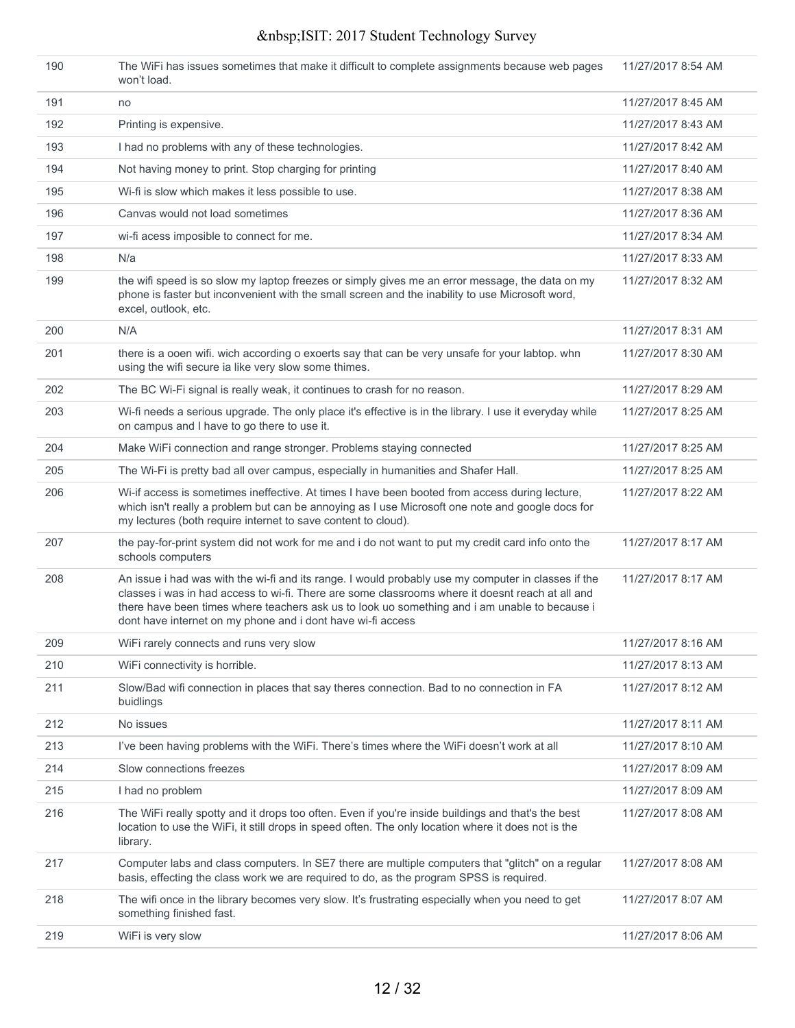| 190 | The WiFi has issues sometimes that make it difficult to complete assignments because web pages<br>won't load.                                                                                                                                                                                                                                                           | 11/27/2017 8:54 AM |
|-----|-------------------------------------------------------------------------------------------------------------------------------------------------------------------------------------------------------------------------------------------------------------------------------------------------------------------------------------------------------------------------|--------------------|
| 191 | no                                                                                                                                                                                                                                                                                                                                                                      | 11/27/2017 8:45 AM |
| 192 | Printing is expensive.                                                                                                                                                                                                                                                                                                                                                  | 11/27/2017 8:43 AM |
| 193 | I had no problems with any of these technologies.                                                                                                                                                                                                                                                                                                                       | 11/27/2017 8:42 AM |
| 194 | Not having money to print. Stop charging for printing                                                                                                                                                                                                                                                                                                                   | 11/27/2017 8:40 AM |
| 195 | Wi-fi is slow which makes it less possible to use.                                                                                                                                                                                                                                                                                                                      | 11/27/2017 8:38 AM |
| 196 | Canvas would not load sometimes                                                                                                                                                                                                                                                                                                                                         | 11/27/2017 8:36 AM |
| 197 | wi-fi acess imposible to connect for me.                                                                                                                                                                                                                                                                                                                                | 11/27/2017 8:34 AM |
| 198 | N/a                                                                                                                                                                                                                                                                                                                                                                     | 11/27/2017 8:33 AM |
| 199 | the wifi speed is so slow my laptop freezes or simply gives me an error message, the data on my<br>phone is faster but inconvenient with the small screen and the inability to use Microsoft word,<br>excel, outlook, etc.                                                                                                                                              | 11/27/2017 8:32 AM |
| 200 | N/A                                                                                                                                                                                                                                                                                                                                                                     | 11/27/2017 8:31 AM |
| 201 | there is a ooen wifi. wich according o exoerts say that can be very unsafe for your labtop. whn<br>using the wifi secure ia like very slow some thimes.                                                                                                                                                                                                                 | 11/27/2017 8:30 AM |
| 202 | The BC Wi-Fi signal is really weak, it continues to crash for no reason.                                                                                                                                                                                                                                                                                                | 11/27/2017 8:29 AM |
| 203 | Wi-fi needs a serious upgrade. The only place it's effective is in the library. I use it everyday while<br>on campus and I have to go there to use it.                                                                                                                                                                                                                  | 11/27/2017 8:25 AM |
| 204 | Make WiFi connection and range stronger. Problems staying connected                                                                                                                                                                                                                                                                                                     | 11/27/2017 8:25 AM |
| 205 | The Wi-Fi is pretty bad all over campus, especially in humanities and Shafer Hall.                                                                                                                                                                                                                                                                                      | 11/27/2017 8:25 AM |
| 206 | Wi-if access is sometimes ineffective. At times I have been booted from access during lecture,<br>which isn't really a problem but can be annoying as I use Microsoft one note and google docs for<br>my lectures (both require internet to save content to cloud).                                                                                                     | 11/27/2017 8:22 AM |
| 207 | the pay-for-print system did not work for me and i do not want to put my credit card info onto the<br>schools computers                                                                                                                                                                                                                                                 | 11/27/2017 8:17 AM |
| 208 | An issue i had was with the wi-fi and its range. I would probably use my computer in classes if the<br>classes i was in had access to wi-fi. There are some classrooms where it doesnt reach at all and<br>there have been times where teachers ask us to look uo something and i am unable to because i<br>dont have internet on my phone and i dont have wi-fi access | 11/27/2017 8:17 AM |
| 209 | WiFi rarely connects and runs very slow                                                                                                                                                                                                                                                                                                                                 | 11/27/2017 8:16 AM |
| 210 | WiFi connectivity is horrible.                                                                                                                                                                                                                                                                                                                                          | 11/27/2017 8:13 AM |
| 211 | Slow/Bad wifi connection in places that say theres connection. Bad to no connection in FA<br>buidlings                                                                                                                                                                                                                                                                  | 11/27/2017 8:12 AM |
| 212 | No issues                                                                                                                                                                                                                                                                                                                                                               | 11/27/2017 8:11 AM |
| 213 | I've been having problems with the WiFi. There's times where the WiFi doesn't work at all                                                                                                                                                                                                                                                                               | 11/27/2017 8:10 AM |
| 214 | Slow connections freezes                                                                                                                                                                                                                                                                                                                                                | 11/27/2017 8:09 AM |
| 215 | I had no problem                                                                                                                                                                                                                                                                                                                                                        | 11/27/2017 8:09 AM |
| 216 | The WiFi really spotty and it drops too often. Even if you're inside buildings and that's the best<br>location to use the WiFi, it still drops in speed often. The only location where it does not is the<br>library.                                                                                                                                                   | 11/27/2017 8:08 AM |
| 217 | Computer labs and class computers. In SE7 there are multiple computers that "glitch" on a regular<br>basis, effecting the class work we are required to do, as the program SPSS is required.                                                                                                                                                                            | 11/27/2017 8:08 AM |
| 218 | The wifi once in the library becomes very slow. It's frustrating especially when you need to get<br>something finished fast.                                                                                                                                                                                                                                            | 11/27/2017 8:07 AM |
| 219 | WiFi is very slow                                                                                                                                                                                                                                                                                                                                                       | 11/27/2017 8:06 AM |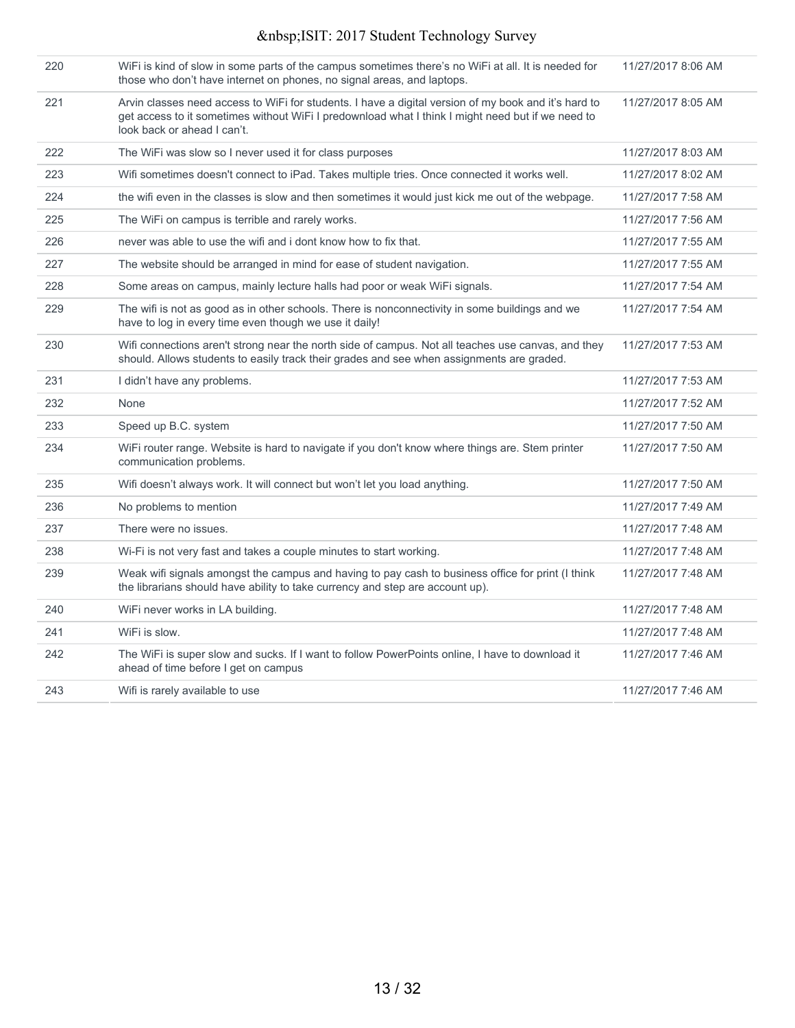| 220 | WiFi is kind of slow in some parts of the campus sometimes there's no WiFi at all. It is needed for<br>those who don't have internet on phones, no signal areas, and laptops.                                                            | 11/27/2017 8:06 AM |
|-----|------------------------------------------------------------------------------------------------------------------------------------------------------------------------------------------------------------------------------------------|--------------------|
| 221 | Arvin classes need access to WiFi for students. I have a digital version of my book and it's hard to<br>get access to it sometimes without WiFi I predownload what I think I might need but if we need to<br>look back or ahead I can't. | 11/27/2017 8:05 AM |
| 222 | The WiFi was slow so I never used it for class purposes                                                                                                                                                                                  | 11/27/2017 8:03 AM |
| 223 | Wifi sometimes doesn't connect to iPad. Takes multiple tries. Once connected it works well.                                                                                                                                              | 11/27/2017 8:02 AM |
| 224 | the wifi even in the classes is slow and then sometimes it would just kick me out of the webpage.                                                                                                                                        | 11/27/2017 7:58 AM |
| 225 | The WiFi on campus is terrible and rarely works.                                                                                                                                                                                         | 11/27/2017 7:56 AM |
| 226 | never was able to use the wifi and i dont know how to fix that.                                                                                                                                                                          | 11/27/2017 7:55 AM |
| 227 | The website should be arranged in mind for ease of student navigation.                                                                                                                                                                   | 11/27/2017 7:55 AM |
| 228 | Some areas on campus, mainly lecture halls had poor or weak WiFi signals.                                                                                                                                                                | 11/27/2017 7:54 AM |
| 229 | The wifi is not as good as in other schools. There is nonconnectivity in some buildings and we<br>have to log in every time even though we use it daily!                                                                                 | 11/27/2017 7:54 AM |
| 230 | Wifi connections aren't strong near the north side of campus. Not all teaches use canvas, and they<br>should. Allows students to easily track their grades and see when assignments are graded.                                          | 11/27/2017 7:53 AM |
| 231 | I didn't have any problems.                                                                                                                                                                                                              | 11/27/2017 7:53 AM |
| 232 | None                                                                                                                                                                                                                                     | 11/27/2017 7:52 AM |
| 233 | Speed up B.C. system                                                                                                                                                                                                                     | 11/27/2017 7:50 AM |
| 234 | WiFi router range. Website is hard to navigate if you don't know where things are. Stem printer<br>communication problems.                                                                                                               | 11/27/2017 7:50 AM |
| 235 | Wifi doesn't always work. It will connect but won't let you load anything.                                                                                                                                                               | 11/27/2017 7:50 AM |
| 236 | No problems to mention                                                                                                                                                                                                                   | 11/27/2017 7:49 AM |
| 237 | There were no issues.                                                                                                                                                                                                                    | 11/27/2017 7:48 AM |
| 238 | Wi-Fi is not very fast and takes a couple minutes to start working.                                                                                                                                                                      | 11/27/2017 7:48 AM |
| 239 | Weak wifi signals amongst the campus and having to pay cash to business office for print (I think<br>the librarians should have ability to take currency and step are account up).                                                       | 11/27/2017 7:48 AM |
| 240 | WiFi never works in LA building.                                                                                                                                                                                                         | 11/27/2017 7:48 AM |
| 241 | WiFi is slow.                                                                                                                                                                                                                            | 11/27/2017 7:48 AM |
| 242 | The WiFi is super slow and sucks. If I want to follow PowerPoints online, I have to download it<br>ahead of time before I get on campus                                                                                                  | 11/27/2017 7:46 AM |
| 243 | Wifi is rarely available to use                                                                                                                                                                                                          | 11/27/2017 7:46 AM |
|     |                                                                                                                                                                                                                                          |                    |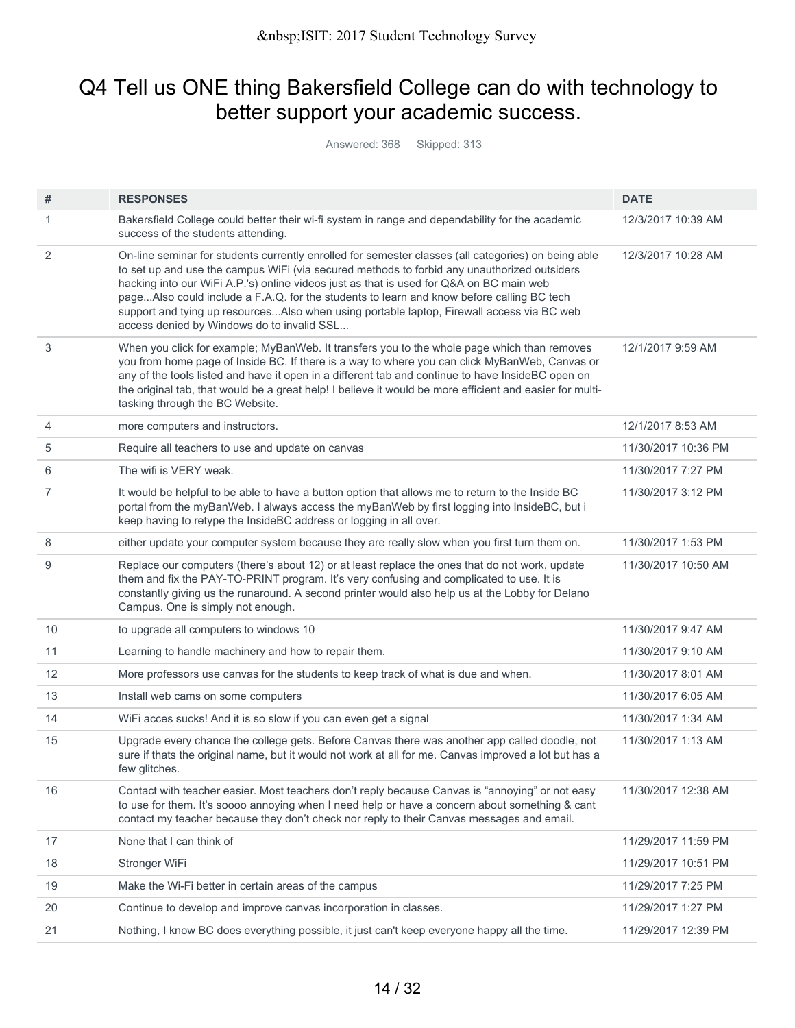## Q4 Tell us ONE thing Bakersfield College can do with technology to better support your academic success.

Answered: 368 Skipped: 313

| #  | <b>RESPONSES</b>                                                                                                                                                                                                                                                                                                                                                                                                                                                                                                                      | <b>DATE</b>         |
|----|---------------------------------------------------------------------------------------------------------------------------------------------------------------------------------------------------------------------------------------------------------------------------------------------------------------------------------------------------------------------------------------------------------------------------------------------------------------------------------------------------------------------------------------|---------------------|
| 1  | Bakersfield College could better their wi-fi system in range and dependability for the academic<br>success of the students attending.                                                                                                                                                                                                                                                                                                                                                                                                 | 12/3/2017 10:39 AM  |
| 2  | On-line seminar for students currently enrolled for semester classes (all categories) on being able<br>to set up and use the campus WiFi (via secured methods to forbid any unauthorized outsiders<br>hacking into our WiFi A.P.'s) online videos just as that is used for Q&A on BC main web<br>pageAlso could include a F.A.Q. for the students to learn and know before calling BC tech<br>support and tying up resourcesAlso when using portable laptop, Firewall access via BC web<br>access denied by Windows do to invalid SSL | 12/3/2017 10:28 AM  |
| 3  | When you click for example; MyBanWeb. It transfers you to the whole page which than removes<br>you from home page of Inside BC. If there is a way to where you can click MyBanWeb, Canvas or<br>any of the tools listed and have it open in a different tab and continue to have InsideBC open on<br>the original tab, that would be a great help! I believe it would be more efficient and easier for multi-<br>tasking through the BC Website.                                                                                      | 12/1/2017 9:59 AM   |
| 4  | more computers and instructors.                                                                                                                                                                                                                                                                                                                                                                                                                                                                                                       | 12/1/2017 8:53 AM   |
| 5  | Require all teachers to use and update on canvas                                                                                                                                                                                                                                                                                                                                                                                                                                                                                      | 11/30/2017 10:36 PM |
| 6  | The wifi is VERY weak.                                                                                                                                                                                                                                                                                                                                                                                                                                                                                                                | 11/30/2017 7:27 PM  |
| 7  | It would be helpful to be able to have a button option that allows me to return to the Inside BC<br>portal from the myBanWeb. I always access the myBanWeb by first logging into InsideBC, but i<br>keep having to retype the InsideBC address or logging in all over.                                                                                                                                                                                                                                                                | 11/30/2017 3:12 PM  |
| 8  | either update your computer system because they are really slow when you first turn them on.                                                                                                                                                                                                                                                                                                                                                                                                                                          | 11/30/2017 1:53 PM  |
| 9  | Replace our computers (there's about 12) or at least replace the ones that do not work, update<br>them and fix the PAY-TO-PRINT program. It's very confusing and complicated to use. It is<br>constantly giving us the runaround. A second printer would also help us at the Lobby for Delano<br>Campus. One is simply not enough.                                                                                                                                                                                                    | 11/30/2017 10:50 AM |
| 10 | to upgrade all computers to windows 10                                                                                                                                                                                                                                                                                                                                                                                                                                                                                                | 11/30/2017 9:47 AM  |
| 11 | Learning to handle machinery and how to repair them.                                                                                                                                                                                                                                                                                                                                                                                                                                                                                  | 11/30/2017 9:10 AM  |
| 12 | More professors use canvas for the students to keep track of what is due and when.                                                                                                                                                                                                                                                                                                                                                                                                                                                    | 11/30/2017 8:01 AM  |
| 13 | Install web cams on some computers                                                                                                                                                                                                                                                                                                                                                                                                                                                                                                    | 11/30/2017 6:05 AM  |
| 14 | WiFi acces sucks! And it is so slow if you can even get a signal                                                                                                                                                                                                                                                                                                                                                                                                                                                                      | 11/30/2017 1:34 AM  |
| 15 | Upgrade every chance the college gets. Before Canvas there was another app called doodle, not<br>sure if thats the original name, but it would not work at all for me. Canvas improved a lot but has a<br>few glitches.                                                                                                                                                                                                                                                                                                               | 11/30/2017 1:13 AM  |
| 16 | Contact with teacher easier. Most teachers don't reply because Canvas is "annoying" or not easy<br>to use for them. It's soooo annoying when I need help or have a concern about something & cant<br>contact my teacher because they don't check nor reply to their Canvas messages and email.                                                                                                                                                                                                                                        | 11/30/2017 12:38 AM |
| 17 | None that I can think of                                                                                                                                                                                                                                                                                                                                                                                                                                                                                                              | 11/29/2017 11:59 PM |
| 18 | Stronger WiFi                                                                                                                                                                                                                                                                                                                                                                                                                                                                                                                         | 11/29/2017 10:51 PM |
| 19 | Make the Wi-Fi better in certain areas of the campus                                                                                                                                                                                                                                                                                                                                                                                                                                                                                  | 11/29/2017 7:25 PM  |
| 20 | Continue to develop and improve canvas incorporation in classes.                                                                                                                                                                                                                                                                                                                                                                                                                                                                      | 11/29/2017 1:27 PM  |
| 21 | Nothing, I know BC does everything possible, it just can't keep everyone happy all the time.                                                                                                                                                                                                                                                                                                                                                                                                                                          | 11/29/2017 12:39 PM |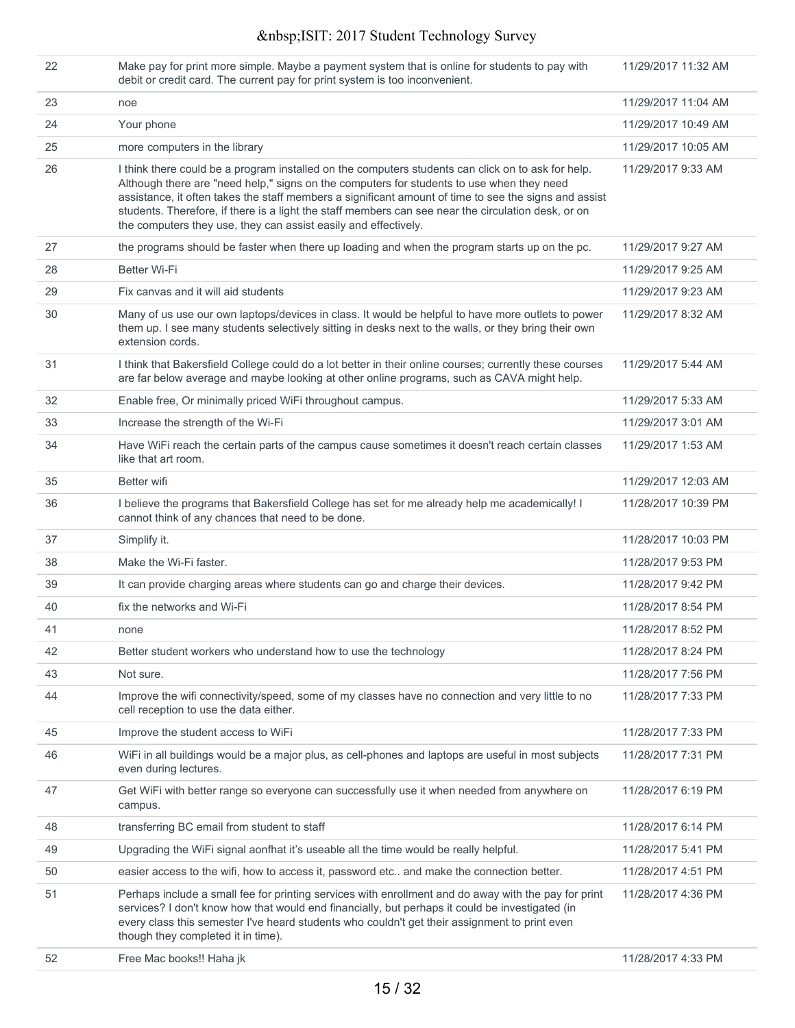| 22 | Make pay for print more simple. Maybe a payment system that is online for students to pay with<br>debit or credit card. The current pay for print system is too inconvenient.                                                                                                                                                                                                                                                                                                      | 11/29/2017 11:32 AM |
|----|------------------------------------------------------------------------------------------------------------------------------------------------------------------------------------------------------------------------------------------------------------------------------------------------------------------------------------------------------------------------------------------------------------------------------------------------------------------------------------|---------------------|
| 23 | noe                                                                                                                                                                                                                                                                                                                                                                                                                                                                                | 11/29/2017 11:04 AM |
| 24 | Your phone                                                                                                                                                                                                                                                                                                                                                                                                                                                                         | 11/29/2017 10:49 AM |
| 25 | more computers in the library                                                                                                                                                                                                                                                                                                                                                                                                                                                      | 11/29/2017 10:05 AM |
| 26 | I think there could be a program installed on the computers students can click on to ask for help.<br>Although there are "need help," signs on the computers for students to use when they need<br>assistance, it often takes the staff members a significant amount of time to see the signs and assist<br>students. Therefore, if there is a light the staff members can see near the circulation desk, or on<br>the computers they use, they can assist easily and effectively. | 11/29/2017 9:33 AM  |
| 27 | the programs should be faster when there up loading and when the program starts up on the pc.                                                                                                                                                                                                                                                                                                                                                                                      | 11/29/2017 9:27 AM  |
| 28 | <b>Better Wi-Fi</b>                                                                                                                                                                                                                                                                                                                                                                                                                                                                | 11/29/2017 9:25 AM  |
| 29 | Fix canvas and it will aid students                                                                                                                                                                                                                                                                                                                                                                                                                                                | 11/29/2017 9:23 AM  |
| 30 | Many of us use our own laptops/devices in class. It would be helpful to have more outlets to power<br>them up. I see many students selectively sitting in desks next to the walls, or they bring their own<br>extension cords.                                                                                                                                                                                                                                                     | 11/29/2017 8:32 AM  |
| 31 | I think that Bakersfield College could do a lot better in their online courses; currently these courses<br>are far below average and maybe looking at other online programs, such as CAVA might help.                                                                                                                                                                                                                                                                              | 11/29/2017 5:44 AM  |
| 32 | Enable free, Or minimally priced WiFi throughout campus.                                                                                                                                                                                                                                                                                                                                                                                                                           | 11/29/2017 5:33 AM  |
| 33 | Increase the strength of the Wi-Fi                                                                                                                                                                                                                                                                                                                                                                                                                                                 | 11/29/2017 3:01 AM  |
| 34 | Have WiFi reach the certain parts of the campus cause sometimes it doesn't reach certain classes<br>like that art room.                                                                                                                                                                                                                                                                                                                                                            | 11/29/2017 1:53 AM  |
| 35 | Better wifi                                                                                                                                                                                                                                                                                                                                                                                                                                                                        | 11/29/2017 12:03 AM |
| 36 | I believe the programs that Bakersfield College has set for me already help me academically! I<br>cannot think of any chances that need to be done.                                                                                                                                                                                                                                                                                                                                | 11/28/2017 10:39 PM |
| 37 | Simplify it.                                                                                                                                                                                                                                                                                                                                                                                                                                                                       | 11/28/2017 10:03 PM |
| 38 | Make the Wi-Fi faster.                                                                                                                                                                                                                                                                                                                                                                                                                                                             | 11/28/2017 9:53 PM  |
| 39 | It can provide charging areas where students can go and charge their devices.                                                                                                                                                                                                                                                                                                                                                                                                      | 11/28/2017 9:42 PM  |
| 40 | fix the networks and Wi-Fi                                                                                                                                                                                                                                                                                                                                                                                                                                                         | 11/28/2017 8:54 PM  |
| 41 | none                                                                                                                                                                                                                                                                                                                                                                                                                                                                               | 11/28/2017 8:52 PM  |
| 42 | Better student workers who understand how to use the technology                                                                                                                                                                                                                                                                                                                                                                                                                    | 11/28/2017 8:24 PM  |
| 43 | Not sure.                                                                                                                                                                                                                                                                                                                                                                                                                                                                          | 11/28/2017 7:56 PM  |
| 44 | Improve the wifi connectivity/speed, some of my classes have no connection and very little to no<br>cell reception to use the data either.                                                                                                                                                                                                                                                                                                                                         | 11/28/2017 7:33 PM  |
| 45 | Improve the student access to WiFi                                                                                                                                                                                                                                                                                                                                                                                                                                                 | 11/28/2017 7:33 PM  |
| 46 | WiFi in all buildings would be a major plus, as cell-phones and laptops are useful in most subjects<br>even during lectures.                                                                                                                                                                                                                                                                                                                                                       | 11/28/2017 7:31 PM  |
| 47 | Get WiFi with better range so everyone can successfully use it when needed from anywhere on<br>campus.                                                                                                                                                                                                                                                                                                                                                                             | 11/28/2017 6:19 PM  |
| 48 | transferring BC email from student to staff                                                                                                                                                                                                                                                                                                                                                                                                                                        | 11/28/2017 6:14 PM  |
| 49 | Upgrading the WiFi signal aonfhat it's useable all the time would be really helpful.                                                                                                                                                                                                                                                                                                                                                                                               | 11/28/2017 5:41 PM  |
| 50 | easier access to the wifi, how to access it, password etc and make the connection better.                                                                                                                                                                                                                                                                                                                                                                                          | 11/28/2017 4:51 PM  |
| 51 | Perhaps include a small fee for printing services with enrollment and do away with the pay for print<br>services? I don't know how that would end financially, but perhaps it could be investigated (in<br>every class this semester I've heard students who couldn't get their assignment to print even<br>though they completed it in time).                                                                                                                                     | 11/28/2017 4:36 PM  |
| 52 | Free Mac books!! Haha jk                                                                                                                                                                                                                                                                                                                                                                                                                                                           | 11/28/2017 4:33 PM  |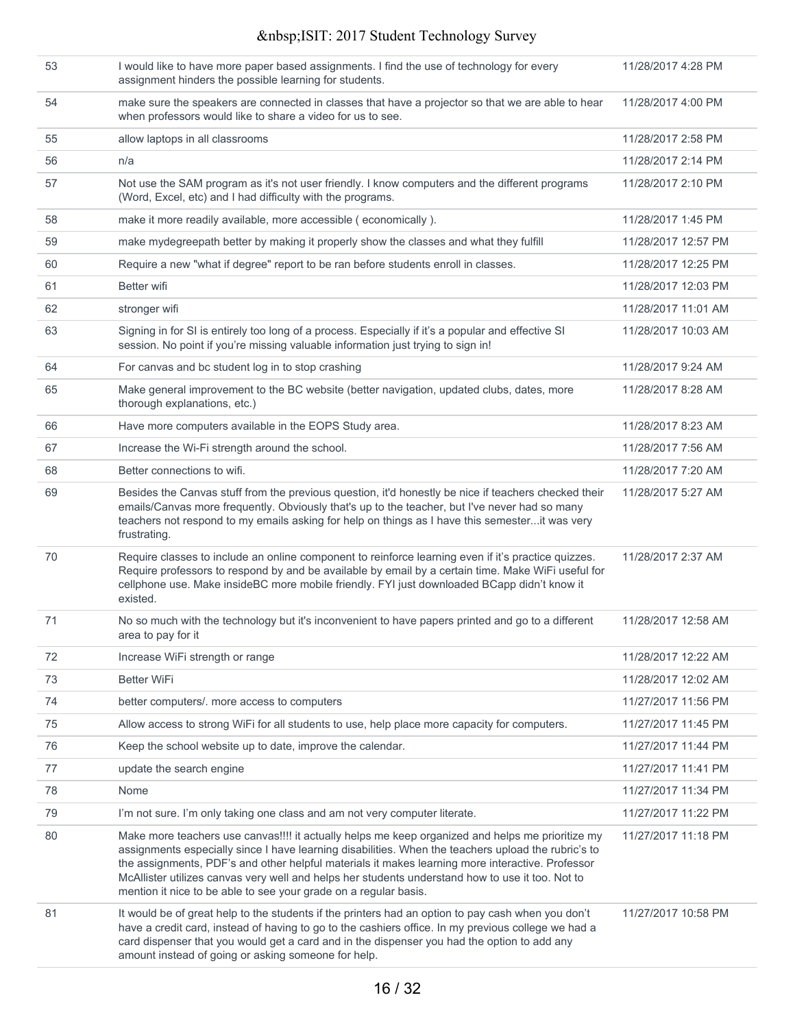| 53 | I would like to have more paper based assignments. I find the use of technology for every<br>assignment hinders the possible learning for students.                                                                                                                                                                                                                                                                                                                                 | 11/28/2017 4:28 PM  |
|----|-------------------------------------------------------------------------------------------------------------------------------------------------------------------------------------------------------------------------------------------------------------------------------------------------------------------------------------------------------------------------------------------------------------------------------------------------------------------------------------|---------------------|
| 54 | make sure the speakers are connected in classes that have a projector so that we are able to hear<br>when professors would like to share a video for us to see.                                                                                                                                                                                                                                                                                                                     | 11/28/2017 4:00 PM  |
| 55 | allow laptops in all classrooms                                                                                                                                                                                                                                                                                                                                                                                                                                                     | 11/28/2017 2:58 PM  |
| 56 | n/a                                                                                                                                                                                                                                                                                                                                                                                                                                                                                 | 11/28/2017 2:14 PM  |
| 57 | Not use the SAM program as it's not user friendly. I know computers and the different programs<br>(Word, Excel, etc) and I had difficulty with the programs.                                                                                                                                                                                                                                                                                                                        | 11/28/2017 2:10 PM  |
| 58 | make it more readily available, more accessible (economically).                                                                                                                                                                                                                                                                                                                                                                                                                     | 11/28/2017 1:45 PM  |
| 59 | make mydegreepath better by making it properly show the classes and what they fulfill                                                                                                                                                                                                                                                                                                                                                                                               | 11/28/2017 12:57 PM |
| 60 | Require a new "what if degree" report to be ran before students enroll in classes.                                                                                                                                                                                                                                                                                                                                                                                                  | 11/28/2017 12:25 PM |
| 61 | Better wifi                                                                                                                                                                                                                                                                                                                                                                                                                                                                         | 11/28/2017 12:03 PM |
| 62 | stronger wifi                                                                                                                                                                                                                                                                                                                                                                                                                                                                       | 11/28/2017 11:01 AM |
| 63 | Signing in for SI is entirely too long of a process. Especially if it's a popular and effective SI<br>session. No point if you're missing valuable information just trying to sign in!                                                                                                                                                                                                                                                                                              | 11/28/2017 10:03 AM |
| 64 | For canvas and bc student log in to stop crashing                                                                                                                                                                                                                                                                                                                                                                                                                                   | 11/28/2017 9:24 AM  |
| 65 | Make general improvement to the BC website (better navigation, updated clubs, dates, more<br>thorough explanations, etc.)                                                                                                                                                                                                                                                                                                                                                           | 11/28/2017 8:28 AM  |
| 66 | Have more computers available in the EOPS Study area.                                                                                                                                                                                                                                                                                                                                                                                                                               | 11/28/2017 8:23 AM  |
| 67 | Increase the Wi-Fi strength around the school.                                                                                                                                                                                                                                                                                                                                                                                                                                      | 11/28/2017 7:56 AM  |
| 68 | Better connections to wifi.                                                                                                                                                                                                                                                                                                                                                                                                                                                         | 11/28/2017 7:20 AM  |
| 69 | Besides the Canvas stuff from the previous question, it'd honestly be nice if teachers checked their<br>emails/Canvas more frequently. Obviously that's up to the teacher, but I've never had so many<br>teachers not respond to my emails asking for help on things as I have this semesterit was very<br>frustrating.                                                                                                                                                             | 11/28/2017 5:27 AM  |
| 70 | Require classes to include an online component to reinforce learning even if it's practice quizzes.<br>Require professors to respond by and be available by email by a certain time. Make WiFi useful for<br>cellphone use. Make insideBC more mobile friendly. FYI just downloaded BCapp didn't know it<br>existed.                                                                                                                                                                | 11/28/2017 2:37 AM  |
| 71 | No so much with the technology but it's inconvenient to have papers printed and go to a different<br>area to pay for it                                                                                                                                                                                                                                                                                                                                                             | 11/28/2017 12:58 AM |
| 72 | Increase WiFi strength or range                                                                                                                                                                                                                                                                                                                                                                                                                                                     | 11/28/2017 12:22 AM |
| 73 | <b>Better WiFi</b>                                                                                                                                                                                                                                                                                                                                                                                                                                                                  | 11/28/2017 12:02 AM |
| 74 | better computers/. more access to computers                                                                                                                                                                                                                                                                                                                                                                                                                                         | 11/27/2017 11:56 PM |
| 75 | Allow access to strong WiFi for all students to use, help place more capacity for computers.                                                                                                                                                                                                                                                                                                                                                                                        | 11/27/2017 11:45 PM |
| 76 | Keep the school website up to date, improve the calendar.                                                                                                                                                                                                                                                                                                                                                                                                                           | 11/27/2017 11:44 PM |
| 77 | update the search engine                                                                                                                                                                                                                                                                                                                                                                                                                                                            | 11/27/2017 11:41 PM |
| 78 | Nome                                                                                                                                                                                                                                                                                                                                                                                                                                                                                | 11/27/2017 11:34 PM |
| 79 | I'm not sure. I'm only taking one class and am not very computer literate.                                                                                                                                                                                                                                                                                                                                                                                                          | 11/27/2017 11:22 PM |
| 80 | Make more teachers use canvas!!!! it actually helps me keep organized and helps me prioritize my<br>assignments especially since I have learning disabilities. When the teachers upload the rubric's to<br>the assignments, PDF's and other helpful materials it makes learning more interactive. Professor<br>McAllister utilizes canvas very well and helps her students understand how to use it too. Not to<br>mention it nice to be able to see your grade on a regular basis. | 11/27/2017 11:18 PM |
| 81 | It would be of great help to the students if the printers had an option to pay cash when you don't<br>have a credit card, instead of having to go to the cashiers office. In my previous college we had a<br>card dispenser that you would get a card and in the dispenser you had the option to add any<br>amount instead of going or asking someone for help.                                                                                                                     | 11/27/2017 10:58 PM |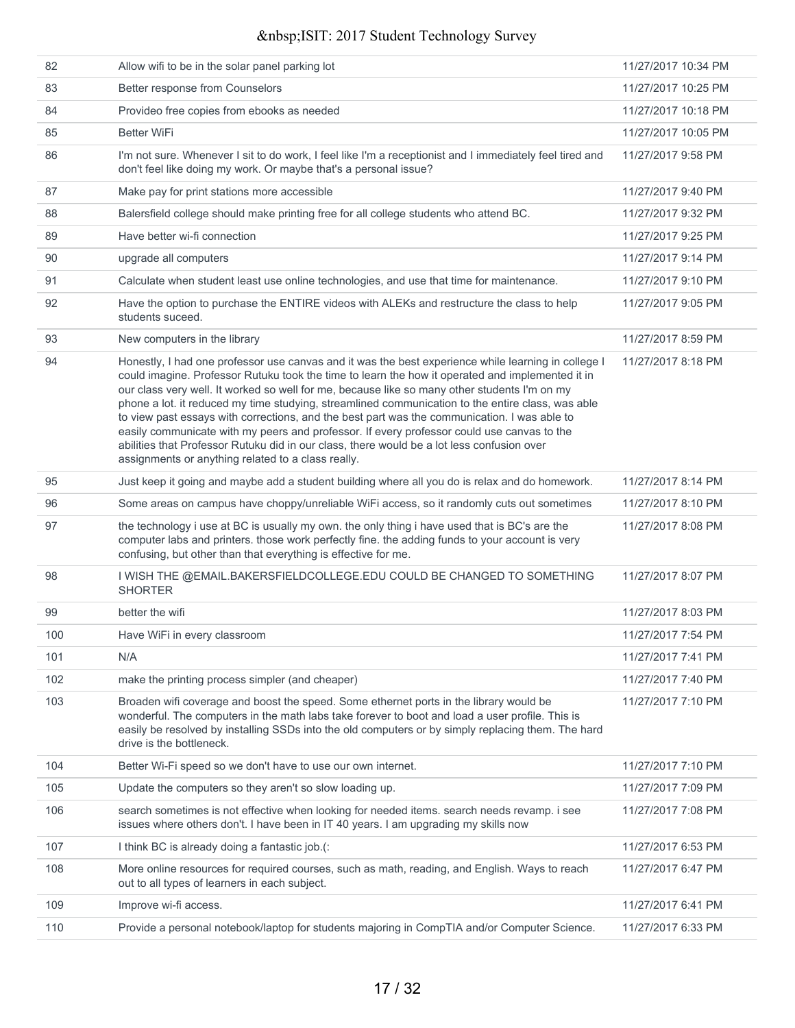| 82  | Allow wifi to be in the solar panel parking lot                                                                                                                                                                                                                                                                                                                                                                                                                                                                                                                                                                                                                                                                                                                | 11/27/2017 10:34 PM |
|-----|----------------------------------------------------------------------------------------------------------------------------------------------------------------------------------------------------------------------------------------------------------------------------------------------------------------------------------------------------------------------------------------------------------------------------------------------------------------------------------------------------------------------------------------------------------------------------------------------------------------------------------------------------------------------------------------------------------------------------------------------------------------|---------------------|
| 83  | Better response from Counselors                                                                                                                                                                                                                                                                                                                                                                                                                                                                                                                                                                                                                                                                                                                                | 11/27/2017 10:25 PM |
| 84  | Provideo free copies from ebooks as needed                                                                                                                                                                                                                                                                                                                                                                                                                                                                                                                                                                                                                                                                                                                     | 11/27/2017 10:18 PM |
| 85  | <b>Better WiFi</b>                                                                                                                                                                                                                                                                                                                                                                                                                                                                                                                                                                                                                                                                                                                                             | 11/27/2017 10:05 PM |
| 86  | I'm not sure. Whenever I sit to do work, I feel like I'm a receptionist and I immediately feel tired and<br>don't feel like doing my work. Or maybe that's a personal issue?                                                                                                                                                                                                                                                                                                                                                                                                                                                                                                                                                                                   | 11/27/2017 9:58 PM  |
| 87  | Make pay for print stations more accessible                                                                                                                                                                                                                                                                                                                                                                                                                                                                                                                                                                                                                                                                                                                    | 11/27/2017 9:40 PM  |
| 88  | Balersfield college should make printing free for all college students who attend BC.                                                                                                                                                                                                                                                                                                                                                                                                                                                                                                                                                                                                                                                                          | 11/27/2017 9:32 PM  |
| 89  | Have better wi-fi connection                                                                                                                                                                                                                                                                                                                                                                                                                                                                                                                                                                                                                                                                                                                                   | 11/27/2017 9:25 PM  |
| 90  | upgrade all computers                                                                                                                                                                                                                                                                                                                                                                                                                                                                                                                                                                                                                                                                                                                                          | 11/27/2017 9:14 PM  |
| 91  | Calculate when student least use online technologies, and use that time for maintenance.                                                                                                                                                                                                                                                                                                                                                                                                                                                                                                                                                                                                                                                                       | 11/27/2017 9:10 PM  |
| 92  | Have the option to purchase the ENTIRE videos with ALEKs and restructure the class to help<br>students suceed.                                                                                                                                                                                                                                                                                                                                                                                                                                                                                                                                                                                                                                                 | 11/27/2017 9:05 PM  |
| 93  | New computers in the library                                                                                                                                                                                                                                                                                                                                                                                                                                                                                                                                                                                                                                                                                                                                   | 11/27/2017 8:59 PM  |
| 94  | Honestly, I had one professor use canvas and it was the best experience while learning in college I<br>could imagine. Professor Rutuku took the time to learn the how it operated and implemented it in<br>our class very well. It worked so well for me, because like so many other students I'm on my<br>phone a lot. it reduced my time studying, streamlined communication to the entire class, was able<br>to view past essays with corrections, and the best part was the communication. I was able to<br>easily communicate with my peers and professor. If every professor could use canvas to the<br>abilities that Professor Rutuku did in our class, there would be a lot less confusion over<br>assignments or anything related to a class really. | 11/27/2017 8:18 PM  |
| 95  | Just keep it going and maybe add a student building where all you do is relax and do homework.                                                                                                                                                                                                                                                                                                                                                                                                                                                                                                                                                                                                                                                                 | 11/27/2017 8:14 PM  |
| 96  | Some areas on campus have choppy/unreliable WiFi access, so it randomly cuts out sometimes                                                                                                                                                                                                                                                                                                                                                                                                                                                                                                                                                                                                                                                                     | 11/27/2017 8:10 PM  |
| 97  | the technology i use at BC is usually my own. the only thing i have used that is BC's are the<br>computer labs and printers. those work perfectly fine. the adding funds to your account is very<br>confusing, but other than that everything is effective for me.                                                                                                                                                                                                                                                                                                                                                                                                                                                                                             | 11/27/2017 8:08 PM  |
| 98  | I WISH THE @EMAIL.BAKERSFIELDCOLLEGE.EDU COULD BE CHANGED TO SOMETHING<br><b>SHORTER</b>                                                                                                                                                                                                                                                                                                                                                                                                                                                                                                                                                                                                                                                                       | 11/27/2017 8:07 PM  |
| 99  | better the wifi                                                                                                                                                                                                                                                                                                                                                                                                                                                                                                                                                                                                                                                                                                                                                | 11/27/2017 8:03 PM  |
| 100 | Have WiFi in every classroom                                                                                                                                                                                                                                                                                                                                                                                                                                                                                                                                                                                                                                                                                                                                   | 11/27/2017 7:54 PM  |
| 101 | N/A                                                                                                                                                                                                                                                                                                                                                                                                                                                                                                                                                                                                                                                                                                                                                            | 11/27/2017 7:41 PM  |
| 102 | make the printing process simpler (and cheaper)                                                                                                                                                                                                                                                                                                                                                                                                                                                                                                                                                                                                                                                                                                                | 11/27/2017 7:40 PM  |
| 103 | Broaden wifi coverage and boost the speed. Some ethernet ports in the library would be<br>wonderful. The computers in the math labs take forever to boot and load a user profile. This is<br>easily be resolved by installing SSDs into the old computers or by simply replacing them. The hard<br>drive is the bottleneck.                                                                                                                                                                                                                                                                                                                                                                                                                                    | 11/27/2017 7:10 PM  |
| 104 | Better Wi-Fi speed so we don't have to use our own internet.                                                                                                                                                                                                                                                                                                                                                                                                                                                                                                                                                                                                                                                                                                   | 11/27/2017 7:10 PM  |
| 105 | Update the computers so they aren't so slow loading up.                                                                                                                                                                                                                                                                                                                                                                                                                                                                                                                                                                                                                                                                                                        | 11/27/2017 7:09 PM  |
| 106 | search sometimes is not effective when looking for needed items. search needs revamp. i see<br>issues where others don't. I have been in IT 40 years. I am upgrading my skills now                                                                                                                                                                                                                                                                                                                                                                                                                                                                                                                                                                             | 11/27/2017 7:08 PM  |
| 107 | I think BC is already doing a fantastic job.(:                                                                                                                                                                                                                                                                                                                                                                                                                                                                                                                                                                                                                                                                                                                 | 11/27/2017 6:53 PM  |
| 108 | More online resources for required courses, such as math, reading, and English. Ways to reach<br>out to all types of learners in each subject.                                                                                                                                                                                                                                                                                                                                                                                                                                                                                                                                                                                                                 | 11/27/2017 6:47 PM  |
| 109 | Improve wi-fi access.                                                                                                                                                                                                                                                                                                                                                                                                                                                                                                                                                                                                                                                                                                                                          | 11/27/2017 6:41 PM  |
| 110 | Provide a personal notebook/laptop for students majoring in CompTIA and/or Computer Science.                                                                                                                                                                                                                                                                                                                                                                                                                                                                                                                                                                                                                                                                   | 11/27/2017 6:33 PM  |
|     |                                                                                                                                                                                                                                                                                                                                                                                                                                                                                                                                                                                                                                                                                                                                                                |                     |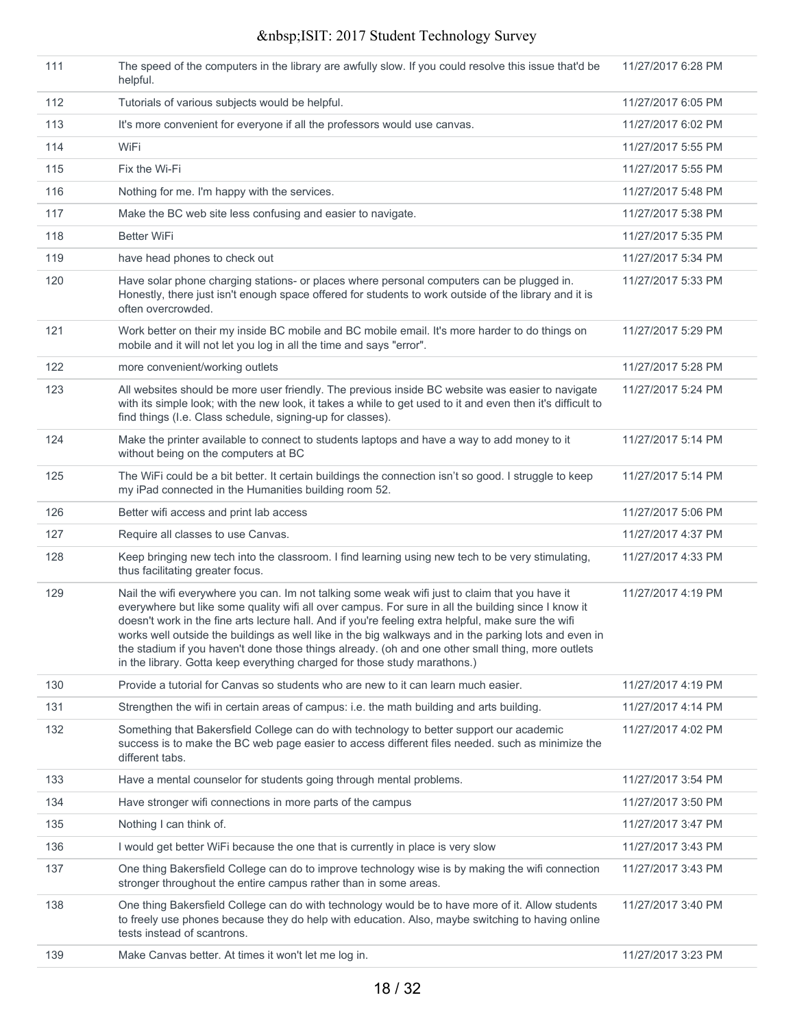| 111 | The speed of the computers in the library are awfully slow. If you could resolve this issue that'd be<br>helpful.                                                                                                                                                                                                                                                                                                                                                                                                                                                                                       | 11/27/2017 6:28 PM |
|-----|---------------------------------------------------------------------------------------------------------------------------------------------------------------------------------------------------------------------------------------------------------------------------------------------------------------------------------------------------------------------------------------------------------------------------------------------------------------------------------------------------------------------------------------------------------------------------------------------------------|--------------------|
| 112 | Tutorials of various subjects would be helpful.                                                                                                                                                                                                                                                                                                                                                                                                                                                                                                                                                         | 11/27/2017 6:05 PM |
| 113 | It's more convenient for everyone if all the professors would use canvas.                                                                                                                                                                                                                                                                                                                                                                                                                                                                                                                               | 11/27/2017 6:02 PM |
| 114 | WiFi                                                                                                                                                                                                                                                                                                                                                                                                                                                                                                                                                                                                    | 11/27/2017 5:55 PM |
| 115 | Fix the Wi-Fi                                                                                                                                                                                                                                                                                                                                                                                                                                                                                                                                                                                           | 11/27/2017 5:55 PM |
| 116 | Nothing for me. I'm happy with the services.                                                                                                                                                                                                                                                                                                                                                                                                                                                                                                                                                            | 11/27/2017 5:48 PM |
| 117 | Make the BC web site less confusing and easier to navigate.                                                                                                                                                                                                                                                                                                                                                                                                                                                                                                                                             | 11/27/2017 5:38 PM |
| 118 | Better WiFi                                                                                                                                                                                                                                                                                                                                                                                                                                                                                                                                                                                             | 11/27/2017 5:35 PM |
| 119 | have head phones to check out                                                                                                                                                                                                                                                                                                                                                                                                                                                                                                                                                                           | 11/27/2017 5:34 PM |
| 120 | Have solar phone charging stations- or places where personal computers can be plugged in.<br>Honestly, there just isn't enough space offered for students to work outside of the library and it is<br>often overcrowded.                                                                                                                                                                                                                                                                                                                                                                                | 11/27/2017 5:33 PM |
| 121 | Work better on their my inside BC mobile and BC mobile email. It's more harder to do things on<br>mobile and it will not let you log in all the time and says "error".                                                                                                                                                                                                                                                                                                                                                                                                                                  | 11/27/2017 5:29 PM |
| 122 | more convenient/working outlets                                                                                                                                                                                                                                                                                                                                                                                                                                                                                                                                                                         | 11/27/2017 5:28 PM |
| 123 | All websites should be more user friendly. The previous inside BC website was easier to navigate<br>with its simple look; with the new look, it takes a while to get used to it and even then it's difficult to<br>find things (I.e. Class schedule, signing-up for classes).                                                                                                                                                                                                                                                                                                                           | 11/27/2017 5:24 PM |
| 124 | Make the printer available to connect to students laptops and have a way to add money to it<br>without being on the computers at BC                                                                                                                                                                                                                                                                                                                                                                                                                                                                     | 11/27/2017 5:14 PM |
| 125 | The WiFi could be a bit better. It certain buildings the connection isn't so good. I struggle to keep<br>my iPad connected in the Humanities building room 52.                                                                                                                                                                                                                                                                                                                                                                                                                                          | 11/27/2017 5:14 PM |
| 126 | Better wifi access and print lab access                                                                                                                                                                                                                                                                                                                                                                                                                                                                                                                                                                 | 11/27/2017 5:06 PM |
| 127 | Require all classes to use Canvas.                                                                                                                                                                                                                                                                                                                                                                                                                                                                                                                                                                      | 11/27/2017 4:37 PM |
| 128 | Keep bringing new tech into the classroom. I find learning using new tech to be very stimulating,<br>thus facilitating greater focus.                                                                                                                                                                                                                                                                                                                                                                                                                                                                   | 11/27/2017 4:33 PM |
| 129 | Nail the wifi everywhere you can. Im not talking some weak wifi just to claim that you have it<br>everywhere but like some quality wifi all over campus. For sure in all the building since I know it<br>doesn't work in the fine arts lecture hall. And if you're feeling extra helpful, make sure the wifi<br>works well outside the buildings as well like in the big walkways and in the parking lots and even in<br>the stadium if you haven't done those things already. (oh and one other small thing, more outlets<br>in the library. Gotta keep everything charged for those study marathons.) | 11/27/2017 4:19 PM |
| 130 | Provide a tutorial for Canvas so students who are new to it can learn much easier.                                                                                                                                                                                                                                                                                                                                                                                                                                                                                                                      | 11/27/2017 4:19 PM |
| 131 | Strengthen the wifi in certain areas of campus: i.e. the math building and arts building.                                                                                                                                                                                                                                                                                                                                                                                                                                                                                                               | 11/27/2017 4:14 PM |
| 132 | Something that Bakersfield College can do with technology to better support our academic<br>success is to make the BC web page easier to access different files needed. such as minimize the<br>different tabs.                                                                                                                                                                                                                                                                                                                                                                                         | 11/27/2017 4:02 PM |
| 133 | Have a mental counselor for students going through mental problems.                                                                                                                                                                                                                                                                                                                                                                                                                                                                                                                                     | 11/27/2017 3:54 PM |
| 134 | Have stronger wifi connections in more parts of the campus                                                                                                                                                                                                                                                                                                                                                                                                                                                                                                                                              | 11/27/2017 3:50 PM |
| 135 | Nothing I can think of.                                                                                                                                                                                                                                                                                                                                                                                                                                                                                                                                                                                 | 11/27/2017 3:47 PM |
| 136 | I would get better WiFi because the one that is currently in place is very slow                                                                                                                                                                                                                                                                                                                                                                                                                                                                                                                         | 11/27/2017 3:43 PM |
| 137 | One thing Bakersfield College can do to improve technology wise is by making the wifi connection<br>stronger throughout the entire campus rather than in some areas.                                                                                                                                                                                                                                                                                                                                                                                                                                    | 11/27/2017 3:43 PM |
| 138 | One thing Bakersfield College can do with technology would be to have more of it. Allow students<br>to freely use phones because they do help with education. Also, maybe switching to having online<br>tests instead of scantrons.                                                                                                                                                                                                                                                                                                                                                                     | 11/27/2017 3:40 PM |
| 139 | Make Canvas better. At times it won't let me log in.                                                                                                                                                                                                                                                                                                                                                                                                                                                                                                                                                    | 11/27/2017 3:23 PM |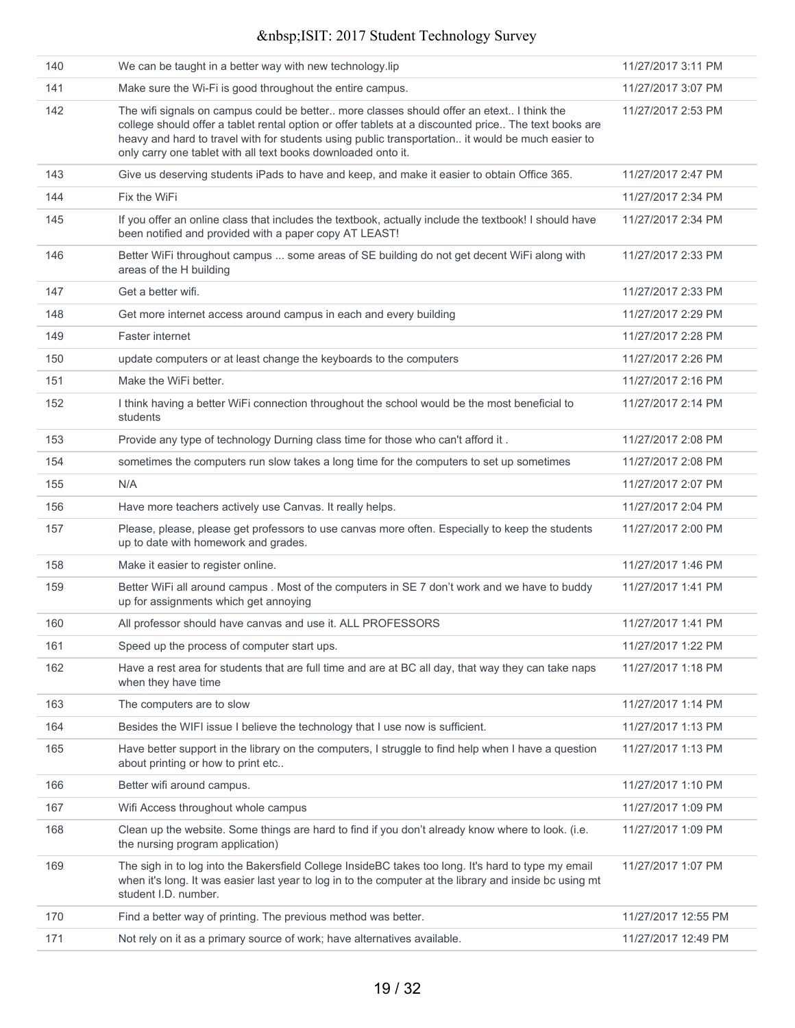| 140 | We can be taught in a better way with new technology.lip                                                                                                                                                                                                                                                                                                                 | 11/27/2017 3:11 PM  |
|-----|--------------------------------------------------------------------------------------------------------------------------------------------------------------------------------------------------------------------------------------------------------------------------------------------------------------------------------------------------------------------------|---------------------|
| 141 | Make sure the Wi-Fi is good throughout the entire campus.                                                                                                                                                                                                                                                                                                                | 11/27/2017 3:07 PM  |
| 142 | The wifi signals on campus could be better more classes should offer an etext I think the<br>college should offer a tablet rental option or offer tablets at a discounted price The text books are<br>heavy and hard to travel with for students using public transportation it would be much easier to<br>only carry one tablet with all text books downloaded onto it. | 11/27/2017 2:53 PM  |
| 143 | Give us deserving students iPads to have and keep, and make it easier to obtain Office 365.                                                                                                                                                                                                                                                                              | 11/27/2017 2:47 PM  |
| 144 | Fix the WiFi                                                                                                                                                                                                                                                                                                                                                             | 11/27/2017 2:34 PM  |
| 145 | If you offer an online class that includes the textbook, actually include the textbook! I should have<br>been notified and provided with a paper copy AT LEAST!                                                                                                                                                                                                          | 11/27/2017 2:34 PM  |
| 146 | Better WiFi throughout campus  some areas of SE building do not get decent WiFi along with<br>areas of the H building                                                                                                                                                                                                                                                    | 11/27/2017 2:33 PM  |
| 147 | Get a better wifi.                                                                                                                                                                                                                                                                                                                                                       | 11/27/2017 2:33 PM  |
| 148 | Get more internet access around campus in each and every building                                                                                                                                                                                                                                                                                                        | 11/27/2017 2:29 PM  |
| 149 | Faster internet                                                                                                                                                                                                                                                                                                                                                          | 11/27/2017 2:28 PM  |
| 150 | update computers or at least change the keyboards to the computers                                                                                                                                                                                                                                                                                                       | 11/27/2017 2:26 PM  |
| 151 | Make the WiFi better.                                                                                                                                                                                                                                                                                                                                                    | 11/27/2017 2:16 PM  |
| 152 | I think having a better WiFi connection throughout the school would be the most beneficial to<br>students                                                                                                                                                                                                                                                                | 11/27/2017 2:14 PM  |
| 153 | Provide any type of technology Durning class time for those who can't afford it.                                                                                                                                                                                                                                                                                         | 11/27/2017 2:08 PM  |
| 154 | sometimes the computers run slow takes a long time for the computers to set up sometimes                                                                                                                                                                                                                                                                                 | 11/27/2017 2:08 PM  |
| 155 | N/A                                                                                                                                                                                                                                                                                                                                                                      | 11/27/2017 2:07 PM  |
| 156 | Have more teachers actively use Canvas. It really helps.                                                                                                                                                                                                                                                                                                                 | 11/27/2017 2:04 PM  |
| 157 | Please, please, please get professors to use canvas more often. Especially to keep the students<br>up to date with homework and grades.                                                                                                                                                                                                                                  | 11/27/2017 2:00 PM  |
| 158 | Make it easier to register online.                                                                                                                                                                                                                                                                                                                                       | 11/27/2017 1:46 PM  |
| 159 | Better WiFi all around campus . Most of the computers in SE 7 don't work and we have to buddy<br>up for assignments which get annoying                                                                                                                                                                                                                                   | 11/27/2017 1:41 PM  |
| 160 | All professor should have canvas and use it. ALL PROFESSORS                                                                                                                                                                                                                                                                                                              | 11/27/2017 1:41 PM  |
| 161 | Speed up the process of computer start ups.                                                                                                                                                                                                                                                                                                                              | 11/27/2017 1:22 PM  |
| 162 | Have a rest area for students that are full time and are at BC all day, that way they can take naps<br>when they have time                                                                                                                                                                                                                                               | 11/27/2017 1:18 PM  |
| 163 | The computers are to slow                                                                                                                                                                                                                                                                                                                                                | 11/27/2017 1:14 PM  |
| 164 | Besides the WIFI issue I believe the technology that I use now is sufficient.                                                                                                                                                                                                                                                                                            | 11/27/2017 1:13 PM  |
| 165 | Have better support in the library on the computers, I struggle to find help when I have a question<br>about printing or how to print etc                                                                                                                                                                                                                                | 11/27/2017 1:13 PM  |
| 166 | Better wifi around campus.                                                                                                                                                                                                                                                                                                                                               | 11/27/2017 1:10 PM  |
| 167 | Wifi Access throughout whole campus                                                                                                                                                                                                                                                                                                                                      | 11/27/2017 1:09 PM  |
| 168 | Clean up the website. Some things are hard to find if you don't already know where to look. (i.e.<br>the nursing program application)                                                                                                                                                                                                                                    | 11/27/2017 1:09 PM  |
| 169 | The sigh in to log into the Bakersfield College InsideBC takes too long. It's hard to type my email<br>when it's long. It was easier last year to log in to the computer at the library and inside bc using mt<br>student I.D. number.                                                                                                                                   | 11/27/2017 1:07 PM  |
| 170 | Find a better way of printing. The previous method was better.                                                                                                                                                                                                                                                                                                           | 11/27/2017 12:55 PM |
| 171 | Not rely on it as a primary source of work; have alternatives available.                                                                                                                                                                                                                                                                                                 | 11/27/2017 12:49 PM |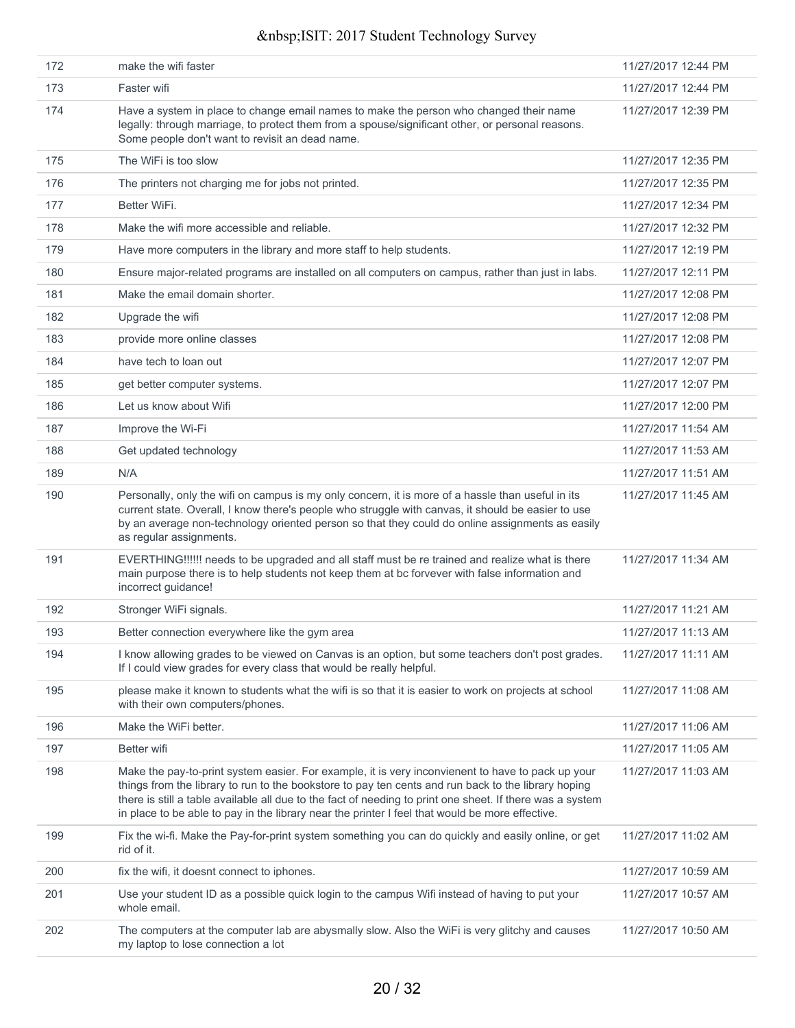| 172 | make the wifi faster                                                                                                                                                                                                                                                                                                                                                                                                     | 11/27/2017 12:44 PM |
|-----|--------------------------------------------------------------------------------------------------------------------------------------------------------------------------------------------------------------------------------------------------------------------------------------------------------------------------------------------------------------------------------------------------------------------------|---------------------|
| 173 | Faster wifi                                                                                                                                                                                                                                                                                                                                                                                                              | 11/27/2017 12:44 PM |
| 174 | Have a system in place to change email names to make the person who changed their name<br>legally: through marriage, to protect them from a spouse/significant other, or personal reasons.<br>Some people don't want to revisit an dead name.                                                                                                                                                                            | 11/27/2017 12:39 PM |
| 175 | The WiFi is too slow                                                                                                                                                                                                                                                                                                                                                                                                     | 11/27/2017 12:35 PM |
| 176 | The printers not charging me for jobs not printed.                                                                                                                                                                                                                                                                                                                                                                       | 11/27/2017 12:35 PM |
| 177 | Better WiFi.                                                                                                                                                                                                                                                                                                                                                                                                             | 11/27/2017 12:34 PM |
| 178 | Make the wifi more accessible and reliable.                                                                                                                                                                                                                                                                                                                                                                              | 11/27/2017 12:32 PM |
| 179 | Have more computers in the library and more staff to help students.                                                                                                                                                                                                                                                                                                                                                      | 11/27/2017 12:19 PM |
| 180 | Ensure major-related programs are installed on all computers on campus, rather than just in labs.                                                                                                                                                                                                                                                                                                                        | 11/27/2017 12:11 PM |
| 181 | Make the email domain shorter.                                                                                                                                                                                                                                                                                                                                                                                           | 11/27/2017 12:08 PM |
| 182 | Upgrade the wifi                                                                                                                                                                                                                                                                                                                                                                                                         | 11/27/2017 12:08 PM |
| 183 | provide more online classes                                                                                                                                                                                                                                                                                                                                                                                              | 11/27/2017 12:08 PM |
| 184 | have tech to loan out                                                                                                                                                                                                                                                                                                                                                                                                    | 11/27/2017 12:07 PM |
| 185 | get better computer systems.                                                                                                                                                                                                                                                                                                                                                                                             | 11/27/2017 12:07 PM |
| 186 | Let us know about Wifi                                                                                                                                                                                                                                                                                                                                                                                                   | 11/27/2017 12:00 PM |
| 187 | Improve the Wi-Fi                                                                                                                                                                                                                                                                                                                                                                                                        | 11/27/2017 11:54 AM |
| 188 | Get updated technology                                                                                                                                                                                                                                                                                                                                                                                                   | 11/27/2017 11:53 AM |
| 189 | N/A                                                                                                                                                                                                                                                                                                                                                                                                                      | 11/27/2017 11:51 AM |
| 190 | Personally, only the wifi on campus is my only concern, it is more of a hassle than useful in its<br>current state. Overall, I know there's people who struggle with canvas, it should be easier to use<br>by an average non-technology oriented person so that they could do online assignments as easily<br>as regular assignments.                                                                                    | 11/27/2017 11:45 AM |
| 191 | EVERTHING!!!!!! needs to be upgraded and all staff must be re trained and realize what is there<br>main purpose there is to help students not keep them at bc forvever with false information and<br>incorrect guidance!                                                                                                                                                                                                 | 11/27/2017 11:34 AM |
| 192 | Stronger WiFi signals.                                                                                                                                                                                                                                                                                                                                                                                                   | 11/27/2017 11:21 AM |
| 193 | Better connection everywhere like the gym area                                                                                                                                                                                                                                                                                                                                                                           | 11/27/2017 11:13 AM |
| 194 | I know allowing grades to be viewed on Canvas is an option, but some teachers don't post grades.<br>If I could view grades for every class that would be really helpful.                                                                                                                                                                                                                                                 | 11/27/2017 11:11 AM |
| 195 | please make it known to students what the wifi is so that it is easier to work on projects at school<br>with their own computers/phones.                                                                                                                                                                                                                                                                                 | 11/27/2017 11:08 AM |
| 196 | Make the WiFi better.                                                                                                                                                                                                                                                                                                                                                                                                    | 11/27/2017 11:06 AM |
| 197 | Better wifi                                                                                                                                                                                                                                                                                                                                                                                                              | 11/27/2017 11:05 AM |
| 198 | Make the pay-to-print system easier. For example, it is very inconvienent to have to pack up your<br>things from the library to run to the bookstore to pay ten cents and run back to the library hoping<br>there is still a table available all due to the fact of needing to print one sheet. If there was a system<br>in place to be able to pay in the library near the printer I feel that would be more effective. | 11/27/2017 11:03 AM |
| 199 | Fix the wi-fi. Make the Pay-for-print system something you can do quickly and easily online, or get<br>rid of it.                                                                                                                                                                                                                                                                                                        | 11/27/2017 11:02 AM |
| 200 | fix the wifi, it doesnt connect to iphones.                                                                                                                                                                                                                                                                                                                                                                              | 11/27/2017 10:59 AM |
| 201 | Use your student ID as a possible quick login to the campus Wifi instead of having to put your<br>whole email.                                                                                                                                                                                                                                                                                                           | 11/27/2017 10:57 AM |
| 202 | The computers at the computer lab are abysmally slow. Also the WiFi is very glitchy and causes<br>my laptop to lose connection a lot                                                                                                                                                                                                                                                                                     | 11/27/2017 10:50 AM |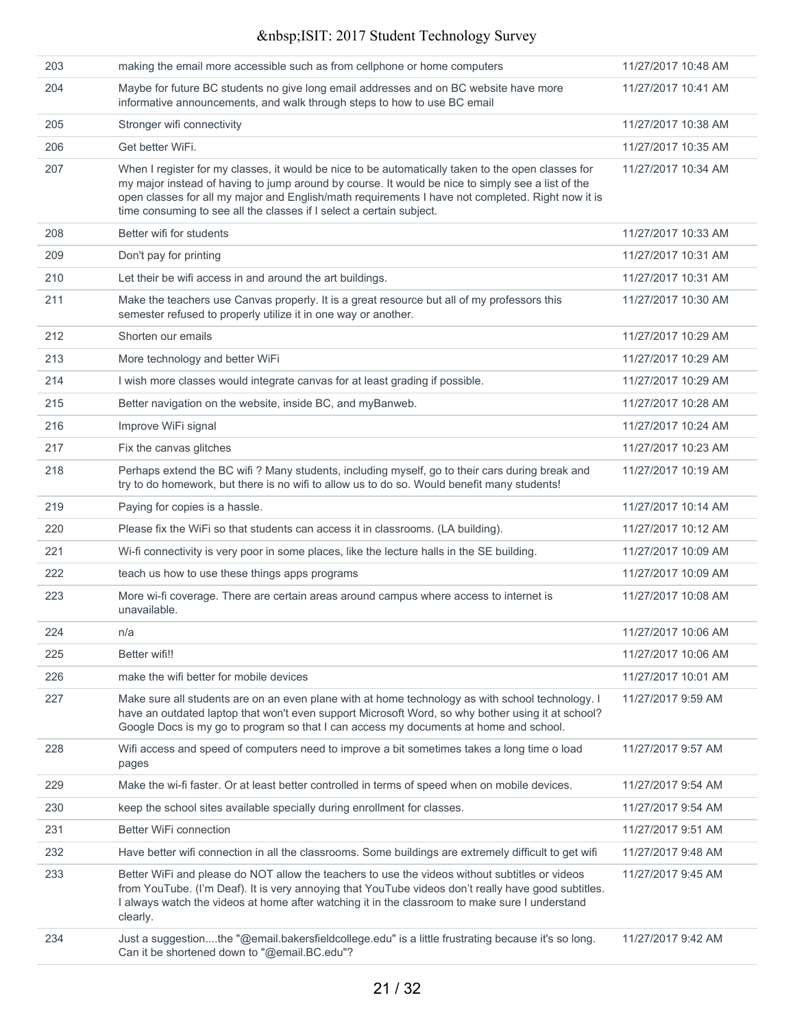| 203 | making the email more accessible such as from cellphone or home computers                                                                                                                                                                                                                                                                                                            | 11/27/2017 10:48 AM |
|-----|--------------------------------------------------------------------------------------------------------------------------------------------------------------------------------------------------------------------------------------------------------------------------------------------------------------------------------------------------------------------------------------|---------------------|
| 204 | Maybe for future BC students no give long email addresses and on BC website have more<br>informative announcements, and walk through steps to how to use BC email                                                                                                                                                                                                                    | 11/27/2017 10:41 AM |
| 205 | Stronger wifi connectivity                                                                                                                                                                                                                                                                                                                                                           | 11/27/2017 10:38 AM |
| 206 | Get better WiFi.                                                                                                                                                                                                                                                                                                                                                                     | 11/27/2017 10:35 AM |
| 207 | When I register for my classes, it would be nice to be automatically taken to the open classes for<br>my major instead of having to jump around by course. It would be nice to simply see a list of the<br>open classes for all my major and English/math requirements I have not completed. Right now it is<br>time consuming to see all the classes if I select a certain subject. | 11/27/2017 10:34 AM |
| 208 | Better wifi for students                                                                                                                                                                                                                                                                                                                                                             | 11/27/2017 10:33 AM |
| 209 | Don't pay for printing                                                                                                                                                                                                                                                                                                                                                               | 11/27/2017 10:31 AM |
| 210 | Let their be wifi access in and around the art buildings.                                                                                                                                                                                                                                                                                                                            | 11/27/2017 10:31 AM |
| 211 | Make the teachers use Canvas properly. It is a great resource but all of my professors this<br>semester refused to properly utilize it in one way or another.                                                                                                                                                                                                                        | 11/27/2017 10:30 AM |
| 212 | Shorten our emails                                                                                                                                                                                                                                                                                                                                                                   | 11/27/2017 10:29 AM |
| 213 | More technology and better WiFi                                                                                                                                                                                                                                                                                                                                                      | 11/27/2017 10:29 AM |
| 214 | I wish more classes would integrate canvas for at least grading if possible.                                                                                                                                                                                                                                                                                                         | 11/27/2017 10:29 AM |
| 215 | Better navigation on the website, inside BC, and myBanweb.                                                                                                                                                                                                                                                                                                                           | 11/27/2017 10:28 AM |
| 216 | Improve WiFi signal                                                                                                                                                                                                                                                                                                                                                                  | 11/27/2017 10:24 AM |
| 217 | Fix the canvas glitches                                                                                                                                                                                                                                                                                                                                                              | 11/27/2017 10:23 AM |
| 218 | Perhaps extend the BC wifi ? Many students, including myself, go to their cars during break and<br>try to do homework, but there is no wifi to allow us to do so. Would benefit many students!                                                                                                                                                                                       | 11/27/2017 10:19 AM |
| 219 | Paying for copies is a hassle.                                                                                                                                                                                                                                                                                                                                                       | 11/27/2017 10:14 AM |
| 220 | Please fix the WiFi so that students can access it in classrooms. (LA building).                                                                                                                                                                                                                                                                                                     | 11/27/2017 10:12 AM |
| 221 | Wi-fi connectivity is very poor in some places, like the lecture halls in the SE building.                                                                                                                                                                                                                                                                                           | 11/27/2017 10:09 AM |
| 222 | teach us how to use these things apps programs                                                                                                                                                                                                                                                                                                                                       | 11/27/2017 10:09 AM |
| 223 | More wi-fi coverage. There are certain areas around campus where access to internet is<br>unavailable.                                                                                                                                                                                                                                                                               | 11/27/2017 10:08 AM |
| 224 | n/a                                                                                                                                                                                                                                                                                                                                                                                  | 11/27/2017 10:06 AM |
| 225 | Better wifi!!                                                                                                                                                                                                                                                                                                                                                                        | 11/27/2017 10:06 AM |
| 226 | make the wifi better for mobile devices                                                                                                                                                                                                                                                                                                                                              | 11/27/2017 10:01 AM |
| 227 | Make sure all students are on an even plane with at home technology as with school technology. I<br>have an outdated laptop that won't even support Microsoft Word, so why bother using it at school?<br>Google Docs is my go to program so that I can access my documents at home and school.                                                                                       | 11/27/2017 9:59 AM  |
| 228 | Wifi access and speed of computers need to improve a bit sometimes takes a long time o load<br>pages                                                                                                                                                                                                                                                                                 | 11/27/2017 9:57 AM  |
| 229 | Make the wi-fi faster. Or at least better controlled in terms of speed when on mobile devices.                                                                                                                                                                                                                                                                                       | 11/27/2017 9:54 AM  |
| 230 | keep the school sites available specially during enrollment for classes.                                                                                                                                                                                                                                                                                                             | 11/27/2017 9:54 AM  |
| 231 | Better WiFi connection                                                                                                                                                                                                                                                                                                                                                               | 11/27/2017 9:51 AM  |
| 232 | Have better wifi connection in all the classrooms. Some buildings are extremely difficult to get wifi                                                                                                                                                                                                                                                                                | 11/27/2017 9:48 AM  |
| 233 | Better WiFi and please do NOT allow the teachers to use the videos without subtitles or videos<br>from YouTube. (I'm Deaf). It is very annoying that YouTube videos don't really have good subtitles.<br>I always watch the videos at home after watching it in the classroom to make sure I understand<br>clearly.                                                                  | 11/27/2017 9:45 AM  |
| 234 | Just a suggestionthe "@email.bakersfieldcollege.edu" is a little frustrating because it's so long.<br>Can it be shortened down to "@email.BC.edu"?                                                                                                                                                                                                                                   | 11/27/2017 9:42 AM  |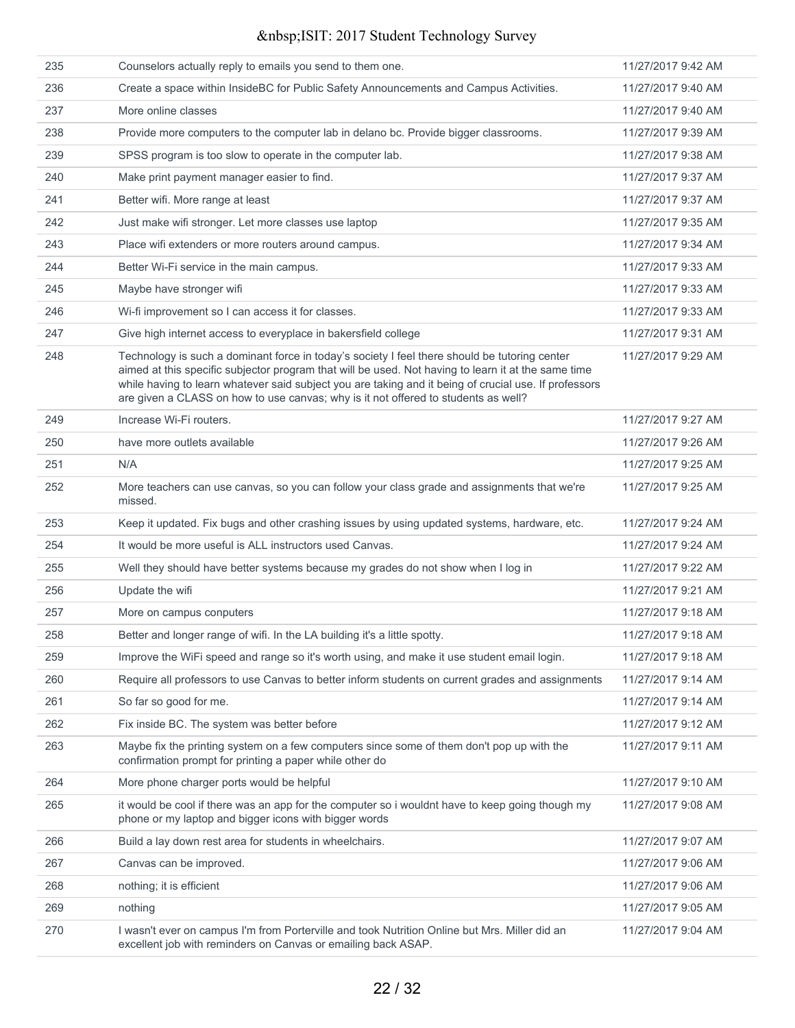| 235 | Counselors actually reply to emails you send to them one.                                                                                                                                                                                                                                                                                                                                           | 11/27/2017 9:42 AM |
|-----|-----------------------------------------------------------------------------------------------------------------------------------------------------------------------------------------------------------------------------------------------------------------------------------------------------------------------------------------------------------------------------------------------------|--------------------|
| 236 | Create a space within InsideBC for Public Safety Announcements and Campus Activities.                                                                                                                                                                                                                                                                                                               | 11/27/2017 9:40 AM |
| 237 | More online classes                                                                                                                                                                                                                                                                                                                                                                                 | 11/27/2017 9:40 AM |
| 238 | Provide more computers to the computer lab in delano bc. Provide bigger classrooms.                                                                                                                                                                                                                                                                                                                 | 11/27/2017 9:39 AM |
| 239 | SPSS program is too slow to operate in the computer lab.                                                                                                                                                                                                                                                                                                                                            | 11/27/2017 9:38 AM |
| 240 | Make print payment manager easier to find.                                                                                                                                                                                                                                                                                                                                                          | 11/27/2017 9:37 AM |
| 241 | Better wifi. More range at least                                                                                                                                                                                                                                                                                                                                                                    | 11/27/2017 9:37 AM |
| 242 | Just make wifi stronger. Let more classes use laptop                                                                                                                                                                                                                                                                                                                                                | 11/27/2017 9:35 AM |
| 243 | Place wifi extenders or more routers around campus.                                                                                                                                                                                                                                                                                                                                                 | 11/27/2017 9:34 AM |
| 244 | Better Wi-Fi service in the main campus.                                                                                                                                                                                                                                                                                                                                                            | 11/27/2017 9:33 AM |
| 245 | Maybe have stronger wifi                                                                                                                                                                                                                                                                                                                                                                            | 11/27/2017 9:33 AM |
| 246 | Wi-fi improvement so I can access it for classes.                                                                                                                                                                                                                                                                                                                                                   | 11/27/2017 9:33 AM |
| 247 | Give high internet access to everyplace in bakersfield college                                                                                                                                                                                                                                                                                                                                      | 11/27/2017 9:31 AM |
| 248 | Technology is such a dominant force in today's society I feel there should be tutoring center<br>aimed at this specific subjector program that will be used. Not having to learn it at the same time<br>while having to learn whatever said subject you are taking and it being of crucial use. If professors<br>are given a CLASS on how to use canvas; why is it not offered to students as well? | 11/27/2017 9:29 AM |
| 249 | Increase Wi-Fi routers.                                                                                                                                                                                                                                                                                                                                                                             | 11/27/2017 9:27 AM |
| 250 | have more outlets available                                                                                                                                                                                                                                                                                                                                                                         | 11/27/2017 9:26 AM |
| 251 | N/A                                                                                                                                                                                                                                                                                                                                                                                                 | 11/27/2017 9:25 AM |
| 252 | More teachers can use canvas, so you can follow your class grade and assignments that we're<br>missed.                                                                                                                                                                                                                                                                                              | 11/27/2017 9:25 AM |
| 253 | Keep it updated. Fix bugs and other crashing issues by using updated systems, hardware, etc.                                                                                                                                                                                                                                                                                                        | 11/27/2017 9:24 AM |
| 254 | It would be more useful is ALL instructors used Canvas.                                                                                                                                                                                                                                                                                                                                             | 11/27/2017 9:24 AM |
| 255 | Well they should have better systems because my grades do not show when I log in                                                                                                                                                                                                                                                                                                                    | 11/27/2017 9:22 AM |
| 256 | Update the wifi                                                                                                                                                                                                                                                                                                                                                                                     | 11/27/2017 9:21 AM |
| 257 | More on campus conputers                                                                                                                                                                                                                                                                                                                                                                            | 11/27/2017 9:18 AM |
| 258 | Better and longer range of wifi. In the LA building it's a little spotty.                                                                                                                                                                                                                                                                                                                           | 11/27/2017 9:18 AM |
| 259 | Improve the WiFi speed and range so it's worth using, and make it use student email login.                                                                                                                                                                                                                                                                                                          | 11/27/2017 9:18 AM |
| 260 | Require all professors to use Canvas to better inform students on current grades and assignments                                                                                                                                                                                                                                                                                                    | 11/27/2017 9:14 AM |
| 261 | So far so good for me.                                                                                                                                                                                                                                                                                                                                                                              | 11/27/2017 9:14 AM |
| 262 | Fix inside BC. The system was better before                                                                                                                                                                                                                                                                                                                                                         | 11/27/2017 9:12 AM |
| 263 | Maybe fix the printing system on a few computers since some of them don't pop up with the<br>confirmation prompt for printing a paper while other do                                                                                                                                                                                                                                                | 11/27/2017 9:11 AM |
| 264 | More phone charger ports would be helpful                                                                                                                                                                                                                                                                                                                                                           | 11/27/2017 9:10 AM |
| 265 | it would be cool if there was an app for the computer so i wouldnt have to keep going though my<br>phone or my laptop and bigger icons with bigger words                                                                                                                                                                                                                                            | 11/27/2017 9:08 AM |
| 266 | Build a lay down rest area for students in wheelchairs.                                                                                                                                                                                                                                                                                                                                             | 11/27/2017 9:07 AM |
| 267 | Canvas can be improved.                                                                                                                                                                                                                                                                                                                                                                             | 11/27/2017 9:06 AM |
| 268 | nothing; it is efficient                                                                                                                                                                                                                                                                                                                                                                            | 11/27/2017 9:06 AM |
| 269 | nothing                                                                                                                                                                                                                                                                                                                                                                                             | 11/27/2017 9:05 AM |
| 270 | I wasn't ever on campus I'm from Porterville and took Nutrition Online but Mrs. Miller did an<br>excellent job with reminders on Canvas or emailing back ASAP.                                                                                                                                                                                                                                      | 11/27/2017 9:04 AM |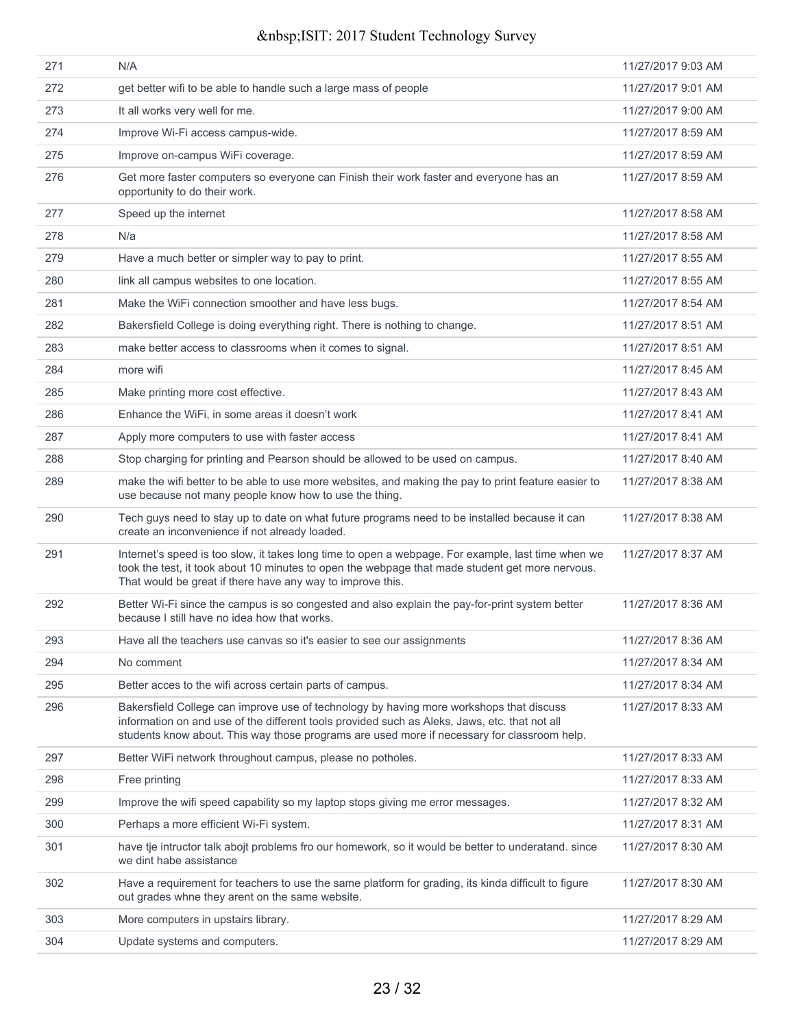| 271 | N/A                                                                                                                                                                                                                                                                                     | 11/27/2017 9:03 AM |
|-----|-----------------------------------------------------------------------------------------------------------------------------------------------------------------------------------------------------------------------------------------------------------------------------------------|--------------------|
| 272 | get better wifi to be able to handle such a large mass of people                                                                                                                                                                                                                        | 11/27/2017 9:01 AM |
| 273 | It all works very well for me.                                                                                                                                                                                                                                                          | 11/27/2017 9:00 AM |
| 274 | Improve Wi-Fi access campus-wide.                                                                                                                                                                                                                                                       | 11/27/2017 8:59 AM |
| 275 | Improve on-campus WiFi coverage.                                                                                                                                                                                                                                                        | 11/27/2017 8:59 AM |
| 276 | Get more faster computers so everyone can Finish their work faster and everyone has an<br>opportunity to do their work.                                                                                                                                                                 | 11/27/2017 8:59 AM |
| 277 | Speed up the internet                                                                                                                                                                                                                                                                   | 11/27/2017 8:58 AM |
| 278 | N/a                                                                                                                                                                                                                                                                                     | 11/27/2017 8:58 AM |
| 279 | Have a much better or simpler way to pay to print.                                                                                                                                                                                                                                      | 11/27/2017 8:55 AM |
| 280 | link all campus websites to one location.                                                                                                                                                                                                                                               | 11/27/2017 8:55 AM |
| 281 | Make the WiFi connection smoother and have less bugs.                                                                                                                                                                                                                                   | 11/27/2017 8:54 AM |
| 282 | Bakersfield College is doing everything right. There is nothing to change.                                                                                                                                                                                                              | 11/27/2017 8:51 AM |
| 283 | make better access to classrooms when it comes to signal.                                                                                                                                                                                                                               | 11/27/2017 8:51 AM |
| 284 | more wifi                                                                                                                                                                                                                                                                               | 11/27/2017 8:45 AM |
| 285 | Make printing more cost effective.                                                                                                                                                                                                                                                      | 11/27/2017 8:43 AM |
| 286 | Enhance the WiFi, in some areas it doesn't work                                                                                                                                                                                                                                         | 11/27/2017 8:41 AM |
| 287 | Apply more computers to use with faster access                                                                                                                                                                                                                                          | 11/27/2017 8:41 AM |
| 288 | Stop charging for printing and Pearson should be allowed to be used on campus.                                                                                                                                                                                                          | 11/27/2017 8:40 AM |
| 289 | make the wifi better to be able to use more websites, and making the pay to print feature easier to<br>use because not many people know how to use the thing.                                                                                                                           | 11/27/2017 8:38 AM |
| 290 | Tech guys need to stay up to date on what future programs need to be installed because it can<br>create an inconvenience if not already loaded.                                                                                                                                         | 11/27/2017 8:38 AM |
| 291 | Internet's speed is too slow, it takes long time to open a webpage. For example, last time when we<br>took the test, it took about 10 minutes to open the webpage that made student get more nervous.<br>That would be great if there have any way to improve this.                     | 11/27/2017 8:37 AM |
| 292 | Better Wi-Fi since the campus is so congested and also explain the pay-for-print system better<br>because I still have no idea how that works.                                                                                                                                          | 11/27/2017 8:36 AM |
| 293 | Have all the teachers use canvas so it's easier to see our assignments                                                                                                                                                                                                                  | 11/27/2017 8:36 AM |
| 294 | No comment                                                                                                                                                                                                                                                                              | 11/27/2017 8:34 AM |
| 295 | Better acces to the wifi across certain parts of campus.                                                                                                                                                                                                                                | 11/27/2017 8:34 AM |
| 296 | Bakersfield College can improve use of technology by having more workshops that discuss<br>information on and use of the different tools provided such as Aleks, Jaws, etc. that not all<br>students know about. This way those programs are used more if necessary for classroom help. | 11/27/2017 8:33 AM |
| 297 | Better WiFi network throughout campus, please no potholes.                                                                                                                                                                                                                              | 11/27/2017 8:33 AM |
| 298 | Free printing                                                                                                                                                                                                                                                                           | 11/27/2017 8:33 AM |
| 299 | Improve the wifi speed capability so my laptop stops giving me error messages.                                                                                                                                                                                                          | 11/27/2017 8:32 AM |
| 300 | Perhaps a more efficient Wi-Fi system.                                                                                                                                                                                                                                                  | 11/27/2017 8:31 AM |
| 301 | have tje intructor talk abojt problems fro our homework, so it would be better to underatand. since<br>we dint habe assistance                                                                                                                                                          | 11/27/2017 8:30 AM |
| 302 | Have a requirement for teachers to use the same platform for grading, its kinda difficult to figure<br>out grades whne they arent on the same website.                                                                                                                                  | 11/27/2017 8:30 AM |
| 303 | More computers in upstairs library.                                                                                                                                                                                                                                                     | 11/27/2017 8:29 AM |
| 304 | Update systems and computers.                                                                                                                                                                                                                                                           | 11/27/2017 8:29 AM |
|     |                                                                                                                                                                                                                                                                                         |                    |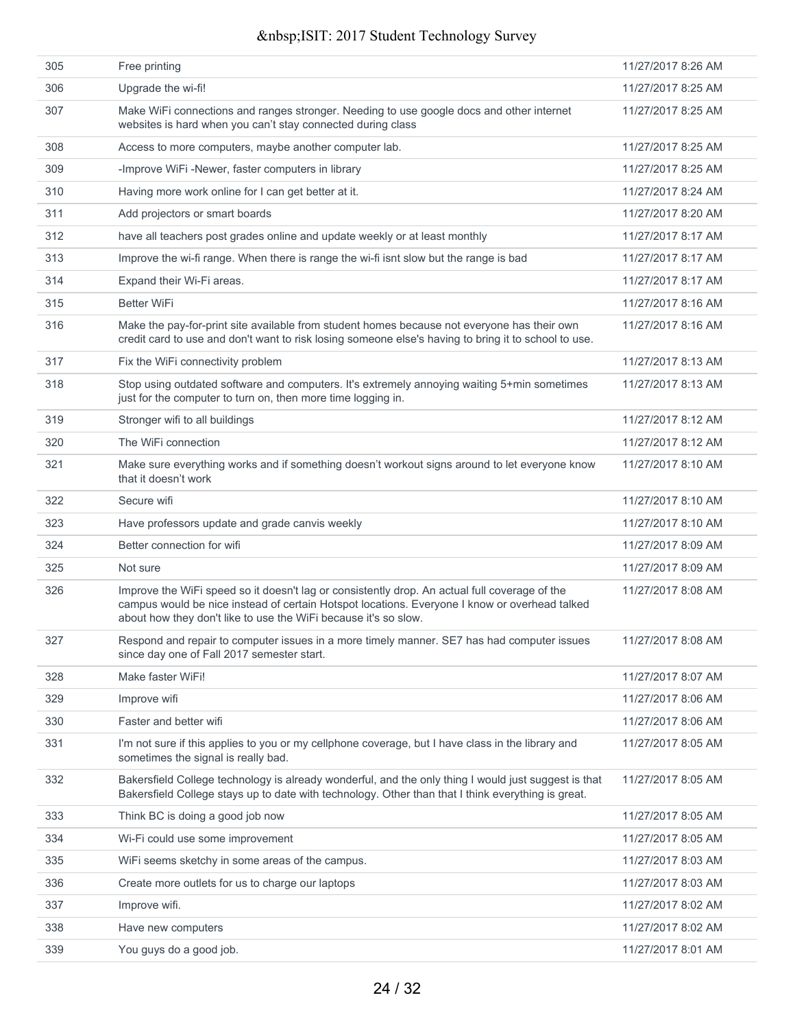| 305 | Free printing                                                                                                                                                                                                                                                     | 11/27/2017 8:26 AM |
|-----|-------------------------------------------------------------------------------------------------------------------------------------------------------------------------------------------------------------------------------------------------------------------|--------------------|
| 306 | Upgrade the wi-fi!                                                                                                                                                                                                                                                | 11/27/2017 8:25 AM |
| 307 | Make WiFi connections and ranges stronger. Needing to use google docs and other internet<br>websites is hard when you can't stay connected during class                                                                                                           | 11/27/2017 8:25 AM |
| 308 | Access to more computers, maybe another computer lab.                                                                                                                                                                                                             | 11/27/2017 8:25 AM |
| 309 | -Improve WiFi -Newer, faster computers in library                                                                                                                                                                                                                 | 11/27/2017 8:25 AM |
| 310 | Having more work online for I can get better at it.                                                                                                                                                                                                               | 11/27/2017 8:24 AM |
| 311 | Add projectors or smart boards                                                                                                                                                                                                                                    | 11/27/2017 8:20 AM |
| 312 | have all teachers post grades online and update weekly or at least monthly                                                                                                                                                                                        | 11/27/2017 8:17 AM |
| 313 | Improve the wi-fi range. When there is range the wi-fi isnt slow but the range is bad                                                                                                                                                                             | 11/27/2017 8:17 AM |
| 314 | Expand their Wi-Fi areas.                                                                                                                                                                                                                                         | 11/27/2017 8:17 AM |
| 315 | <b>Better WiFi</b>                                                                                                                                                                                                                                                | 11/27/2017 8:16 AM |
| 316 | Make the pay-for-print site available from student homes because not everyone has their own<br>credit card to use and don't want to risk losing someone else's having to bring it to school to use.                                                               | 11/27/2017 8:16 AM |
| 317 | Fix the WiFi connectivity problem                                                                                                                                                                                                                                 | 11/27/2017 8:13 AM |
| 318 | Stop using outdated software and computers. It's extremely annoying waiting 5+min sometimes<br>just for the computer to turn on, then more time logging in.                                                                                                       | 11/27/2017 8:13 AM |
| 319 | Stronger wifi to all buildings                                                                                                                                                                                                                                    | 11/27/2017 8:12 AM |
| 320 | The WiFi connection                                                                                                                                                                                                                                               | 11/27/2017 8:12 AM |
| 321 | Make sure everything works and if something doesn't workout signs around to let everyone know<br>that it doesn't work                                                                                                                                             | 11/27/2017 8:10 AM |
| 322 | Secure wifi                                                                                                                                                                                                                                                       | 11/27/2017 8:10 AM |
| 323 | Have professors update and grade canvis weekly                                                                                                                                                                                                                    | 11/27/2017 8:10 AM |
| 324 | Better connection for wifi                                                                                                                                                                                                                                        | 11/27/2017 8:09 AM |
| 325 | Not sure                                                                                                                                                                                                                                                          | 11/27/2017 8:09 AM |
| 326 | Improve the WiFi speed so it doesn't lag or consistently drop. An actual full coverage of the<br>campus would be nice instead of certain Hotspot locations. Everyone I know or overhead talked<br>about how they don't like to use the WiFi because it's so slow. | 11/27/2017 8:08 AM |
| 327 | Respond and repair to computer issues in a more timely manner. SE7 has had computer issues<br>since day one of Fall 2017 semester start.                                                                                                                          | 11/27/2017 8:08 AM |
| 328 | Make faster WiFi!                                                                                                                                                                                                                                                 | 11/27/2017 8:07 AM |
| 329 | Improve wifi                                                                                                                                                                                                                                                      | 11/27/2017 8:06 AM |
| 330 | Faster and better wifi                                                                                                                                                                                                                                            | 11/27/2017 8:06 AM |
| 331 | I'm not sure if this applies to you or my cellphone coverage, but I have class in the library and<br>sometimes the signal is really bad.                                                                                                                          | 11/27/2017 8:05 AM |
| 332 | Bakersfield College technology is already wonderful, and the only thing I would just suggest is that<br>Bakersfield College stays up to date with technology. Other than that I think everything is great.                                                        | 11/27/2017 8:05 AM |
| 333 | Think BC is doing a good job now                                                                                                                                                                                                                                  | 11/27/2017 8:05 AM |
| 334 | Wi-Fi could use some improvement                                                                                                                                                                                                                                  | 11/27/2017 8:05 AM |
| 335 | WiFi seems sketchy in some areas of the campus.                                                                                                                                                                                                                   | 11/27/2017 8:03 AM |
| 336 | Create more outlets for us to charge our laptops                                                                                                                                                                                                                  | 11/27/2017 8:03 AM |
| 337 | Improve wifi.                                                                                                                                                                                                                                                     | 11/27/2017 8:02 AM |
| 338 | Have new computers                                                                                                                                                                                                                                                | 11/27/2017 8:02 AM |
| 339 | You guys do a good job.                                                                                                                                                                                                                                           | 11/27/2017 8:01 AM |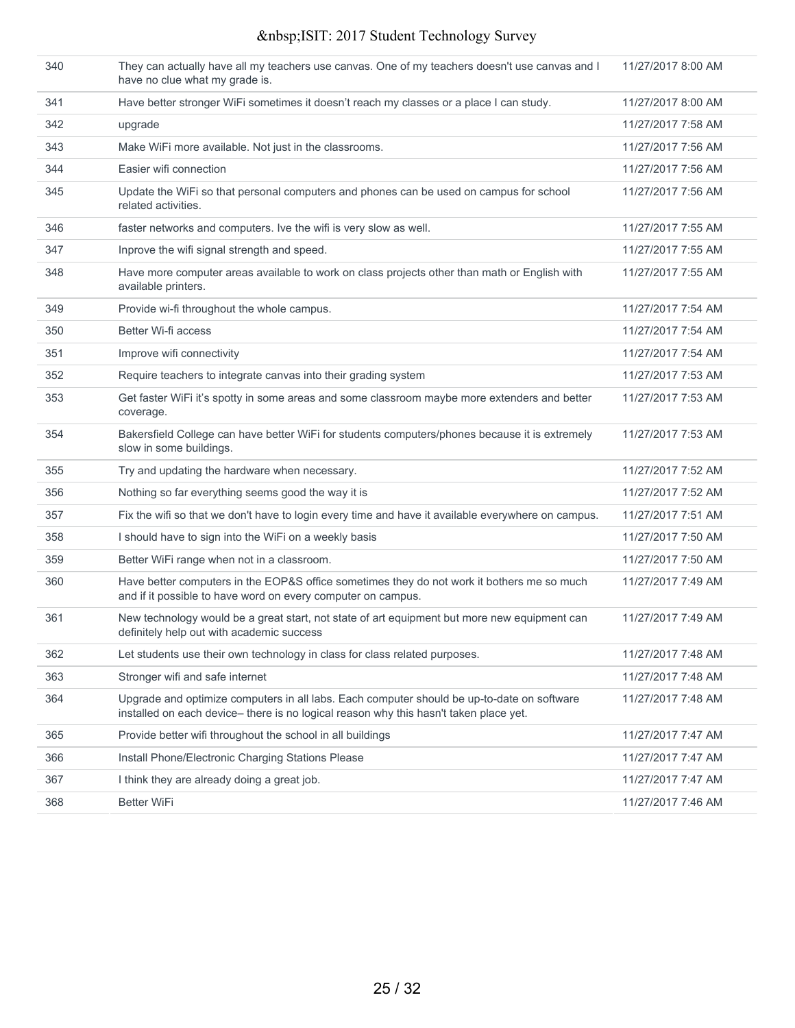| 340 | They can actually have all my teachers use canvas. One of my teachers doesn't use canvas and I<br>have no clue what my grade is.                                                    | 11/27/2017 8:00 AM |
|-----|-------------------------------------------------------------------------------------------------------------------------------------------------------------------------------------|--------------------|
| 341 | Have better stronger WiFi sometimes it doesn't reach my classes or a place I can study.                                                                                             | 11/27/2017 8:00 AM |
| 342 | upgrade                                                                                                                                                                             | 11/27/2017 7:58 AM |
| 343 | Make WiFi more available. Not just in the classrooms.                                                                                                                               | 11/27/2017 7:56 AM |
| 344 | Easier wifi connection                                                                                                                                                              | 11/27/2017 7:56 AM |
| 345 | Update the WiFi so that personal computers and phones can be used on campus for school<br>related activities.                                                                       | 11/27/2017 7:56 AM |
| 346 | faster networks and computers. Ive the wifi is very slow as well.                                                                                                                   | 11/27/2017 7:55 AM |
| 347 | Inprove the wifi signal strength and speed.                                                                                                                                         | 11/27/2017 7:55 AM |
| 348 | Have more computer areas available to work on class projects other than math or English with<br>available printers.                                                                 | 11/27/2017 7:55 AM |
| 349 | Provide wi-fi throughout the whole campus.                                                                                                                                          | 11/27/2017 7:54 AM |
| 350 | Better Wi-fi access                                                                                                                                                                 | 11/27/2017 7:54 AM |
| 351 | Improve wifi connectivity                                                                                                                                                           | 11/27/2017 7:54 AM |
| 352 | Require teachers to integrate canvas into their grading system                                                                                                                      | 11/27/2017 7:53 AM |
| 353 | Get faster WiFi it's spotty in some areas and some classroom maybe more extenders and better<br>coverage.                                                                           | 11/27/2017 7:53 AM |
| 354 | Bakersfield College can have better WiFi for students computers/phones because it is extremely<br>slow in some buildings.                                                           | 11/27/2017 7:53 AM |
| 355 | Try and updating the hardware when necessary.                                                                                                                                       | 11/27/2017 7:52 AM |
| 356 | Nothing so far everything seems good the way it is                                                                                                                                  | 11/27/2017 7:52 AM |
| 357 | Fix the wifi so that we don't have to login every time and have it available everywhere on campus.                                                                                  | 11/27/2017 7:51 AM |
| 358 | I should have to sign into the WiFi on a weekly basis                                                                                                                               | 11/27/2017 7:50 AM |
| 359 | Better WiFi range when not in a classroom.                                                                                                                                          | 11/27/2017 7:50 AM |
| 360 | Have better computers in the EOP&S office sometimes they do not work it bothers me so much<br>and if it possible to have word on every computer on campus.                          | 11/27/2017 7:49 AM |
| 361 | New technology would be a great start, not state of art equipment but more new equipment can<br>definitely help out with academic success                                           | 11/27/2017 7:49 AM |
| 362 | Let students use their own technology in class for class related purposes.                                                                                                          | 11/27/2017 7:48 AM |
| 363 | Stronger wifi and safe internet                                                                                                                                                     | 11/27/2017 7:48 AM |
| 364 | Upgrade and optimize computers in all labs. Each computer should be up-to-date on software<br>installed on each device- there is no logical reason why this hasn't taken place yet. | 11/27/2017 7:48 AM |
| 365 | Provide better wifi throughout the school in all buildings                                                                                                                          | 11/27/2017 7:47 AM |
| 366 | Install Phone/Electronic Charging Stations Please                                                                                                                                   | 11/27/2017 7:47 AM |
| 367 | I think they are already doing a great job.                                                                                                                                         | 11/27/2017 7:47 AM |
| 368 | <b>Better WiFi</b>                                                                                                                                                                  | 11/27/2017 7:46 AM |
|     |                                                                                                                                                                                     |                    |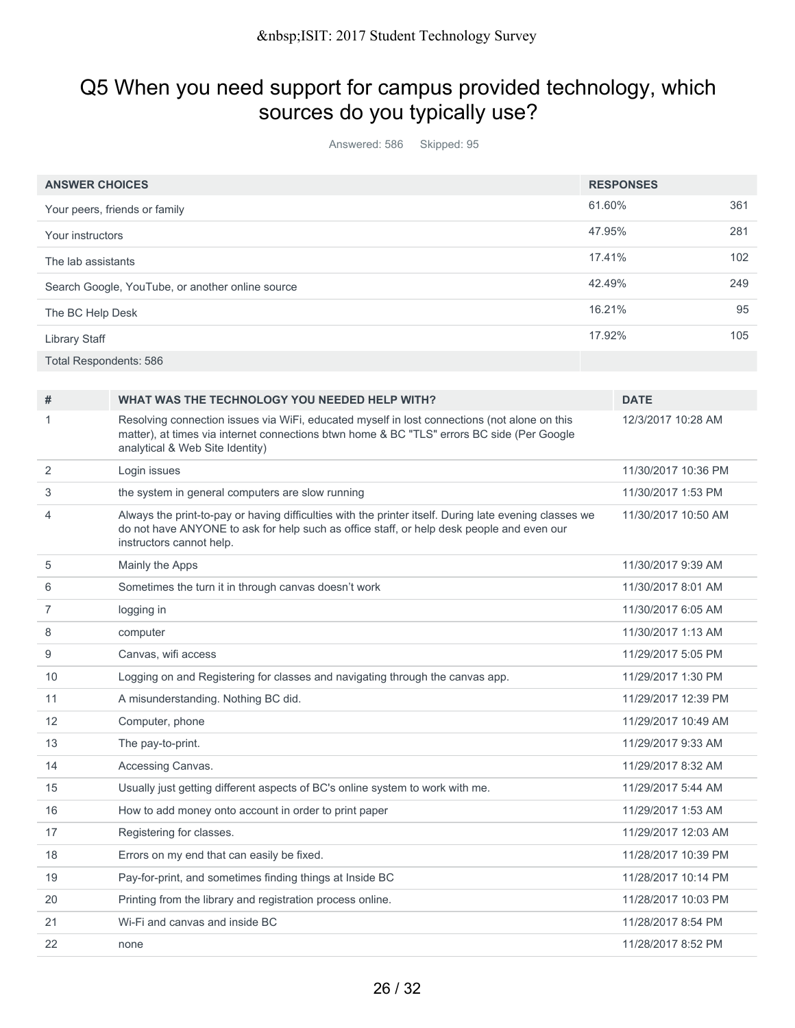## Q5 When you need support for campus provided technology, which sources do you typically use?

Answered: 586 Skipped: 95

|                      | <b>ANSWER CHOICES</b>                                                                                                                                                                                                           |        | <b>RESPONSES</b>    |     |
|----------------------|---------------------------------------------------------------------------------------------------------------------------------------------------------------------------------------------------------------------------------|--------|---------------------|-----|
|                      | Your peers, friends or family                                                                                                                                                                                                   | 61.60% |                     | 361 |
| Your instructors     |                                                                                                                                                                                                                                 | 47.95% |                     | 281 |
|                      | The lab assistants                                                                                                                                                                                                              | 17.41% |                     | 102 |
|                      | Search Google, YouTube, or another online source                                                                                                                                                                                | 42.49% |                     | 249 |
|                      | The BC Help Desk                                                                                                                                                                                                                | 16.21% |                     | 95  |
| <b>Library Staff</b> |                                                                                                                                                                                                                                 | 17.92% |                     | 105 |
|                      | <b>Total Respondents: 586</b>                                                                                                                                                                                                   |        |                     |     |
|                      |                                                                                                                                                                                                                                 |        |                     |     |
| #                    | WHAT WAS THE TECHNOLOGY YOU NEEDED HELP WITH?                                                                                                                                                                                   |        | <b>DATE</b>         |     |
| 1                    | Resolving connection issues via WiFi, educated myself in lost connections (not alone on this<br>matter), at times via internet connections btwn home & BC "TLS" errors BC side (Per Google<br>analytical & Web Site Identity)   |        | 12/3/2017 10:28 AM  |     |
| $\overline{2}$       | Login issues                                                                                                                                                                                                                    |        | 11/30/2017 10:36 PM |     |
| 3                    | the system in general computers are slow running                                                                                                                                                                                |        | 11/30/2017 1:53 PM  |     |
| 4                    | Always the print-to-pay or having difficulties with the printer itself. During late evening classes we<br>do not have ANYONE to ask for help such as office staff, or help desk people and even our<br>instructors cannot help. |        | 11/30/2017 10:50 AM |     |
| 5                    | Mainly the Apps                                                                                                                                                                                                                 |        | 11/30/2017 9:39 AM  |     |
| 6                    | Sometimes the turn it in through canvas doesn't work                                                                                                                                                                            |        | 11/30/2017 8:01 AM  |     |
| $\overline{7}$       | logging in                                                                                                                                                                                                                      |        | 11/30/2017 6:05 AM  |     |
| 8                    | computer                                                                                                                                                                                                                        |        | 11/30/2017 1:13 AM  |     |
| 9                    | Canvas, wifi access                                                                                                                                                                                                             |        | 11/29/2017 5:05 PM  |     |
| 10                   | Logging on and Registering for classes and navigating through the canvas app.                                                                                                                                                   |        | 11/29/2017 1:30 PM  |     |
| 11                   | A misunderstanding. Nothing BC did.                                                                                                                                                                                             |        | 11/29/2017 12:39 PM |     |
| 12                   | Computer, phone                                                                                                                                                                                                                 |        | 11/29/2017 10:49 AM |     |
| 13                   | The pay-to-print.                                                                                                                                                                                                               |        | 11/29/2017 9:33 AM  |     |
| 14                   | Accessing Canvas.                                                                                                                                                                                                               |        | 11/29/2017 8:32 AM  |     |
| 15                   | Usually just getting different aspects of BC's online system to work with me.                                                                                                                                                   |        | 11/29/2017 5:44 AM  |     |
| 16                   | How to add money onto account in order to print paper                                                                                                                                                                           |        | 11/29/2017 1:53 AM  |     |
| 17                   | Registering for classes.                                                                                                                                                                                                        |        | 11/29/2017 12:03 AM |     |
| 18                   | Errors on my end that can easily be fixed.                                                                                                                                                                                      |        | 11/28/2017 10:39 PM |     |
| 19                   | Pay-for-print, and sometimes finding things at Inside BC                                                                                                                                                                        |        | 11/28/2017 10:14 PM |     |
| 20                   | Printing from the library and registration process online.                                                                                                                                                                      |        | 11/28/2017 10:03 PM |     |
| 21                   | Wi-Fi and canvas and inside BC                                                                                                                                                                                                  |        | 11/28/2017 8:54 PM  |     |
| 22                   | none                                                                                                                                                                                                                            |        | 11/28/2017 8:52 PM  |     |
|                      |                                                                                                                                                                                                                                 |        |                     |     |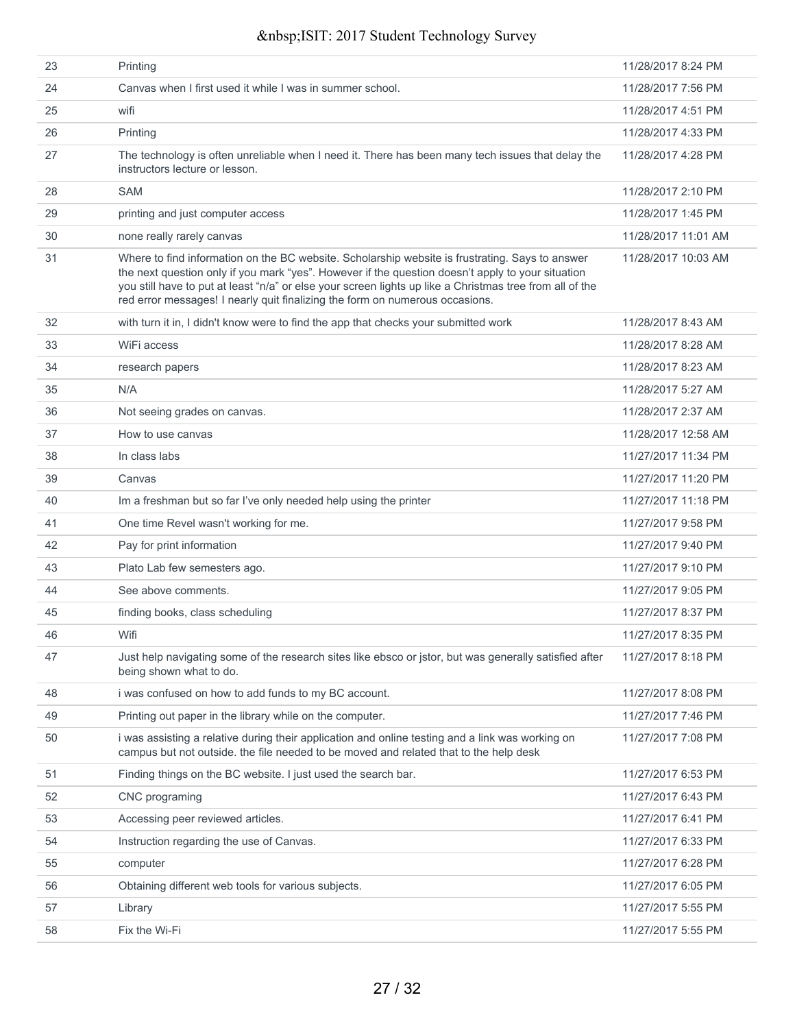| 23 | Printing                                                                                                                                                                                                                                                                                                                                                                                         | 11/28/2017 8:24 PM  |
|----|--------------------------------------------------------------------------------------------------------------------------------------------------------------------------------------------------------------------------------------------------------------------------------------------------------------------------------------------------------------------------------------------------|---------------------|
| 24 | Canvas when I first used it while I was in summer school.                                                                                                                                                                                                                                                                                                                                        | 11/28/2017 7:56 PM  |
| 25 | wifi                                                                                                                                                                                                                                                                                                                                                                                             | 11/28/2017 4:51 PM  |
| 26 | Printing                                                                                                                                                                                                                                                                                                                                                                                         | 11/28/2017 4:33 PM  |
| 27 | The technology is often unreliable when I need it. There has been many tech issues that delay the<br>instructors lecture or lesson.                                                                                                                                                                                                                                                              | 11/28/2017 4:28 PM  |
| 28 | <b>SAM</b>                                                                                                                                                                                                                                                                                                                                                                                       | 11/28/2017 2:10 PM  |
| 29 | printing and just computer access                                                                                                                                                                                                                                                                                                                                                                | 11/28/2017 1:45 PM  |
| 30 | none really rarely canvas                                                                                                                                                                                                                                                                                                                                                                        | 11/28/2017 11:01 AM |
| 31 | Where to find information on the BC website. Scholarship website is frustrating. Says to answer<br>the next question only if you mark "yes". However if the question doesn't apply to your situation<br>you still have to put at least "n/a" or else your screen lights up like a Christmas tree from all of the<br>red error messages! I nearly quit finalizing the form on numerous occasions. | 11/28/2017 10:03 AM |
| 32 | with turn it in, I didn't know were to find the app that checks your submitted work                                                                                                                                                                                                                                                                                                              | 11/28/2017 8:43 AM  |
| 33 | WiFi access                                                                                                                                                                                                                                                                                                                                                                                      | 11/28/2017 8:28 AM  |
| 34 | research papers                                                                                                                                                                                                                                                                                                                                                                                  | 11/28/2017 8:23 AM  |
| 35 | N/A                                                                                                                                                                                                                                                                                                                                                                                              | 11/28/2017 5:27 AM  |
| 36 | Not seeing grades on canvas.                                                                                                                                                                                                                                                                                                                                                                     | 11/28/2017 2:37 AM  |
| 37 | How to use canvas                                                                                                                                                                                                                                                                                                                                                                                | 11/28/2017 12:58 AM |
| 38 | In class labs                                                                                                                                                                                                                                                                                                                                                                                    | 11/27/2017 11:34 PM |
| 39 | Canvas                                                                                                                                                                                                                                                                                                                                                                                           | 11/27/2017 11:20 PM |
| 40 | Im a freshman but so far I've only needed help using the printer                                                                                                                                                                                                                                                                                                                                 | 11/27/2017 11:18 PM |
| 41 | One time Revel wasn't working for me.                                                                                                                                                                                                                                                                                                                                                            | 11/27/2017 9:58 PM  |
| 42 | Pay for print information                                                                                                                                                                                                                                                                                                                                                                        | 11/27/2017 9:40 PM  |
| 43 | Plato Lab few semesters ago.                                                                                                                                                                                                                                                                                                                                                                     | 11/27/2017 9:10 PM  |
| 44 | See above comments.                                                                                                                                                                                                                                                                                                                                                                              | 11/27/2017 9:05 PM  |
| 45 | finding books, class scheduling                                                                                                                                                                                                                                                                                                                                                                  | 11/27/2017 8:37 PM  |
| 46 | Wifi                                                                                                                                                                                                                                                                                                                                                                                             | 11/27/2017 8:35 PM  |
| 47 | Just help navigating some of the research sites like ebsco or jstor, but was generally satisfied after<br>being shown what to do.                                                                                                                                                                                                                                                                | 11/27/2017 8:18 PM  |
| 48 | i was confused on how to add funds to my BC account.                                                                                                                                                                                                                                                                                                                                             | 11/27/2017 8:08 PM  |
| 49 | Printing out paper in the library while on the computer.                                                                                                                                                                                                                                                                                                                                         | 11/27/2017 7:46 PM  |
| 50 | i was assisting a relative during their application and online testing and a link was working on<br>campus but not outside. the file needed to be moved and related that to the help desk                                                                                                                                                                                                        | 11/27/2017 7:08 PM  |
| 51 | Finding things on the BC website. I just used the search bar.                                                                                                                                                                                                                                                                                                                                    | 11/27/2017 6:53 PM  |
| 52 | CNC programing                                                                                                                                                                                                                                                                                                                                                                                   | 11/27/2017 6:43 PM  |
| 53 | Accessing peer reviewed articles.                                                                                                                                                                                                                                                                                                                                                                | 11/27/2017 6:41 PM  |
| 54 | Instruction regarding the use of Canvas.                                                                                                                                                                                                                                                                                                                                                         | 11/27/2017 6:33 PM  |
| 55 | computer                                                                                                                                                                                                                                                                                                                                                                                         | 11/27/2017 6:28 PM  |
| 56 | Obtaining different web tools for various subjects.                                                                                                                                                                                                                                                                                                                                              | 11/27/2017 6:05 PM  |
| 57 | Library                                                                                                                                                                                                                                                                                                                                                                                          | 11/27/2017 5:55 PM  |
| 58 | Fix the Wi-Fi                                                                                                                                                                                                                                                                                                                                                                                    | 11/27/2017 5:55 PM  |
|    |                                                                                                                                                                                                                                                                                                                                                                                                  |                     |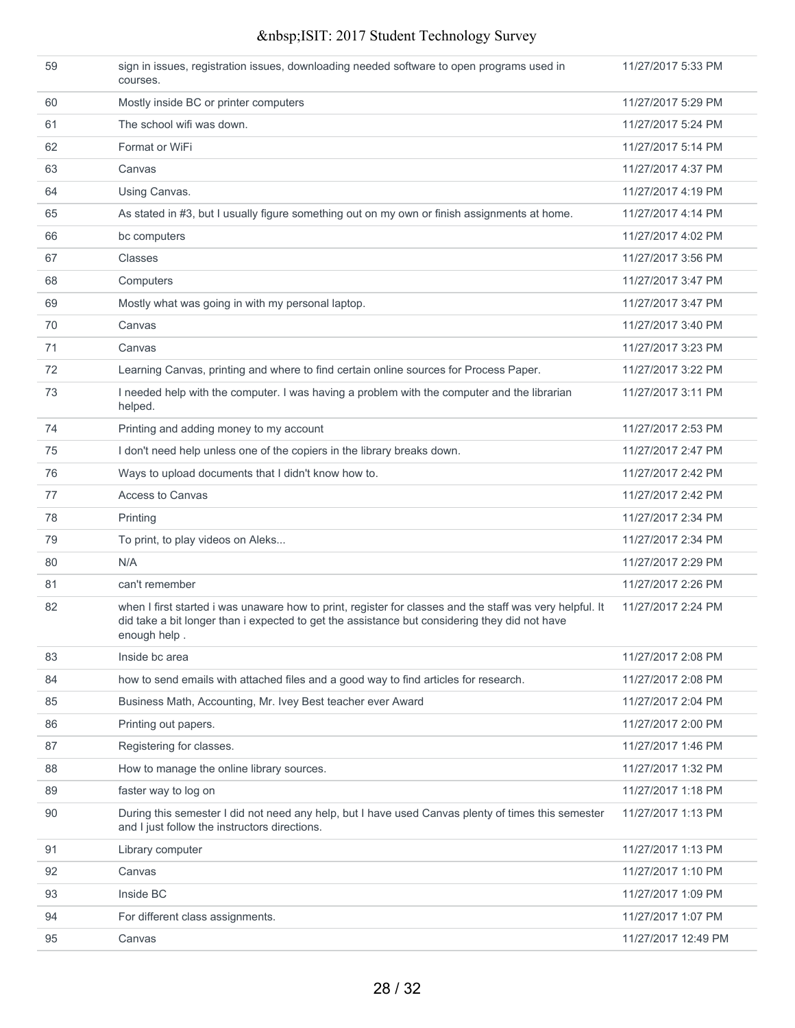| 59 | sign in issues, registration issues, downloading needed software to open programs used in<br>courses.                                                                                                                     | 11/27/2017 5:33 PM  |
|----|---------------------------------------------------------------------------------------------------------------------------------------------------------------------------------------------------------------------------|---------------------|
| 60 | Mostly inside BC or printer computers                                                                                                                                                                                     | 11/27/2017 5:29 PM  |
| 61 | The school wifi was down.                                                                                                                                                                                                 | 11/27/2017 5:24 PM  |
| 62 | Format or WiFi                                                                                                                                                                                                            | 11/27/2017 5:14 PM  |
| 63 | Canvas                                                                                                                                                                                                                    | 11/27/2017 4:37 PM  |
| 64 | Using Canvas.                                                                                                                                                                                                             | 11/27/2017 4:19 PM  |
| 65 | As stated in #3, but I usually figure something out on my own or finish assignments at home.                                                                                                                              | 11/27/2017 4:14 PM  |
| 66 | bc computers                                                                                                                                                                                                              | 11/27/2017 4:02 PM  |
| 67 | Classes                                                                                                                                                                                                                   | 11/27/2017 3:56 PM  |
| 68 | Computers                                                                                                                                                                                                                 | 11/27/2017 3:47 PM  |
| 69 | Mostly what was going in with my personal laptop.                                                                                                                                                                         | 11/27/2017 3:47 PM  |
| 70 | Canvas                                                                                                                                                                                                                    | 11/27/2017 3:40 PM  |
| 71 | Canvas                                                                                                                                                                                                                    | 11/27/2017 3:23 PM  |
| 72 | Learning Canvas, printing and where to find certain online sources for Process Paper.                                                                                                                                     | 11/27/2017 3:22 PM  |
| 73 | I needed help with the computer. I was having a problem with the computer and the librarian<br>helped.                                                                                                                    | 11/27/2017 3:11 PM  |
| 74 | Printing and adding money to my account                                                                                                                                                                                   | 11/27/2017 2:53 PM  |
| 75 | I don't need help unless one of the copiers in the library breaks down.                                                                                                                                                   | 11/27/2017 2:47 PM  |
| 76 | Ways to upload documents that I didn't know how to.                                                                                                                                                                       | 11/27/2017 2:42 PM  |
| 77 | <b>Access to Canvas</b>                                                                                                                                                                                                   | 11/27/2017 2:42 PM  |
| 78 | Printing                                                                                                                                                                                                                  | 11/27/2017 2:34 PM  |
| 79 | To print, to play videos on Aleks                                                                                                                                                                                         | 11/27/2017 2:34 PM  |
| 80 | N/A                                                                                                                                                                                                                       | 11/27/2017 2:29 PM  |
| 81 | can't remember                                                                                                                                                                                                            | 11/27/2017 2:26 PM  |
| 82 | when I first started i was unaware how to print, register for classes and the staff was very helpful. It<br>did take a bit longer than i expected to get the assistance but considering they did not have<br>enough help. | 11/27/2017 2:24 PM  |
| 83 | Inside bc area                                                                                                                                                                                                            | 11/27/2017 2:08 PM  |
| 84 | how to send emails with attached files and a good way to find articles for research.                                                                                                                                      | 11/27/2017 2:08 PM  |
| 85 | Business Math, Accounting, Mr. Ivey Best teacher ever Award                                                                                                                                                               | 11/27/2017 2:04 PM  |
| 86 | Printing out papers.                                                                                                                                                                                                      | 11/27/2017 2:00 PM  |
| 87 | Registering for classes.                                                                                                                                                                                                  | 11/27/2017 1:46 PM  |
| 88 | How to manage the online library sources.                                                                                                                                                                                 | 11/27/2017 1:32 PM  |
| 89 | faster way to log on                                                                                                                                                                                                      | 11/27/2017 1:18 PM  |
| 90 | During this semester I did not need any help, but I have used Canvas plenty of times this semester<br>and I just follow the instructors directions.                                                                       | 11/27/2017 1:13 PM  |
| 91 | Library computer                                                                                                                                                                                                          | 11/27/2017 1:13 PM  |
| 92 | Canvas                                                                                                                                                                                                                    | 11/27/2017 1:10 PM  |
| 93 | Inside BC                                                                                                                                                                                                                 | 11/27/2017 1:09 PM  |
| 94 | For different class assignments.                                                                                                                                                                                          | 11/27/2017 1:07 PM  |
| 95 | Canvas                                                                                                                                                                                                                    | 11/27/2017 12:49 PM |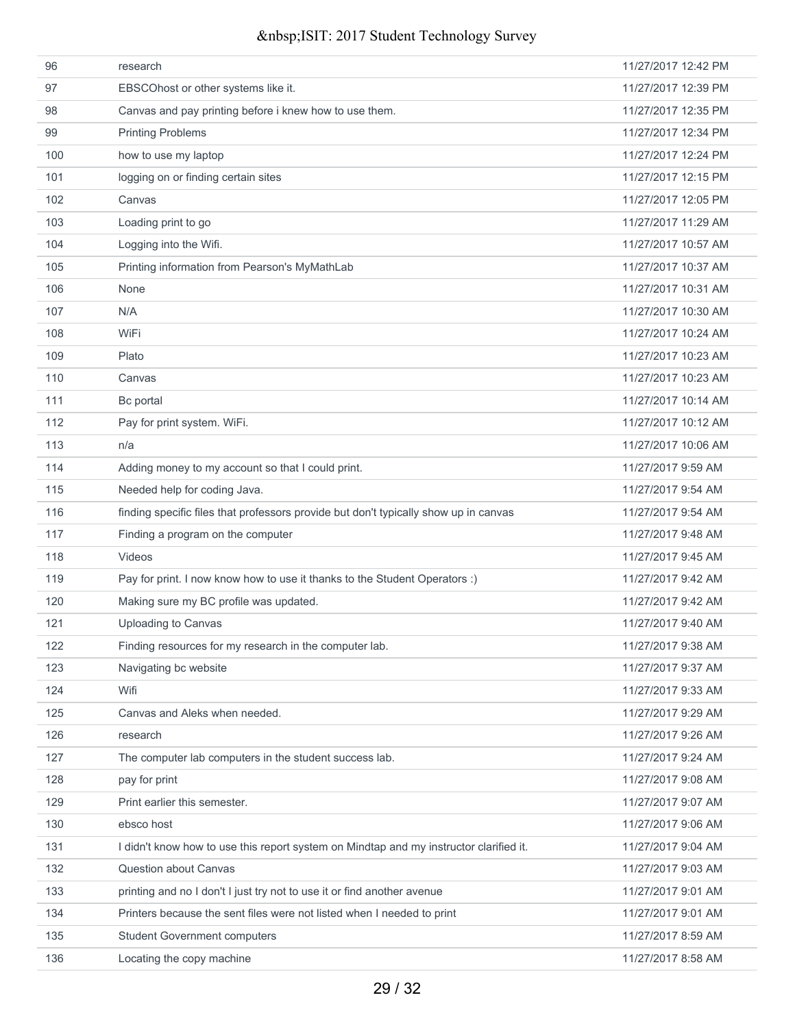| 96  | research                                                                               | 11/27/2017 12:42 PM |
|-----|----------------------------------------------------------------------------------------|---------------------|
| 97  | EBSCOhost or other systems like it.                                                    | 11/27/2017 12:39 PM |
| 98  | Canvas and pay printing before i knew how to use them.                                 | 11/27/2017 12:35 PM |
| 99  | <b>Printing Problems</b>                                                               | 11/27/2017 12:34 PM |
| 100 | how to use my laptop                                                                   | 11/27/2017 12:24 PM |
| 101 | logging on or finding certain sites                                                    | 11/27/2017 12:15 PM |
| 102 | Canvas                                                                                 | 11/27/2017 12:05 PM |
| 103 | Loading print to go                                                                    | 11/27/2017 11:29 AM |
| 104 | Logging into the Wifi.                                                                 | 11/27/2017 10:57 AM |
| 105 | Printing information from Pearson's MyMathLab                                          | 11/27/2017 10:37 AM |
| 106 | None                                                                                   | 11/27/2017 10:31 AM |
| 107 | N/A                                                                                    | 11/27/2017 10:30 AM |
| 108 | WiFi                                                                                   | 11/27/2017 10:24 AM |
| 109 | Plato                                                                                  | 11/27/2017 10:23 AM |
| 110 | Canvas                                                                                 | 11/27/2017 10:23 AM |
| 111 | Bc portal                                                                              | 11/27/2017 10:14 AM |
| 112 | Pay for print system. WiFi.                                                            | 11/27/2017 10:12 AM |
| 113 | n/a                                                                                    | 11/27/2017 10:06 AM |
| 114 | Adding money to my account so that I could print.                                      | 11/27/2017 9:59 AM  |
| 115 | Needed help for coding Java.                                                           | 11/27/2017 9:54 AM  |
| 116 | finding specific files that professors provide but don't typically show up in canvas   | 11/27/2017 9:54 AM  |
| 117 | Finding a program on the computer                                                      | 11/27/2017 9:48 AM  |
| 118 | Videos                                                                                 | 11/27/2017 9:45 AM  |
| 119 | Pay for print. I now know how to use it thanks to the Student Operators :)             | 11/27/2017 9:42 AM  |
| 120 | Making sure my BC profile was updated.                                                 | 11/27/2017 9:42 AM  |
| 121 | Uploading to Canvas                                                                    | 11/27/2017 9:40 AM  |
| 122 | Finding resources for my research in the computer lab.                                 | 11/27/2017 9:38 AM  |
| 123 | Navigating bc website                                                                  | 11/27/2017 9:37 AM  |
| 124 | Wifi                                                                                   | 11/27/2017 9:33 AM  |
| 125 | Canvas and Aleks when needed.                                                          | 11/27/2017 9:29 AM  |
| 126 | research                                                                               | 11/27/2017 9:26 AM  |
| 127 | The computer lab computers in the student success lab.                                 | 11/27/2017 9:24 AM  |
| 128 | pay for print                                                                          | 11/27/2017 9:08 AM  |
| 129 | Print earlier this semester.                                                           | 11/27/2017 9:07 AM  |
| 130 | ebsco host                                                                             | 11/27/2017 9:06 AM  |
| 131 | I didn't know how to use this report system on Mindtap and my instructor clarified it. | 11/27/2017 9:04 AM  |
| 132 | Question about Canvas                                                                  | 11/27/2017 9:03 AM  |
| 133 | printing and no I don't I just try not to use it or find another avenue                | 11/27/2017 9:01 AM  |
| 134 | Printers because the sent files were not listed when I needed to print                 | 11/27/2017 9:01 AM  |
| 135 | <b>Student Government computers</b>                                                    | 11/27/2017 8:59 AM  |
| 136 | Locating the copy machine                                                              | 11/27/2017 8:58 AM  |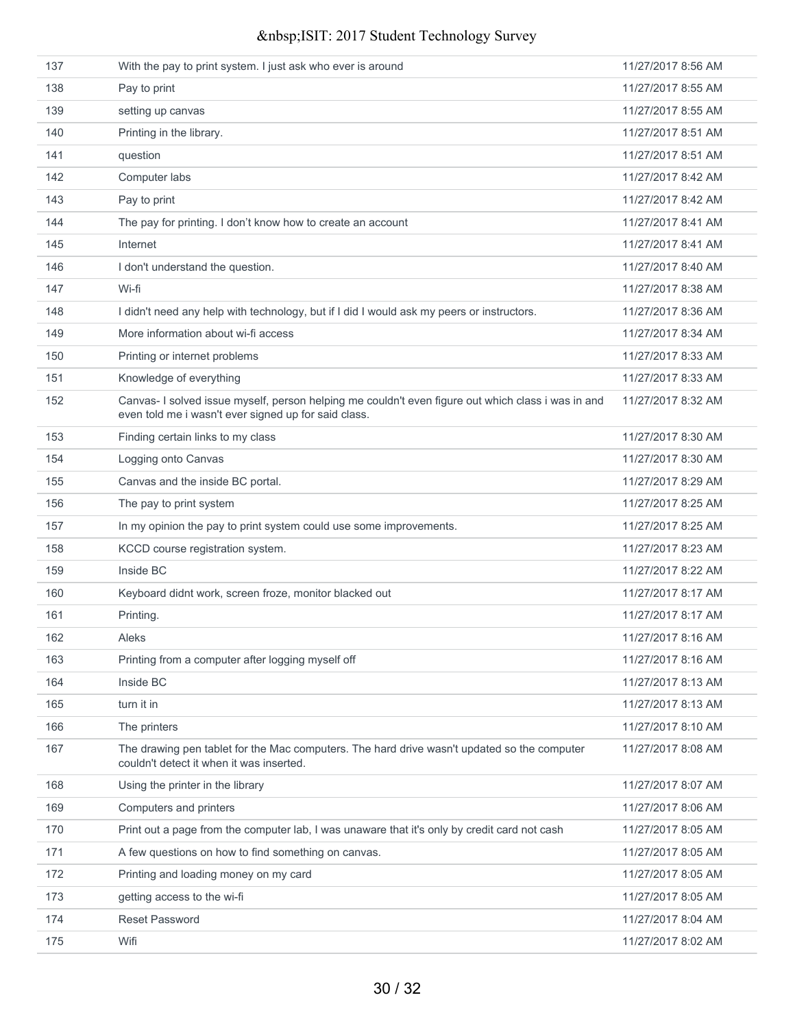| 137 | With the pay to print system. I just ask who ever is around                                                                                                | 11/27/2017 8:56 AM |
|-----|------------------------------------------------------------------------------------------------------------------------------------------------------------|--------------------|
| 138 | Pay to print                                                                                                                                               | 11/27/2017 8:55 AM |
| 139 | setting up canvas                                                                                                                                          | 11/27/2017 8:55 AM |
| 140 | Printing in the library.                                                                                                                                   | 11/27/2017 8:51 AM |
| 141 | question                                                                                                                                                   | 11/27/2017 8:51 AM |
| 142 | Computer labs                                                                                                                                              | 11/27/2017 8:42 AM |
| 143 | Pay to print                                                                                                                                               | 11/27/2017 8:42 AM |
| 144 | The pay for printing. I don't know how to create an account                                                                                                | 11/27/2017 8:41 AM |
| 145 | Internet                                                                                                                                                   | 11/27/2017 8:41 AM |
| 146 | I don't understand the question.                                                                                                                           | 11/27/2017 8:40 AM |
| 147 | Wi-fi                                                                                                                                                      | 11/27/2017 8:38 AM |
| 148 | I didn't need any help with technology, but if I did I would ask my peers or instructors.                                                                  | 11/27/2017 8:36 AM |
| 149 | More information about wi-fi access                                                                                                                        | 11/27/2017 8:34 AM |
| 150 | Printing or internet problems                                                                                                                              | 11/27/2017 8:33 AM |
| 151 | Knowledge of everything                                                                                                                                    | 11/27/2017 8:33 AM |
| 152 | Canvas- I solved issue myself, person helping me couldn't even figure out which class i was in and<br>even told me i wasn't ever signed up for said class. | 11/27/2017 8:32 AM |
| 153 | Finding certain links to my class                                                                                                                          | 11/27/2017 8:30 AM |
| 154 | Logging onto Canvas                                                                                                                                        | 11/27/2017 8:30 AM |
| 155 | Canvas and the inside BC portal.                                                                                                                           | 11/27/2017 8:29 AM |
| 156 | The pay to print system                                                                                                                                    | 11/27/2017 8:25 AM |
| 157 | In my opinion the pay to print system could use some improvements.                                                                                         | 11/27/2017 8:25 AM |
| 158 | KCCD course registration system.                                                                                                                           | 11/27/2017 8:23 AM |
| 159 | Inside BC                                                                                                                                                  | 11/27/2017 8:22 AM |
| 160 | Keyboard didnt work, screen froze, monitor blacked out                                                                                                     | 11/27/2017 8:17 AM |
| 161 | Printing.                                                                                                                                                  | 11/27/2017 8:17 AM |
| 162 | Aleks                                                                                                                                                      | 11/27/2017 8:16 AM |
| 163 | Printing from a computer after logging myself off                                                                                                          | 11/27/2017 8:16 AM |
| 164 | Inside BC                                                                                                                                                  | 11/27/2017 8:13 AM |
| 165 | turn it in                                                                                                                                                 | 11/27/2017 8:13 AM |
| 166 | The printers                                                                                                                                               | 11/27/2017 8:10 AM |
| 167 | The drawing pen tablet for the Mac computers. The hard drive wasn't updated so the computer<br>couldn't detect it when it was inserted.                    | 11/27/2017 8:08 AM |
| 168 | Using the printer in the library                                                                                                                           | 11/27/2017 8:07 AM |
| 169 | Computers and printers                                                                                                                                     | 11/27/2017 8:06 AM |
| 170 | Print out a page from the computer lab, I was unaware that it's only by credit card not cash                                                               | 11/27/2017 8:05 AM |
| 171 | A few questions on how to find something on canvas.                                                                                                        | 11/27/2017 8:05 AM |
| 172 | Printing and loading money on my card                                                                                                                      | 11/27/2017 8:05 AM |
| 173 | getting access to the wi-fi                                                                                                                                | 11/27/2017 8:05 AM |
| 174 | <b>Reset Password</b>                                                                                                                                      | 11/27/2017 8:04 AM |
| 175 | Wifi                                                                                                                                                       | 11/27/2017 8:02 AM |
|     |                                                                                                                                                            |                    |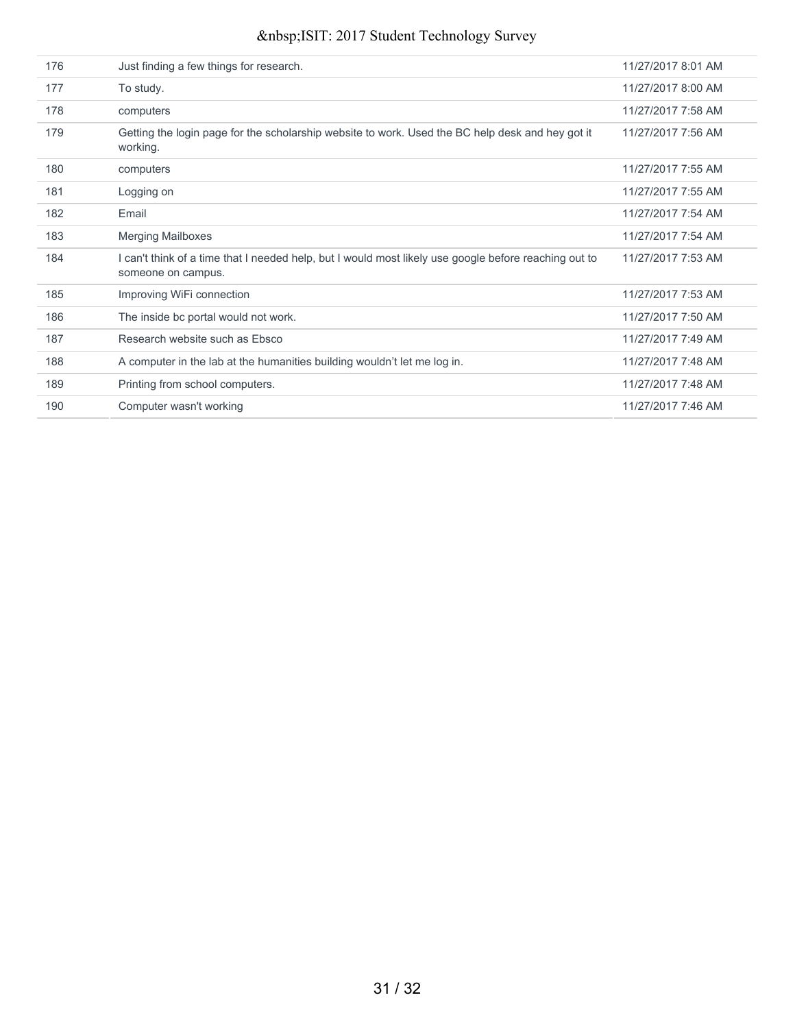| 176 | Just finding a few things for research.                                                                                     | 11/27/2017 8:01 AM |
|-----|-----------------------------------------------------------------------------------------------------------------------------|--------------------|
| 177 | To study.                                                                                                                   | 11/27/2017 8:00 AM |
| 178 | computers                                                                                                                   | 11/27/2017 7:58 AM |
| 179 | Getting the login page for the scholarship website to work. Used the BC help desk and hey got it<br>working.                | 11/27/2017 7:56 AM |
| 180 | computers                                                                                                                   | 11/27/2017 7:55 AM |
| 181 | Logging on                                                                                                                  | 11/27/2017 7:55 AM |
| 182 | Email                                                                                                                       | 11/27/2017 7:54 AM |
| 183 | <b>Merging Mailboxes</b>                                                                                                    | 11/27/2017 7:54 AM |
| 184 | I can't think of a time that I needed help, but I would most likely use google before reaching out to<br>someone on campus. | 11/27/2017 7:53 AM |
| 185 | Improving WiFi connection                                                                                                   | 11/27/2017 7:53 AM |
| 186 | The inside bc portal would not work.                                                                                        | 11/27/2017 7:50 AM |
| 187 | Research website such as Ebsco                                                                                              | 11/27/2017 7:49 AM |
| 188 | A computer in the lab at the humanities building wouldn't let me log in.                                                    | 11/27/2017 7:48 AM |
| 189 | Printing from school computers.                                                                                             | 11/27/2017 7:48 AM |
| 190 | Computer wasn't working                                                                                                     | 11/27/2017 7:46 AM |